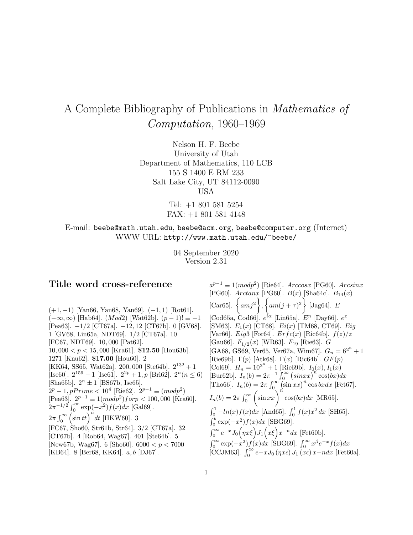# A Complete Bibliography of Publications in Mathematics of Computation, 1960–1969

Nelson H. F. Beebe University of Utah Department of Mathematics, 110 LCB 155 S 1400 E RM 233 Salt Lake City, UT 84112-0090 USA

> Tel: +1 801 581 5254 FAX: +1 801 581 4148

E-mail: beebe@math.utah.edu, beebe@acm.org, beebe@computer.org (Internet) WWW URL: http://www.math.utah.edu/~beebe/

> 04 September 2020 Version 2.31

# **Title word cross-reference**

(+1, −1) [Yan66, Yan68, Yan69]. (−1, 1) [Rot61].  $(-\infty, \infty)$  [Hab64]. (*Mod*2) [Wat62b].  $(p-1)! \equiv -1$ [Pea63]. −1/2 [CT67a]. −12, 12 [CT67b]. 0 [GV68]. 1 [GV68, Lin65a, NDT69]. 1/2 [CT67a]. 10 [FC67, NDT69]. 10, 000 [Pat62]. 10, 000  $< p < 15,000$  [Kra61]. **\$12.50** [Hou63b]. 1271 [Knu62]. **\$17.00** [Hou60]. 2 [KK64, SS65, Wat62a]. 200,000 [Ste64b].  $2^{132} + 1$ [Ise60].  $2^{159} - 1$  [Ise61].  $2^{2p} + 1$ , p [Bri62].  $2^n(n \le 6)$ [Sha65b].  $2^n \pm 1$  [BS67b, Ise65].  $2^p - 1$ , pPrime < 10<sup>4</sup> [Rie62].  $2^{p-1} \equiv (mod p^2)$ [Pea63].  $2^{p-1} \equiv 1 (mod p^2) for p < 100,000$  [Kra60].  $2\pi^{-1/2} \int_0^\infty \exp(-x^2) f(x) dx$  [Gal69].  $2\pi \int_0^\infty$  $\int \sin tt \int u dt$  [HKW60]. 3 [FC67, Sho60, Str61b, Str64]. 3/2 [CT67a]. 32 [CT67b]. 4 [Rob64, Wag67]. 401 [Ste64b]. 5 [New67b, Wag67]. 6 [Sho60].  $6000 < p < 7000$ [KB64]. 8 [Ber68, KK64]. a, b [DJ67].

 $a^{p-1} \equiv 1 (mod p^2)$  [Rie64]. Arccosx [PG60]. Arcsinx [PG60].  $Arctanx$  [PG60].  $B(x)$  [Sha64c].  $B_{14}(x)$ [Car<sub>65</sub>].  $\{amj^2\}$ ,  $\left\{ am(j+\tau)^2\right\}$ [Jag $64$ ].  $E$ [Cod65a, Cod66].  $e^{i\alpha}$  [Lin65a].  $E^n$  [Day66].  $e^x$ [SM63].  $E_1(x)$  [CT68].  $E_i(x)$  [TM68, CT69].  $Eig$ [Var66]. Eig3 [For64].  $Erfc(x)$  [Ric64b].  $f(z)/z$ [Gau66].  $F_{1/2}(x)$  [WR63].  $F_{19}$  [Rie63]. G [GA68, GS69, Ver65, Ver67a, Wim67].  $G_n = 6^{2^n} + 1$ [Rie69b]. Γ(p) [Atk68]. Γ(x) [Ric64b].  $GF(p)$ [Col69].  $H_n = 10^{2^n} + 1$  [Rie69b].  $I_0(x)$ ,  $I_1(x)$ [Bur62b].  $I_n(b) = 2\pi^{-1} \int_0^\infty (sin x x)^n cos(bx) dx$ [Tho66].  $I_n(b) = 2\pi \int_0^\infty (\sin xx)^n \cos bx dx$  [Fet67].  $I_n(b)=2\pi\int_0^\infty$  $\left(\sin\left(\frac{x}{\sin\left(\cos\left(\frac{b}{x}\right)\right)}\right)^n\cos\left(\frac{b}{x}\right)\right)dx$  [MR65].  $\int_0^1 -\ln(x)f(x)dx$  [And65].  $\int_0^1 f(x)x^2 dx$  [SH65].  $\int_0^b \exp(-x^2)f(x)dx$  [SBG69].  $\int_0^\infty e^{-x} J_0\Big(\eta x \xi\Big) J_1\Big(x \xi\Big) x^{-n} dx$  [Fet60b].  $\int_0^\infty \exp(-x^2)f(x)dx$  [SBG69].  $\int_0^\infty x^\beta e^{-x}f(x)dx$ [CCJM63].  $\int_0^\infty e^{-x}J_0(\eta x\epsilon) J_1(\mathbf{x}\epsilon) x - n dx$  [Fet60a].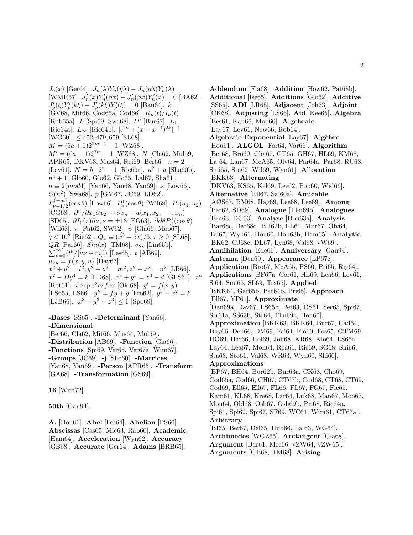$J_0(x)$  [Ger64].  $J_n(\lambda)Y_n(\eta\lambda) - J_n(\eta\lambda)Y_n(\lambda)$ [WMR67].  $J'_n(x)Y'_n(\beta x) - J'_n(\beta x)Y'_n(x) = 0$  [BA62].  $J'_p(\xi)Y'_p(k\xi) - J'_p(k\xi)Y'_p(\xi) = 0$  [Bau64]. k [GV68, Mit66, Cod65a, Cod66].  $K_{\nu}(t)/I_{\nu}(t)$ [Rob65a].  $L$  [Spi69, Swa68].  $L^p$  [Bur67].  $L_1$ [Ric64a].  $L_{\infty}$  [Ric64b].  $[c^{2k} + (x - x^{-1})^{2k}]^{-1}$ [WG60].  $\leq 452, 479, 659$  [SL68].  $M = (6a + 1)2^{2m-1} - 1$  [WZ68].  $M' = (6a - 1)2^{2m} - 1$  [WZ68]. N [Cla62, Mul59, APR65, DKV63, Mus64, Rei69, Ber66.  $n = 2$ [Lev61].  $N = h \cdot 2^n - 1$  [Rie69a].  $n^2 + a$  [Sha60b].  $n^4 + 1$  [Glo60, Glo62, Glo65, Lal67, Sha61].  $n \equiv 2 (mod 4)$  [Yan66, Yan68, Yan69].  $\nu$  [Low66].  $O(h^2)$  [Swa68]. p [GM67, JC69, LD62].  $P_{\nu-1/2}^{(-m)}(\cos\theta)$  [Low66].  $P_{\nu}^{1}(\cos\theta)$  [Wil68].  $P_{r}(n_1, n_2)$ [CG68].  $\partial^n/\partial x_1\partial x_2\cdots\partial x_n + a(x_1, x_2, \cdots, x_n)$ [SD65].  $\partial I_{\nu}(z)\partial \nu, \nu = \pm 13$  [EG63].  $\partial \partial \theta P_{\mu}^{1}(\cos \theta)$ [Wil68].  $\pi$  [Pat62, SW62].  $\psi$  [Gla66, Moo67].  $q < 10^8$  [Rie62].  $Q_x \equiv (x^3 + 5x)/6, x \ge 0$  [SL68].  $\sum_{\nu=0}^{\infty} (t^{\nu}/[u\nu+m]!)$  [Les65]. t [AB69].  $QR$  [Par66].  $Shi(x)$  [TM68].  $\sigma_{2s}$  [Lin65b].  $u_{xy} = f(x, y, u)$  [Day63].  $x^2 + y^2 = l^2, y^2 + z^2 = m^2, z^2 + x^2 = n^2$  [LB66].  $x^2 - Dy^4 = k$  [LD68].  $x^3 + y^3 = z^3 - d$  [GLS64].  $x^n$ [Rot61].  $x \exp x^2 erfcx$  [Old68].  $y' = f(x, y)$ [LS65a, LS66].  $y'' = fy + g$  [Fro62].  $y^3 - x^2 = k$ [LJB66].  $|x^3 + y^3 + z^3| \le 1$  [Spo69].

**-Bases** [SS65]. **-Determinant** [Yan66]. **-Dimensional** [Ber66, Cla62, Mit66, Mus64, Mul59]. **-Distribution** [AB69]. **-Function** [Gla66]. **-Functions** [Spi69, Ver65, Ver67a, Wim67]. **-Groups** [JC69]. **-j** [Sho60]. **-Matrices** [Yan68, Yan69]. **-Person** [APR65]. **-Transform** [GA68]. **-Transformation** [GS69].

**16** [Wim72].

**50th** [Gau94].

**A.** [Hou61]. **Abel** [Fet64]. **Abelian** [PS60]. **Abscissas** [Cas65, Mic63, Rab60]. **Academic** [Ham64]. **Acceleration** [Wyn62]. **Accuracy** [GB68]. **Accurate** [Ger64]. **Adams** [BRB65].

**Addendum** [Fla68]. **Addition** [How62, Pat68b]. **Additional** [Ise65]. **Additions** [Glo62]. **Additive** [SS65]. **ADI** [LR68]. **Adjacent** [Joh63]. **Adjoint** [CK68]. **Adjusting** [LS66]. **Aid** [Kee65]. **Algebra** [Bes61, Kan66, Moo66]. **Algebraic** [Lay67, Lev61, New66, Rob64]. **Algebraic-Exponential** [Lay67]. **Alg`ebre** [Hou61]. **ALGOL** [For64, Var66]. **Algorithm** [Ber68, Bro69, Cha67, CT65, GH67, HL69, KM68, La 64, Lan67, McA65, Olv64, Par64a, Par68, RU68, Smi65, Sta62, Wil69, Wyn61]. **Allocation** [BKK63]. **Alternating** [DKV63, KS65, Kel69, Lee62, Pop60, Wid66]. **Alternative** [Ell67, Sal60a]. **Amicable** [AØS67, BM68, Hag69, Lee68, Lee69]. **Among** [Pat62, SD69]. **Analogue** [Thu69b]. **Analogues** [Bra63, DG63]. **Analyse** [Hou63a]. **Analysis** [Bar68c, Bar68d, BH62b, FL61, Mur67, Olv64, Tai67, Wyn61, Hou60, Hou63b, Ham65]. **Analytic** [BK62, CJ68c, DL67, Lyn68, Val68, vW69]. **Annihilation** [Ede66]. **Anniversary** [Gau94]. **Antenna** [Den69]. **Appearance** [LP67c]. **Application** [Bro67, McA65, PS60, Pri65, Rig64]. **Applications** [BF67a, Cor61, HL69, Lea66, Lev61, S.64, Smi65, SL69, Tra65]. **Applied** [BKK64, Gar65b, Par64b, Pri68]. **Approach** [Ell67, YP61]. **Approximate** [Dan69a, Dav67, LS65b, Pet63, RS61, Sec65, Spi67, Str61a, SS63b, Str64, Thu69a, Hou60]. **Approximation** [BKK63, BKK64, Bur67, Cad64, Day66, Den66, DM69, Fai64, Flo60, Fos65, GTM69, HO69, Har66, Hol69, Joh68, KR68, Klo64, LS65a, Lay64, Lea67, Mon64, Rea61, Ric69, SG68, Shi66, Sta63, Sto61, Val68, WR63, Wyn60, Shi60]. **Approximations** [BP67, BH64, Bur62b, Bur63a, CK68, Cho69, Cod65a, Cod66, CH67, CT67b, Cod68, CT68, CT69, Cod69, Ell65, Ell67, FL66, FL67, FG67, Fie65, Kam61, KL68, Kre68, Lar64, Luk68, Man67, Moo67, Mou64, Old68, Osb67, Osh69b, Pri68, Ric64a, Spi61, Spi62, Spi67, SF69, WC61, Wim61, CT67a]. **Arbitrary** [BI65, Ber67, Del65, Hub66, La 63, WG64]. **Archimedes** [WGZ65]. **Arctangent** [Gla68]. **Argument** [Bar61, Mec66, vZW64, vZW65]. **Arguments** [GB68, TM68]. **Arising**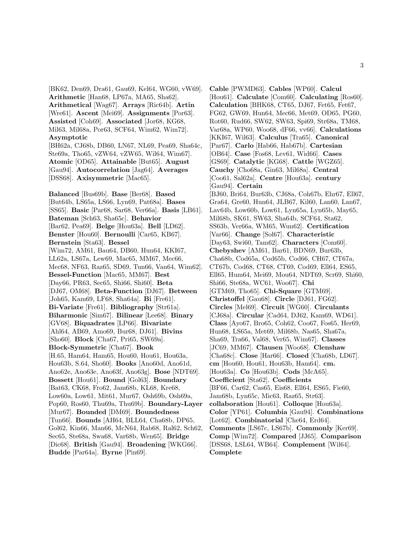[BK62, Den69, Dra61, Gau69, Kel64, WG60, vW69]. **Arithmetic** [Han68, LP67a, MA65, Sha62]. **Arithmetical** [Wag67]. **Arrays** [Ric64b]. **Artin** [Wre61]. **Ascent** [Mei69]. **Assignments** [Por63]. **Assisted** [Coh69]. **Associated** [Jor68, KG68, Mil63, Mil68a, Por63, SCF64, Wim62, Wim72]. **Asymptotic** [BH62a, CJ68b, DB60, LN67, NL69, Pea69, Sha64c, Ste69a, Tho65, vZW64, vZW65, Wil64, Wim67]. **Atomic** [OD65]. **Attainable** [But65]. **August** [Gau94]. **Autocorrelation** [Jag64]. **Averages** [DSS68]. **Axisymmetric** [Mac65]. **Balanced** [Bus69b]. **Base** [Ber68]. **Based** [But64b, LS65a, LS66, Lyn69, Pat68a]. **Bases**

[SS65]. **Basic** [Par68, Sar68, Ver66a]. **Basis** [LB61]. **Bateman** [Sch63, Sha65c]. **Behavior** [Bar62, Pea69]. **Belge** [Hou63a]. **Bell** [LD62]. **Benster** [Hou60]. **Bernoulli** [Car65, KB67]. **Bernstein** [Sta63]. **Bessel** [Wim72, AM61, Bau64, DB60, Hun64, KKI67, LL62a, LS67a, Lew69, Mac65, MM67, Mec66, Mec68, NF63, Raz65, SD69, Tun66, Van64, Wim62]. **Bessel-Function** [Mac65, MM67]. **Best** [Day66, PR63, Sec65, Shi66, Shi60]. **Beta** [DJ67, OM68]. **Beta-Function** [DJ67]. **Between** [Joh65, Kam69, LF68, Sha64a]. **Bi** [Fre61]. **Bi-Variate** [Fre61]. **Bibliography** [Str61a]. **Biharmonic** [Sim67]. **Bilinear** [Lee68]. **Binary** [GV68]. **Biquadrates** [LP66]. **Bivariate** [Ahl64, AB69, Amo69, Bur68, DJ61]. **Bivins** [Sho60]. **Block** [Cha67, Pri65, SW69a]. **Block-Symmetric** [Cha67]. **Book** [H.65, Ham64, Ham65, Hou60, Hou61, Hou63a, Hou63b, S.64, Sho60]. **Books** [Ano60d, Ano61d, Ano62e, Ano63e, Ano63f, Ano63g]. **Bose** [NDT69]. **Bossett** [Hou61]. **Bound** [Gol63]. **Boundary** [Bat63, CK68, Fro62, Jam68b, KL68, Kre68, Low60a, Low61, Mit61, Mur67, Osh69b, Osh69a, Pop60, Ros60, Thu69a, Thu69b]. **Boundary-Layer** [Mur67]. **Bounded** [DM69]. **Boundedness** [Tun66]. **Bounds** [AH64, BLL64, Cha68b, DP65, Gol62, Kin66, Man66, McN64, Rab68, Ral62, Sch62, Sec65, Ste68a, Swa68, Var68b, Wen65]. **Bridge** [Dic68]. **British** [Gau94]. **Broadening** [WKG66]. **Budde** [Par64a]. **Byrne** [Pin69].

**Cable** [PWMD63]. **Cables** [WP60]. **Calcul** [Hou61]. **Calculate** [Com60]. **Calculating** [Ros60]. **Calculation** [BHK68, CT65, DJ67, Fet65, Fet67, FG62, GW69, Hun64, Mec66, Met69, OD65, PG60, Rot60, Rud66, SW62, SW63, Spi69, Str68a, TM68, Var68a, WP60, Woo68, dF66, vv66]. **Calculations** [KKI67, Wil63]. **Calculus** [Tra65]. **Canonical** [Par67]. **Carlo** [Hab66, Hab67b]. **Cartesian** [OB64]. **Case** [Fos68, Lev61, Wid66]. **Cases** [GS69]. **Catalytic** [KG68]. **Cattle** [WGZ65]. **Cauchy** [Cho68a, Gin63, Mil68a]. **Central** [Coo61, Sal62a]. **Centre** [Hou63a]. **century** [Gau94]. **Certain** [BJ60, Bri64, Bur63b, CJ68a, Coh67b, Ehr67, Ell67, Gra64, Gre60, Hun64, JLB67, Kil60, Lan60, Lan67, Lav64b, Low60b, Low61, Lyn65a, Lyn65b, May65, Mil68b, SK61, SW63, Sha64b, SCF64, Sta62, SS63b, Ver66a, WM65, Wun62]. **Certification** [Var66]. **Change** [Sol67]. **Characteristic** [Day63, Swi60, Tam62]. **Characters** [Com60]. **Chebyshev** [AM61, Bar61, BDN69, Bur63b, Cha68b, Cod65a, Cod65b, Cod66, CH67, CT67a, CT67b, Cod68, CT68, CT69, Cod69, Ell64, ES65, Ell65, Hum64, Mei69, Mou64, NDT69, Scr69, Shi60, Shi66, Ste68a, WC61, Woo67]. **Chi** [GTM69, Tho65]. **Chi-Square** [GTM69]. **Christoffel** [Gau68]. **Circle** [DJ61, FG62]. **Circles** [Mel69]. **Circuit** [WG60]. **Circulants** [CJ68a]. **Circular** [Cad64, DJ62, Kam69, WD61]. **Class** [Ayo67, Bro65, Coh62, Coo67, Fos65, Her69, Hun68, LS65a, Met69, Mil68b, Nas65, Sha67a, Sha69, Tra66, Val68, Ver65, Wim67]. **Classes** [JC69, MM67]. **Clausen** [Woo68]. **Clenshaw** [Cha68c]. **Close** [Har66]. **Closed** [Cha68b, LD67]. **cm** [Hou60, Hou61, Hou63b, Ham64]. **cm.** [Hou63a]. **Co** [Hou63b]. **Cods** [McA65]. **Coefficient** [Sta62]. **Coefficients** [BF66, Car62, Cas65, Eis68, Ell64, ES65, Fie60, Jam68b, Lyn65c, Mic63, Raz65, Str63]. **collaboration** [Hou61]. **Colloque** [Hou63a]. **Color** [YP61]. **Columbia** [Gau94]. **Combinations** [Lot62]. **Combinatorial** [Che64, Erd64]. **Comments** [LS67c, LS67b]. **Commonly** [Ker69]. **Comp** [Wim72]. **Compared** [JJ65]. **Comparison** [DSS68, LSL64, WB64]. **Complement** [Wil64]. **Complete**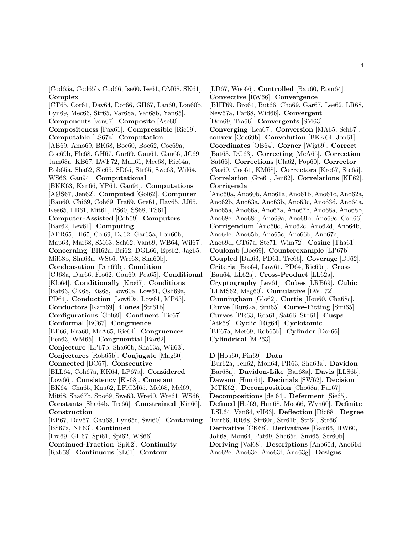[Cod65a, Cod65b, Cod66, Ise60, Ise61, OM68, SK61]. **Complex**

[CT65, Cor61, Dav64, Dor66, GH67, Lan60, Lon60b, Lyn69, Mec66, Str65, Var68a, Var68b, Yan65]. **Components** [von67]. **Composite** [Asc60]. **Compositeness** [Pax61]. **Compressible** [Ric69]. **Computable** [LS67a]. **Computation** [AB69, Amo69, BK68, Boe60, Boe62, Coc69a, Coc69b, Fle68, GH67, Gar69, Gau61, Gau66, JC69, Jam68a, KB67, LWF72, Man61, Mec68, Ric64a, Rob65a, Sha62, Sie65, SD65, Str65, Swe63, Wil64, WS66, Gau94]. **Computational** [BKK63, Kan66, YP61, Gau94]. **Computations** [AØS67, Jen62]. **Computed** [Gol62]. **Computer** [Bau60, Chi69, Coh69, Fra69, Gre61, Hay65, JJ65, Kee65, LB61, Mit61, PS60, SS68, TS61]. **Computer-Assisted** [Coh69]. **Computers** [Bar62, Lev61]. **Computing** [APR65, BI65, Col69, DJ62, Gar65a, Lon60b, Map63, Mar68, SM63, Sch62, Van69, WB64, Wil67]. **Concerning** [BH62a, Bri62, DGL66, Eps62, Jag65, Mil68b, Sha63a, WS66, Wre68, Sha60b]. **Condensation** [Dan69b]. **Condition** [CJ68a, Dur66, Fro62, Gau69, Pea65]. **Conditional** [Klo64]. **Conditionally** [Kro67]. **Conditions** [Bat63, CK68, Eis68, Low60a, Low61, Osh69a, PD64]. **Conduction** [Low60a, Low61, MP63]. **Conductors** [Kam69]. **Cones** [Str61b]. **Configurations** [Gol69]. **Confluent** [Fie67]. **Conformal** [BC67]. **Congruence** [BF66, Kra60, McA65, Rie64]. **Congruences** [Pea63, WM65]. **Congruential** [Bar62]. **Conjecture** [LP67b, Sha60b, Sha63a, Wil63]. **Conjectures** [Rob65b]. **Conjugate** [Mag60]. **Connected** [BC67]. **Consecutive** [BLL64, Coh67a, KK64, LP67a]. **Considered** [Low66]. **Consistency** [Eis68]. **Constant** [BK64, Chu65, Knu62, LFiCM65, Mel68, Mel69, Mit68, Sha67b, Spo69, Swe63, Wre60, Wre61, WS66]. **Constants** [Sha64b, Tre66]. **Constrained** [Kin66]. **Construction** [BP67, Dav67, Gau68, Lyn65e, Swi60]. **Containing** [BS67a, NF63]. **Continued** [Fra69, GH67, Spi61, Spi62, WS66]. **Continued-Fraction** [Spi62]. **Continuity** [Rab68]. **Continuous** [SL61]. **Contour**

[LD67, Woo66]. **Controlled** [Bau60, Rom64]. **Convective** [RW66]. **Convergence** [BHT69, Bro64, But66, Cho69, Gar67, Lee62, LR68, New67a, Par68, Wid66]. **Convergent** [Den69, Tra66]. **Convergents** [SM63]. **Converging** [Lea67]. **Conversion** [MA65, Sch67]. **convex** [Coc69b]. **Convolution** [BKK64, Jon61]. **Coordinates** [OB64]. **Corner** [Wig69]. **Correct** [Bat63, DG63]. **Correcting** [McA65]. **Correction** [Sat66]. **Corrections** [Cla62, Pop60]. **Corrector** [Cas69, Coo61, KM68]. **Correctors** [Kro67, Ste65]. **Correlation** [Gre61, Jen62]. **Correlations** [KF62]. **Corrigenda** [Ano60a, Ano60b, Ano61a, Ano61b, Ano61c, Ano62a, Ano62b, Ano63a, Ano63b, Ano63c, Ano63d, Ano64a, Ano65a, Ano66a, Ano67a, Ano67b, Ano68a, Ano68b, Ano68c, Ano68d, Ano69a, Ano69b, Ano69c, Cod66]. **Corrigendum** [Ano60c, Ano62c, Ano62d, Ano64b, Ano64c, Ano65b, Ano65c, Ano66b, Ano67c, Ano69d, CT67a, Ste71, Wim72]. **Cosine** [Tha61]. **Coulomb** [Boe69]. **Counterexample** [LP67b]. **Coupled** [Dal63, PD61, Tre66]. **Coverage** [DJ62]. **Criteria** [Bro64, Low61, PD64, Rie69a]. **Cross** [Bau64, LL62a]. **Cross-Product** [LL62a]. **Cryptography** [Lev61]. **Cubes** [LRB69]. **Cubic** [LLMS62, Mag60]. **Cumulative** [LWF72]. **Cunningham** [Glo62]. **Curtis** [Hou60, Cha68c]. **Curve** [Bur62a, Smi65]. **Curve-Fitting** [Smi65]. **Curves** [PR63, Rea61, Sat66, Sto61]. **Cusps** [Atk68]. **Cyclic** [Rig64]. **Cyclotomic** [BF67a, Met69, Rob65b]. **Cylinder** [Dor66]. **Cylindrical** [MP63].

**D** [Hou60, Pin69]. **Data**

[Bur62a, Jen62, Mon64, PR63, Sha63a]. **Davidon** [Bar68a]. **Davidon-Like** [Bar68a]. **Davis** [LLS65]. **Dawson** [Hum64]. **Decimals** [SW62]. **Decision** [MTK62]. **Decomposition** [Cho68a, Par67]. **Decompositions** [de 64]. **Deferment** [Sie65]. **Defined** [Hol69, Hun68, Moo66, Wyn60]. **Definite** [LSL64, Van64, vH63]. **Deflection** [Dic68]. **Degree** [Bur66, RR68, Str60a, Str61b, Str64, Str66]. **Derivative** [CK68]. **Derivatives** [Gau66, HW60, Joh68, Mou64, Pat69, Sha65a, Smi65, Str60b]. **Deriving** [Val68]. **Descriptions** [Ano60d, Ano61d, Ano62e, Ano63e, Ano63f, Ano63g]. **Designs**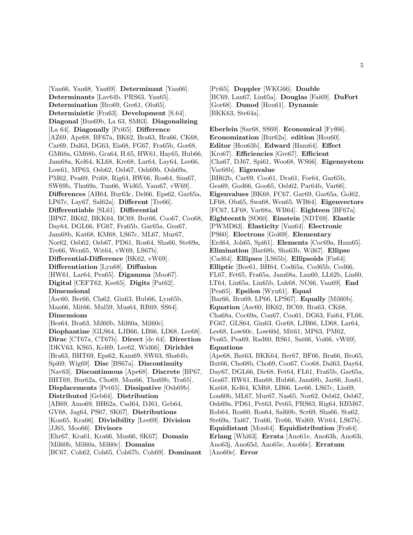[Yan66, Yan68, Yan69]. **Determinant** [Yan66]. **Determinants** [Lav64b, PRS63, Yan65]. **Determination** [Bro69, Gre61, Olu65]. **Deterministic** [Fra63]. **Development** [S.64]. **Diagonal** [Bus69b, La 63, SM63]. **Diagonalizing** [La 64]. **Diagonally** [Pri65]. **Difference** [AZ69, Ape68, BF67a, BK62, Bra63, Bra66, CK68, Car69, Dal63, DG63, Eis68, FG67, Fra65b, Gor68, GM68a, GM68b, Gra64, H.65, HW61, Hay65, Hub66, Jam68a, Kel64, KL68, Kre68, Lar64, Lay64, Lee66, Low61, MP63, Osb62, Osb67, Osh69b, Osh69a, PM62, Pea69, Pri68, Rig64, RW66, Ros64, Sim67, SW69b, Thu69a, Tun66, Wid65, Yam67, vW69]. **Differences** [AH64, Bur63c, Del66, Eps62, Gar65a, LP67c, Lay67, Sal62a]. **Different** [Tre66]. **Differentiable** [SL61]. **Differential** [BP67, BK62, BKK64, BC69, But66, Coo67, Coo68, Day64, DGL66, FG67, Fra65b, Gar65a, Gea67, Jam68b, Kat68, KM68, LS67c, ML67, Mur67, Nor62, Osb62, Osb67, PD61, Ros64, Sha66, Ste69a, Tre66, Wen65, Wit64, vW69, LS67b]. **Differential-Difference** [BK62, vW69]. **Differentiation** [Lyn68]. **Diffusion** [HW61, Lar64, Pea65]. **Digamma** [Moo67]. **Digital** [CEFT62, Kee65]. **Digits** [Pat62]. **Dimensional** [Asc60, Ber66, Cla62, Gin63, Hub66, Lyn65b, Man66, Mit66, Mul59, Mus64, RR69, SS64]. **Dimensions** [Bes64, Bra63, Mil60b, Mil60a, Mil60c]. **Diophantine** [GLS64, LJB66, LB66, LD68, Lee68]. **Dirac** [CT67a, CT67b]. **Direct** [de 64]. **Direction** [DKV63, KS65, Kel69, Lee62, Wid66]. **Dirichlet** [Bra63, BHT69, Eps62, Kam69, SW63, Sha64b, Spi69, Wig69]. **Disc** [BS67a]. **Discontinuity** [Nav63]. **Discontinuous** [Ape68]. **Discrete** [BP67, BHT69, Bur62a, Cho69, Man66, Thu69b, Tra65]. **Displacements** [Pet65]. **Dissipative** [Osh69b]. **Distributed** [Geb64]. **Distribution** [AB69, Amo69, BH62a, Cad64, DJ61, Geb64, GV68, Jag64, PS67, SK67]. **Distributions** [Kon65, Kra66]. **Divisibility** [Lee69]. **Division** [JJ65, Moo66]. **Divisors** [Ehr67, Kra61, Kra66, Mus66, SK67]. **Domain** [Mil60b, Mil60a, Mil60c]. **Domains**

[BC67, Coh62, Coh65, Coh67b, Coh69]. **Dominant**

[Pri65]. **Doppler** [WKG66]. **Double** [BC69, Lan67, Lin65a]. **Douglas** [Fai69]. **DuFort** [Gor68]. **Dunod** [Hou61]. **Dynamic** [BKK63, Ste64a].

**Eberlein** [Sar68, SS69]. **Economical** [Fyf66]. **Economization** [Bur62a]. **edition** [Hou60]. **Editor** [Hou63b]. **Edward** [Ham64]. **Effect** [Kro67]. **Efficiencies** [Gre67]. **Efficient** [Cha67, DJ67, Spi61, Woo68, WS66]. **Eigensystem** [Var68b]. **Eigenvalue** [BH62b, Car69, Coo61, Dra61, For64, Gar65b, Gea69, God66, Goo65, Osb62, Par64b, Var66]. **Eigenvalues** [BK68, FC67, Gar69, Gar65a, Gol62, LF68, Olu65, Swa68, Wen65, WB64]. **Eigenvectors** [FC67, LF68, Var68a, WB64]. **Eighteen** [BF67a]. **Eighteenth** [SO60]. **Einstein** [NDT69]. **Elastic** [PWMD63]. **Elasticity** [Van64]. **Electronic** [PS60]. **Electrons** [Gol69]. **Elementary** [Erd64, Joh65, Spi61]. **Elements** [Coc69a, Ham65]. **Elimination** [Bar68b, Sha63b, Wil67]. **Ellipse** [Cad64]. **Ellipses** [LS65b]. **Ellipsoids** [Fis64]. **Elliptic** [Boe61, BH64, Cod65a, Cod65b, Cod66, FL67, Fet65, Fra65a, Jam68a, Lan60, LL62b, Lin60, LT64, Lin65a, Lin65b, Luk68, NC66, Van69]. **End** [Pea65]. **Epsilon** [Wyn61]. **Equal** [Bar66, Bru69, LP66, LPS67]. **Equally** [Mil60b]. **Equation** [Asc60, BK62, BC69, Bra63, CK68, Cha68a, Coc69a, Con67, Coo61, DG63, Fai64, FL66, FG67, GLS64, Gin63, Gor68, LJB66, LD68, Lar64, Lee68, Low60c, Low60d, Mit61, MP63, PM62, Pea65, Pea69, Rad60, RS61, Sat66, Voi66, vW69]. **Equations** [Ape68, Bat63, BKK64, Ber67, BF66, Bra66, Bro65, But66, Cho68b, Cho69, Coo67, Coo68, Dal63, Day64, Day67, DGL66, Dic68, Fet64, FL61, Fra65b, Gar65a, Gea67, HW61, Han68, Hub66, Jam68b, Jar66, Jon61, Kat68, Kel64, KM68, LB66, Lee66, LS67c, Lin69, Lon60b, ML67, Mur67, Nas65, Nor62, Osb62, Osb67, Osh69a, PD61, Pet63, Pet65, PRS63, Rig64, RBM67, Rob64, Ros60, Ros64, Sal60b, Scr69, Sha66, Sta62, Ste69a, Tai67, Tra66, Tre66, Wal69, Wit64, LS67b].

**Equidistant** [Mon64]. **Equidistribution** [Fra64]. **Erlang** [Whi63]. **Errata** [Ano61e, Ano63h, Ano63i, Ano63j, Ano65d, Ano65e, Ano66c]. **Erratum**

[Ano60e]. **Error**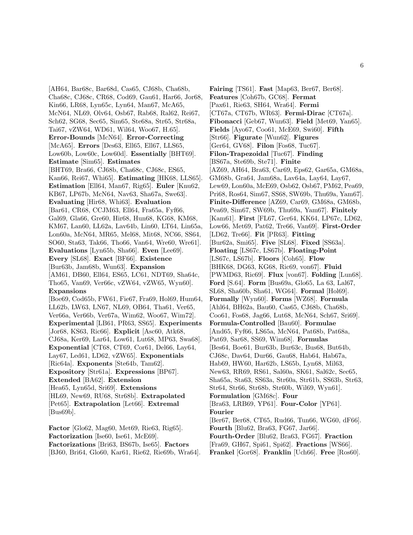[AH64, Bar68c, Bar68d, Cas65, CJ68b, Cha68b, Cha68c, CJ68c, CR68, Cod69, Gau61, Har66, Jor68, Kin66, LR68, Lyn65c, Lyn64, Man67, McA65, McN64, NL69, Olv64, Osb67, Rab68, Ral62, Rei67, Sch62, SG68, Sec65, Sim65, Ste68a, Str65, Str68a, Tai67, vZW64, WD61, Wil64, Woo67, H.65]. **Error-Bounds** [McN64]. **Error-Correcting** [McA65]. **Errors** [Des63, Ell65, Ell67, LLS65, Low60b, Low60c, Low60d]. **Essentially** [BHT69]. **Estimate** [Sim65]. **Estimates** [BHT69, Bra66, CJ68b, Cha68c, CJ68c, ES65, Kan66, Rei67, Whi65]. **Estimating** [HK68, LLS65]. **Estimation** [Ell64, Man67, Rig65]. **Euler** [Knu62, KB67, LP67b, McN64, Nav63, Sha67a, Swe63]. **Evaluating** [Hir68, Whi63]. **Evaluation** [Bar61, CR68, CCJM63, Ell64, Fra65a, Fyf66, Gal69, Gla66, Gre60, Hir68, Hun68, KG68, KM68, KM67, Lan60, LL62a, Lav64b, Lin60, LT64, Lin65a, Lon60a, McN64, MR65, Mel68, Mit68, NC66, SS64, SO60, Sta63, Tak66, Tho66, Van64, Wre60, Wre61]. **Evaluations** [Lyn65b, Sha66]. **Even** [Lee69]. **Every** [SL68]. **Exact** [BF66]. **Existence** [Bur63b, Jam68b, Wun63]. **Expansion** [AM61, DB60, Ell64, ES65, LC61, NDT69, Sha64c, Tho65, Van69, Ver66c, vZW64, vZW65, Wyn60]. **Expansions** [Boe69, Cod65b, FW61, Fie67, Fra69, Hol69, Hum64, LL62b, LW63, LN67, NL69, OB64, Tha61, Ver65, Ver66a, Ver66b, Ver67a, Wim62, Woo67, Wim72]. **Experimental** [LB61, PR63, SS65]. **Experiments** [Jor68, KS63, Ric66]. **Explicit** [Asc60, Atk68, CJ68a, Ker69, Lar64, Low61, Lut68, MP63, Swa68]. **Exponential** [CT68, CT69, Cor61, Del66, Lay64, Lay67, Led61, LD62, vZW65]. **Exponentials** [Ric64a]. **Exponents** [Ste64b, Tam62]. **Expository** [Str61a]. **Expressions** [BP67]. **Extended** [BA62]. **Extension** [Hea65, Lyn65d, Sri69]. **Extensions** [HL69, New69, RU68, Str68b]. **Extrapolated** [Pet65]. **Extrapolation** [Let66]. **Extremal** [Bus69b].

**Factor** [Glo62, Mag60, Met69, Rie63, Rig65]. **Factorization** [Ise60, Ise61, McE69]. **Factorizations** [Bri63, BS67b, Ise65]. **Factors** [BJ60, Bri64, Glo60, Kar61, Rie62, Rie69b, Wra64]. **Fairing** [TS61]. **Fast** [Map63, Ber67, Ber68]. **Features** [Coh67b, GC68]. **Fermat** [Pax61, Rie63, SH64, Wra64]. **Fermi** [CT67a, CT67b, WR63]. **Fermi-Dirac** [CT67a]. **Fibonacci** [Geb67, Wun63]. **Field** [Met69, Yan65]. **Fields** [Ayo67, Coo61, McE69, Swi60]. **Fifth** [Str66]. **Figurate** [Wun62]. **Figures** [Ger64, GV68]. **Filon** [Fos68, Tuc67]. **Filon-Trapezoidal** [Tuc67]. **Finding** [BS67a, Ste69b, Ste71]. **Finite** [AZ69, AH64, Bra63, Car69, Eps62, Gar65a, GM68a, GM68b, Gra64, Jam68a, Lav64a, Lay64, Lay67, Lew69, Lon60a, McE69, Osb62, Osb67, PM62, Pea69, Pri68, Ros64, Sim67, SS68, SW69b, Thu69a, Yam67]. **Finite-Difference** [AZ69, Car69, GM68a, GM68b, Pea69, Sim67, SW69b, Thu69a, Yam67]. **Finitely** [Kam61]. **First** [FL67, Ger64, KK64, LP67c, LD62, Low66, Met69, Pat62, Tre66, Van69]. **First-Order** [LD62, Tre66]. **Fit** [PR63]. **Fitting** [Bur62a, Smi65]. **Five** [SL68]. **Fixed** [SS63a]. **Floating** [LS67c, LS67b]. **Floating-Point** [LS67c, LS67b]. **Floors** [Coh65]. **Flow** [BHK68, DG63, KG68, Ric69, von67]. **Fluid** [PWMD63, Ric69]. **Flux** [von67]. **Folding** [Lun68]. **Ford** [S.64]. **Form** [Bus69a, Glo65, La 63, Lal67, SL68, Sha60b, Sha61, WG64]. **Formal** [Hol69]. **Formally** [Wyn60]. **Forms** [WZ68]. **Formula** [Ahl64, BH62a, Bau60, Cas65, CJ68b, Cha68b, Coo61, Fos68, Jag66, Lut68, McN64, Sch67, Sri69]. **Formula-Controlled** [Bau60]. **Formulae** [And65, Fyf66, LS65a, McN64, Pat68b, Pat68a, Pat69, Sar68, SS69, Wim68]. **Formulas** [Bes64, Boe61, Bur63b, Bur63c, Bus68, But64b, CJ68c, Dav64, Dur66, Gau68, Hab64, Hab67a, Hab69, HW60, Har62b, LS65b, Lyn68, Mil63, New63, RR69, RS61, Sal60a, SK61, Sal62c, Sec65, Sha65a, Sta63, SS63a, Str60a, Str61b, SS63b, Str63, Str64, Str66, Str68b, Str60b, Wil69, Wyn61]. **Formulation** [GM68c]. **Four** [Bra63, LRB69, YP61]. **Four-Color** [YP61]. **Fourier** [Ber67, Ber68, CT65, Rud66, Tun66, WG60, dF66]. **Fourth** [Blu62, Bra63, FG67, Jar66]. **Fourth-Order** [Blu62, Bra63, FG67]. **Fraction** [Fra69, GH67, Spi61, Spi62]. **Fractions** [WS66]. **Frankel** [Gor68]. **Franklin** [Uch66]. **Free** [Ros60].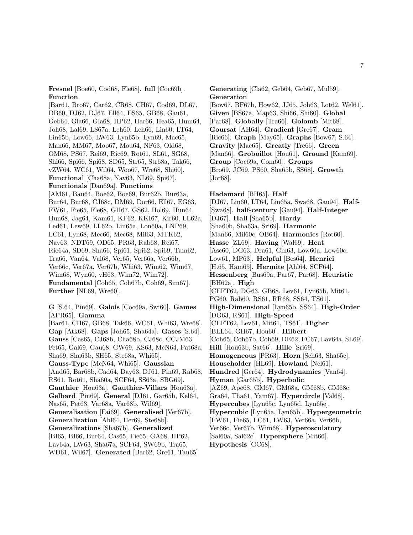**Fresnel** [Boe60, Cod68, Fle68]. **full** [Coc69b]. **Function**

[Bar61, Bro67, Car62, CR68, CH67, Cod69, DL67, DB60, DJ62, DJ67, Ell64, ES65, GB68, Gau61, Geb64, Gla66, Gla68, HP62, Har66, Hea65, Hum64, Joh68, Lal69, LS67a, Leh60, Leh66, Lin60, LT64, Lin65b, Low66, LW63, Lyn65b, Lyn69, Mac65, Man66, MM67, Moo67, Mou64, NF63, Old68, OM68, PS67, Rei69, Ric69, Rot61, SL61, SG68, Shi66, Spi66, Spi68, SD65, Str65, Str68a, Tak66, vZW64, WC61, Wil64, Woo67, Wre68, Shi60]. **Functional** [Cha68a, Nav63, NL69, Spi67]. **Functionals** [Dan69a]. **Functions** [AM61, Bau64, Boe62, Boe69, Bur62b, Bur63a, Bur64, Bur68, CJ68c, DM69, Dor66, Ell67, EG63, FW61, Fie65, Fle68, GH67, GS62, Hol69, Hun64, Hun68, Jag64, Kam61, KF62, KKI67, Kir60, LL62a, Led61, Lew69, LL62b, Lin65a, Lon60a, LNP69, LC61, Lyn68, Mec66, Mec68, Mil63, MTK62, Nav63, NDT69, OD65, PR63, Rab68, Rei67, Ric64a, SD69, Sha66, Spi61, Spi62, Spi69, Tam62, Tra66, Van64, Val68, Ver65, Ver66a, Ver66b, Ver66c, Ver67a, Ver67b, Whi63, Wim62, Wim67, Wim68, Wyn60, vH63, Wim72, Wim72]. **Fundamental** [Coh65, Coh67b, Coh69, Sim67]. **Further** [NL69, Wre60].

**G** [S.64, Pin69]. **Galois** [Coc69a, Swi60]. **Games** [APR65]. **Gamma** [Bar61, CH67, GB68, Tak66, WC61, Whi63, Wre68]. **Gap** [Atk68]. **Gaps** [Joh65, Sha64a]. **Gases** [S.64]. **Gauss** [Cas65, CJ68b, Cha68b, CJ68c, CCJM63, Fet65, Gal69, Gau68, GW69, KS63, McN64, Pat68a, Sha69, Sha63b, SH65, Ste68a, Whi65]. **Gauss-Type** [McN64, Whi65]. **Gaussian** [And65, Bar68b, Cad64, Day63, DJ61, Pin69, Rab68, RS61, Rot61, Sha60a, SCF64, SS63a, SBG69]. **Gauthier** [Hou63a]. **Gauthier-Villars** [Hou63a]. **Gelbard** [Pin69]. **General** [DJ61, Gar65b, Kel64, Nas65, Pet63, Var68a, Var68b, Wil69]. **Generalisation** [Fai69]. **Generalised** [Ver67b]. **Generalization** [Ahl64, Her69, Ste68b]. **Generalizations** [Sha67b]. **Generalized** [BI65, BI66, Bur64, Cas65, Fie65, GA68, HP62, Lav64a, LW63, Sha67a, SCF64, SW69b, Tra65, WD61, Wil67]. **Generated** [Bar62, Gre61, Tau65].

**Generating** [Cla62, Geb64, Geb67, Mul59]. **Generation** [Bow67, BF67b, How62, JJ65, Joh63, Lot62, Wel61]. **Given** [BS67a, Map63, Shi66, Shi60]. **Global** [Par68]. **Globally** [Tra66]. **Golomb** [Mit68]. **Goursat** [AH64]. **Gradient** [Gre67]. **Gram** [Ric66]. **Graph** [May65]. **Graphs** [Bow67, S.64]. **Gravity** [Mac65]. **Greatly** [Tre66]. **Green** [Man66]. **Groboillot** [Hou61]. **Ground** [Kam69]. **Group** [Coc69a, Com60]. **Groups** [Bro69, JC69, PS60, Sha65b, SS68]. **Growth** [Jor68].

**Hadamard** [BH65]. **Half** [DJ67, Lin60, LT64, Lin65a, Swa68, Gau94]. **Half-** [Swa68]. **half-century** [Gau94]. **Half-Integer** [DJ67]. **Hall** [Sha65b]. **Hardy** [Sha60b, Sha63a, Sri69]. **Harmonic** [Man66, Mil60c, OB64]. **Harmonics** [Rot60]. **Hasse** [ZL69]. **Having** [Wal69]. **Heat** [Asc60, DG63, Dra61, Gin63, Low60a, Low60c, Low61, MP63]. **Helpful** [Bes64]. **Henrici** [H.65, Ham65]. **Hermite** [Ahl64, SCF64]. **Hessenberg** [Bus69a, Par67, Par68]. **Heuristic** [BH62a]. **High** [CEFT62, DG63, GB68, Lev61, Lyn65b, Mit61, PG60, Rab60, RS61, RR68, SS64, TS61]. **High-Dimensional** [Lyn65b, SS64]. **High-Order** [DG63, RS61]. **High-Speed** [CEFT62, Lev61, Mit61, TS61]. **Higher** [BLL64, GH67, Hou60]. **Hilbert** [Coh65, Coh67b, Coh69, DE62, FC67, Lav64a, SL69]. **Hill** [Hou63b, Sat66]. **Hille** [Sri69]. **Homogeneous** [PR63]. **Horn** [Sch63, Sha65c]. **Householder** [HL69]. **Howland** [Nel61]. **Hundred** [Ger64]. **Hydrodynamics** [Van64]. **Hyman** [Gar65b]. **Hyperbolic** [AZ69, Ape68, GM67, GM68a, GM68b, GM68c, Gra64, Tha61, Yam67]. **Hypercircle** [Val68]. **Hypercubes** [Lyn65c, Lyn65d, Lyn65e]. **Hypercubic** [Lyn65a, Lyn65b]. **Hypergeometric** [FW61, Fie65, LC61, LW63, Ver66a, Ver66b, Ver66c, Ver67b, Wim68]. **Hyperosculatory** [Sal60a, Sal62c]. **Hypersphere** [Mit66]. **Hypothesis** [GC68].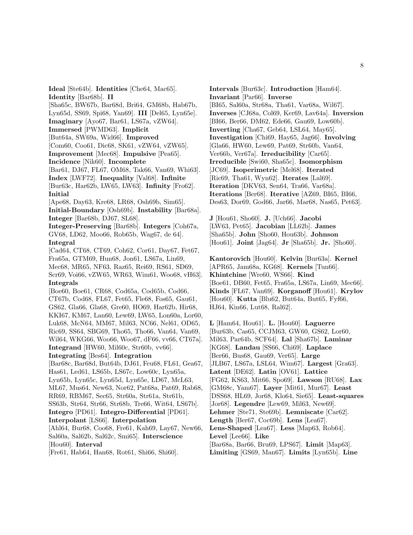**Ideal** [Ste64b]. **Identities** [Che64, Mac65]. **Identity** [Bar68b]. **II** [Sha65c, BW67b, Bar68d, Bri64, GM68b, Hab67b, Lyn65d, SS69, Spi68, Yan69]. **III** [Del65, Lyn65e]. **Imaginary** [Ayo67, Bar61, LS67a, vZW64]. **Immersed** [PWMD63]. **Implicit** [But64a, SW69a, Wid66]. **Improved** [Com60, Coo61, Dic68, SK61, vZW64, vZW65]. **Improvement** [Mec68]. **Impulsive** [Pea65]. **Incidence** [Nik60]. **Incomplete** [Bar61, DJ67, FL67, OM68, Tak66, Van69, Whi63]. **Index** [LWF72]. **Inequality** [Val68]. **Infinite** [Bur63c, Har62b, LW65, LW63]. **Infinity** [Fro62]. **Initial** [Ape68, Day63, Kre68, LR68, Osh69b, Sim65]. **Initial-Boundary** [Osh69b]. **Instability** [Bar68a]. **Integer** [Bar68b, DJ67, SL68]. **Integer-Preserving** [Bar68b]. **Integers** [Coh67a, GV68, LD62, Moo66, Rob65b, Wag67, de 64]. **Integral** [Cad64, CT68, CT69, Coh62, Cor61, Day67, Fet67, Fra65a, GTM69, Hun68, Jon61, LS67a, Lin69, Mec68, MR65, NF63, Raz65, Rei69, RS61, SD69, Scr69, Voi66, vZW65, WR63, Wim61, Woo68, vH63]. **Integrals** [Boe60, Boe61, CR68, Cod65a, Cod65b, Cod66, CT67b, Cod68, FL67, Fet65, Fle68, Fos65, Gau61, GS62, Gla66, Gla68, Gre60, HO69, Har62b, Hir68, KKI67, KM67, Lan60, Lew69, LW65, Lon60a, Lor60, Luk68, McN64, MM67, Mil63, NC66, Nel61, OD65, Ric69, SS64, SBG69, Tho65, Tho66, Van64, Van69, Wil64, WKG66, Woo66, Woo67, dF66, vv66, CT67a]. **Integrand** [HW60, Mil60c, Str60b, vv66]. **Integrating** [Bes64]. **Integration** [Bar68c, Bar68d, But64b, DJ61, Feu68, FL61, Gea67, Has61, Led61, LS65b, LS67c, Low60c, Lyn65a, Lyn65b, Lyn65c, Lyn65d, Lyn65e, LD67, McL63, ML67, Mus64, New63, Nor62, Pat68a, Pat69, Rab68, RR69, RBM67, Sec65, Str60a, Str61a, Str61b, SS63b, Str64, Str66, Str68b, Tre66, Wit64, LS67b]. **Integro** [PD61]. **Integro-Differential** [PD61]. **Interpolant** [LS66]. **Interpolation** [Ahl64, Bur68, Coo68, Fre61, Kah69, Lay67, New66, Sal60a, Sal62b, Sal62c, Smi65]. **Interscience** [Hou60]. **Interval**

[Fre61, Hab64, Han68, Rot61, Shi66, Shi60].

**Intervals** [Bur63c]. **Introduction** [Ham64]. **Invariant** [Par66]. **Inverse** [BI65, Sal60a, Str68a, Tha61, Var68a, Wil67]. **Inverses** [CJ68a, Col69, Ker69, Lav64a]. **Inversion** [BI66, Ber66, DM62, Ede66, Gau69, Low60b]. **Inverting** [Cha67, Geb64, LSL64, May65]. **Investigation** [Chi69, Hay65, Jag66]. **Involving** [Gla66, HW60, Lew69, Pat69, Str60b, Van64, Ver66b, Ver67a]. **Irreducibility** [Car65]. **Irreducible** [Swi60, Sha65c]. **Isomorphism** [JC69]. **Isoperimetric** [Mel68]. **Iterated** [Ric69, Tha61, Wyn62]. **Iterates** [Lal69]. **Iteration** [DKV63, Sen64, Tra66, Var68a]. **Iterations** [Ber68]. **Iterative** [AZ69, BI65, BI66, Des63, Dor69, God66, Jar66, Mar68, Nas65, Pet63].

**J** [Hou61, Sho60]. **J.** [Uch66]. **Jacobi** [LW63, Pet65]. **Jacobian** [LL62b]. **James** [Sha65b]. **John** [Sho60, Hou63b]. **Johnson** [Hou61]. **Joint** [Jag64]. **Jr** [Sha65b]. **Jr.** [Sho60].

**Kantorovich** [Hou60]. **Kelvin** [Bur63a]. **Kernel** [APR65, Jam68a, KG68]. **Kernels** [Tun66]. **Khintchine** [Wre60, WS66]. **Kind** [Boe61, DB60, Fet65, Fra65a, LS67a, Lin69, Mec66]. **Kinds** [FL67, Van69]. **Korganoff** [Hou61]. **Krylov** [Hou60]. **Kutta** [Blu62, But64a, But65, Fyf66, HJ64, Kin66, Lut68, Ral62].

**L** [Ham64, Hou61]. **L.** [Hou60]. **Laguerre** [Bur63b, Cas65, CCJM63, GW60, GS62, Lor60, Mil63, Par64b, SCF64]. **Lal** [Sha67b]. **Laminar** [KG68]. **Landau** [SS66, Chi69]. **Laplace** [Ber66, Bus68, Gau69, Ver65]. **Large** [JLB67, LS67a, LSL64, Wim67]. **Largest** [Gra63]. **Latent** [DE62]. **Latin** [OV61]. **Lattice** [FG62, KS63, Mit66, Spo69]. **Lawson** [RU68]. **Lax** [GM68c, Yam67]. **Layer** [Mit61, Mur67]. **Least** [DSS68, HL69, Jor68, Klo64, Sie65]. **Least-squares** [Jor68]. **Legendre** [Lew69, Mil63, New69]. **Lehmer** [Ste71, Ste69b]. **Lemniscate** [Car62]. **Length** [Ber67, Coc69b]. **Lens** [Lea67]. **Lens-Shaped** [Lea67]. **Less** [Map63, Rob64]. **Level** [Lee66]. **Like** [Bar68a, Bar66, Bru69, LPS67]. **Limit** [Map63]. **Limiting** [GS69, Man67]. **Limits** [Lyn65b]. **Line**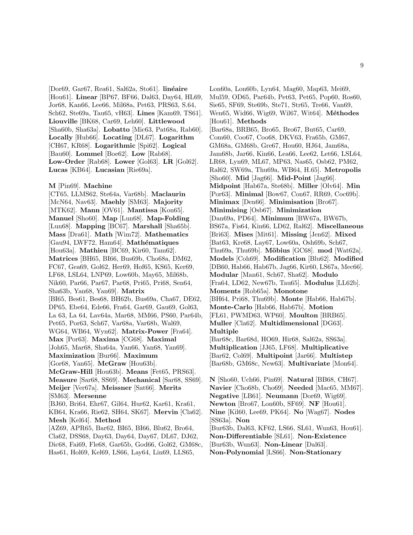[Dor69, Gar67, Rea61, Sal62a, Sto61]. **linéaire** [Hou61]. **Linear** [BP67, BF66, Dal63, Day64, HL69, Jor68, Kan66, Lee66, Mil68a, Pet63, PRS63, S.64, Sch62, Ste69a, Tau65, vH63]. **Lines** [Kam69, TS61]. **Liouville** [BK68, Car69, Leh60]. **Littlewood** [Sha60b, Sha63a]. **Lobatto** [Mic63, Pat68a, Rab60]. **Locally** [Hub66]. **Locating** [DL67]. **Logarithm** [CH67, KR68]. **Logarithmic** [Spi62]. **Logical** [Bau60]. **Lommel** [Boe62]. **Low** [Rab68]. **Low-Order** [Rab68]. **Lower** [Gol63]. **LR** [Gol62]. **Lucas** [KB64]. **Lucasian** [Rie69a].

**M** [Pin69]. **Machine**

[CT65, LLMS62, Ste64a, Var68b]. **Maclaurin** [McN64, Nav63]. **Maehly** [SM63]. **Majority** [MTK62]. **Mann** [OV61]. **Mantissa** [Kon65]. **Manuel** [Sho60]. **Map** [Lun68]. **Map-Folding** [Lun68]. **Mapping** [BC67]. **Marshall** [Sha65b]. **Mass** [Dra61]. **Math** [Wim72]. **Mathematics** [Gau94, LWF72, Ham64]. **Mathématiques** [Hou63a]. **Mathieu** [BC69, Kir60, Tam62]. **Matrices** [BH65, BI66, Bus69b, Cho68a, DM62, FC67, Gea69, Gol62, Her69, Hof65, KS65, Ker69, LF68, LSL64, LNP69, Low60b, May65, Mil68b, Nik60, Par66, Par67, Par68, Pri65, Pri68, Sen64, Sha63b, Yan68, Yan69]. **Matrix** [BI65, Bes61, Bes68, BH62b, Bus69a, Cha67, DE62, DP65, Ebe64, Ede66, Fra64, Gar69, Gau69, Gol63, La 63, La 64, Lav64a, Mar68, MM66, PS60, Par64b, Pet65, Por63, Sch67, Var68a, Var68b, Wal69, WG64, WB64, Wyn62]. **Matrix-Power** [Fra64]. **Max** [Por63]. **Maxima** [CG68]. **Maximal** [Joh65, Mar68, Sha64a, Yan66, Yan68, Yan69]. **Maximization** [Bur66]. **Maximum** [Gor68, Yan65]. **McGraw** [Hou63b]. **McGraw-Hill** [Hou63b]. **Means** [Fet65, PRS63]. **Measure** [Sar68, SS69]. **Mechanical** [Sar68, SS69]. **Meijer** [Ver67a]. **Meissner** [Sat66]. **Merits** [SM63]. **Mersenne** [BJ60, Bri64, Ehr67, Gil64, Hur62, Kar61, Kra61, KB64, Kra66, Rie62, SH64, SK67]. **Mervin** [Cla62]. **Mesh** [Kel64]. **Method** [AZ69, APR65, Bar62, BI65, BI66, Blu62, Bro64, Cla62, DSS68, Day63, Day64, Day67, DL67, DJ62, Dic68, Fai69, Fle68, Gar65b, God66, Gol62, GM68c,

Has61, Hol69, Kel69, LS66, Lay64, Lin69, LLS65,

Lon60a, Lon60b, Lyn64, Mag60, Map63, Mei69, Mul59, OD65, Par64b, Pet63, Pet65, Pop60, Ros60, Sie65, SF69, Ste69b, Ste71, Str65, Tre66, Van69, Wen65, Wid66, Wig69, Wil67, Wit64]. **M´ethodes** [Hou61]. **Methods** [Bar68a, BRB65, Bro65, Bro67, But65, Car69, Com60, Coo67, Coo68, DKV63, Fra65b, GM67, GM68a, GM68b, Gre67, Hou60, HJ64, Jam68a, Jam68b, Jar66, Kin66, Lea66, Lee62, Let66, LSL64, LR68, Lyn69, ML67, MP63, Nas65, Osb62, PM62, Ral62, SW69a, Thu69a, WB64, H.65]. **Metropolis** [Sho60]. **Mid** [Jag66]. **Mid-Point** [Jag66]. **Midpoint** [Hab67a, Ste68b]. **Miller** [Olv64]. **Min** [Por63]. **Minimal** [Bow67, Con67, RR69, Coc69b]. **Minimax** [Den66]. **Minimisation** [Bro67]. **Minimising** [Osb67]. **Minimization** [Dan69a, PD64]. **Minimum** [BW67a, BW67b, BS67a, Fis64, Kin66, LD62, Ral62]. **Miscellaneous** [Bri63]. **Mises** [Mit61]. **Missing** [Jen62]. **Mixed** [Bat63, Kre68, Lay67, Low60a, Osh69b, Sch67, Thu69a, Thu69b]. **M¨obius** [GC68]. **mod** [Wat62a]. **Models** [Coh69]. **Modification** [Blu62]. **Modified** [DB60, Hab66, Hab67b, Jag66, Kir60, LS67a, Mec66]. **Modular** [Man61, Sch67, Sha62]. **Modulo** [Fra64, LD62, New67b, Tau65]. **Modulus** [LL62b]. **Moments** [Rob65a]. **Monotone** [BH64, Pri68, Thu69b]. **Monte** [Hab66, Hab67b]. **Monte-Carlo** [Hab66, Hab67b]. **Motion** [FL61, PWMD63, WP60]. **Moulton** [BRB65]. **Muller** [Cla62]. **Multidimensional** [DG63]. **Multiple** [Bar68c, Bar68d, HO69, Hir68, Sal62a, SS63a]. **Multiplication** [JJ65, LF68]. **Multiplicative** [Bar62, Col69]. **Multipoint** [Jar66]. **Multistep** [Bar68b, GM68c, New63]. **Multivariate** [Mon64].

**N** [Sho60, Uch66, Pin69]. **Natural** [BB68, CH67]. **Navier** [Cho68b, Cho69]. **Needed** [Mac65, MM67]. **Negative** [LB61]. **Neumann** [Dor69, Wig69]. **Newton** [Bro67, Lon60b, SF69]. **NF** [Hou61]. **Nine** [Kil60, Lee69, PK64]. **No** [Wag67]. **Nodes** [SS63a]. **Non** [Bur63b, Dal63, KF62, LS66, SL61, Wun63, Hou61]. **Non-Differentiable** [SL61]. **Non-Existence** [Bur63b, Wun63]. **Non-Linear** [Dal63]. **Non-Polynomial** [LS66]. **Non-Stationary**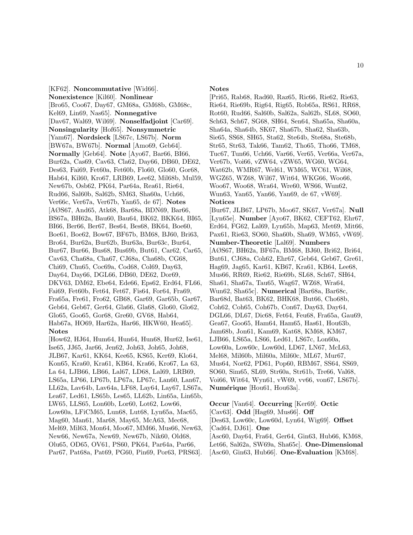[KF62]. **Noncommutative** [Wid66]. **Nonexistence** [Kil60]. **Nonlinear** [Bro65, Coo67, Day67, GM68a, GM68b, GM68c, Kel69, Lin69, Nas65]. **Nonnegative** [Dav67, Wal69, Wil69]. **Nonselfadjoint** [Car69]. **Nonsingularity** [Hof65]. **Nonsymmetric** [Yam67]. **Nordsieck** [LS67c, LS67b]. **Norm** [BW67a, BW67b]. **Normal** [Amo69, Geb64]. **Normally** [Geb64]. **Note** [Ayo67, Bar66, BI66, Bur62a, Cas69, Cav63, Cla62, Day66, DB60, DE62, Des63, Fai69, Fet60a, Fet60b, Flo60, Glo60, Gor68, Hab64, Kil60, Kro67, LRB69, Lee62, Mil68b, Mul59, New67b, Osb62, PK64, Par64a, Rea61, Rie64, Rud66, Sal60b, Sal62b, SM63, Sha60a, Uch66, Ver66c, Ver67a, Ver67b, Yan65, de 67]. **Notes** [AØS67, And65, Atk68, Bar68a, BDN69, Bar66, BS67a, BH62a, Bau60, Bau64, BK62, BKK64, BI65, BI66, Ber66, Ber67, Bes64, Bes68, BK64, Boe60, Boe61, Boe62, Bow67, BF67b, BM68, BJ60, Bri63, Bro64, Bur62a, Bur62b, Bur63a, Bur63c, Bur64, Bur67, Bur66, Bus68, Bus69b, But61, Car62, Car65, Cav63, Cha68a, Cha67, CJ68a, Cha68b, CG68, Chi69, Chu65, Coc69a, Cod68, Col69, Day63, Day64, Day66, DGL66, DB60, DE62, Dor69, DKV63, DM62, Ebe64, Ede66, Eps62, Erd64, FL66, Fai69, Fet60b, Fet64, Fet67, Fis64, For64, Fra69, Fra65a, Fre61, Fro62, GB68, Gar69, Gar65b, Gar67, Geb64, Geb67, Ger64, Gla66, Gla68, Glo60, Glo62, Glo65, Goo65, Gor68, Gre60, GV68, Hab64, Hab67a, HO69, Har62a, Har66, HKW60, Hea65]. **Notes**

[How62, HJ64, Hum64, Hun64, Hun68, Hur62, Ise61, Ise65, JJ65, Jar66, Jen62, Joh63, Joh65, Joh68, JLB67, Kar61, KK64, Kee65, KS65, Ker69, Klo64, Kon65, Kra60, Kra61, KB64, Kra66, Kro67, La 63, La 64, LJB66, LB66, Lal67, LD68, Lal69, LRB69, LS65a, LP66, LP67b, LP67a, LP67c, Lan60, Lan67, LL62a, Lav64b, Lav64a, LF68, Lay64, Lay67, LS67a, Lea67, Led61, LS65b, Les65, LL62b, Lin65a, Lin65b, LW65, LLS65, Lon60b, Lor60, Lot62, Low66, Low60a, LFiCM65, Lun68, Lut68, Lyn65a, Mac65, Mag60, Man61, Mar68, May65, McA63, Mec68, Mel69, Mil63, Mon64, Moo67, MM66, Mus66, New63, New66, New67a, New69, New67b, Nik60, Old68, Olu65, OD65, OV61, PS60, PK64, Par64a, Par66, Par67, Pat68a, Pat69, PG60, Pin69, Por63, PRS63].

### **Notes**

[Pri65, Rab68, Rad60, Raz65, Ric66, Rie62, Rie63, Rie64, Rie69b, Rig64, Rig65, Rob65a, RS61, RR68, Rot60, Rud66, Sal60b, Sal62a, Sal62b, SL68, SO60, Sch63, Sch67, SG68, SH64, Sen64, Sha65a, Sha60a, Sha64a, Sha64b, SK67, Sha67b, Sha62, Sha63b, Sie65, SS68, SH65, Sta62, Ste64b, Ste68a, Ste68b, Str65, Str63, Tak66, Tam62, Tho65, Tho66, TM68, Tuc67, Tun66, Uch66, Var66, Ver65, Ver66a, Ver67a, Ver67b, Voi66, vZW64, vZW65, WG60, WG64, Wat62b, WMR67, Wel61, WM65, WC61, Wil68, WGZ65, WZ68, Wil67, Wit64, WKG66, Woo66, Woo67, Woo68, Wra64, Wre60, WS66, Wun62, Wun63, Yan65, Yan66, Yan69, de 67, vW69]. **Notices** [Bur67, JLB67, LP67b, Moo67, SK67, Ver67a]. **Null** [Lyn65e]. **Number** [Ayo67, BK62, CEFT62, Ehr67, Erd64, FG62, Lal69, Lyn65b, Map63, Met69, Mit66, Pax61, Rie63, SO60, Sha60b, Sha69, WM65, vW69]. **Number-Theoretic** [Lal69]. **Numbers** [AØS67, BH62a, BF67a, BM68, BJ60, Bri62, Bri64, But61, CJ68a, Coh62, Ehr67, Geb64, Geb67, Gre61, Hag69, Jag65, Kar61, KB67, Kra61, KB64, Lee68, Mus66, RR69, Rie62, Rie69b, SL68, Sch67, SH64, Sha61, Sha67a, Tau65, Wag67, WZ68, Wra64, Wun62, Sha65c]. **Numerical** [Bar68a, Bar68c, Bar68d, Bat63, BK62, BHK68, But66, Cho68b, Coh62, Coh65, Coh67b, Con67, Day63, Day64, DGL66, DL67, Dic68, Fet64, Feu68, Fra65a, Gau69, Gea67, Goo65, Ham64, Ham65, Has61, Hou63b, Jam68b, Jon61, Kam69, Kat68, KM68, KM67, LJB66, LS65a, LS66, Led61, LS67c, Lon60a, Low60a, Low60c, Low60d, LD67, LN67, McL63, Mel68, Mil60b, Mil60a, Mil60c, ML67, Mur67, Mus64, Nor62, PD61, Pop60, RBM67, SS64, SS69, SO60, Sim65, SL69, Str60a, Str61b, Tre66, Val68, Voi66, Wit64, Wyn61, vW69, vv66, von67, LS67b]. **Num´erique** [Hou61, Hou63a].

**Occur** [Van64]. **Occurring** [Ker69]. **Octic** [Cav63]. **Odd** [Hag69, Mus66]. **Off** [Des63, Low60c, Low60d, Lyn64, Wig69]. **Offset** [Cad64, DJ61]. **One** [Asc60, Day64, Fra64, Ger64, Gin63, Hub66, KM68, Let66, Sal62a, SW69a, Sha65c]. **One-Dimensional** [Asc60, Gin63, Hub66]. **One-Evaluation** [KM68].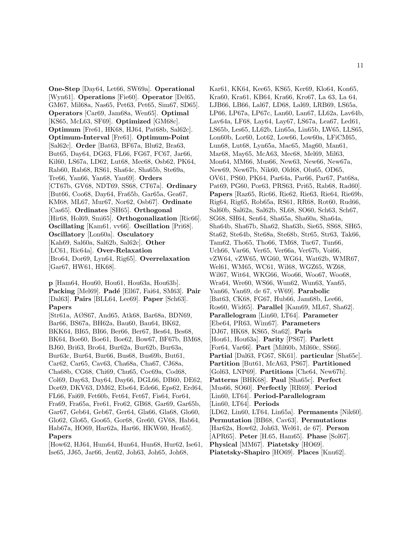**One-Step** [Day64, Let66, SW69a]. **Operational** [Wyn61]. **Operations** [Fie60]. **Operator** [Del65, GM67, Mil68a, Nas65, Pet63, Pet65, Sim67, SD65]. **Operators** [Car69, Jam68a, Wen65]. **Optimal** [KS65, McL63, SF69]. **Optimized** [GM68c]. **Optimum** [Fre61, HK68, HJ64, Pat68b, Sal62c]. **Optimum-Interval** [Fre61]. **Optimum-Point** [Sal62c]. **Order** [Bat63, BF67a, Blu62, Bra63, But65, Day64, DG63, FL66, FG67, FC67, Jar66, Kil60, LS67a, LD62, Lut68, Mec68, Osb62, PK64, Rab60, Rab68, RS61, Sha64c, Sha65b, Ste69a, Tre66, Yan66, Yan68, Yan69]. **Orders** [CT67b, GV68, NDT69, SS68, CT67a]. **Ordinary** [But66, Coo68, Day64, Fra65b, Gar65a, Gea67, KM68, ML67, Mur67, Nor62, Osb67]. **Ordinate** [Cas65]. **Ordinates** [SH65]. **Orthogonal** [Hir68, Hol69, Smi65]. **Orthogonalization** [Ric66]. **Oscillating** [Kam61, vv66]. **Oscillation** [Pri68]. **Oscillatory** [Lon60a]. **Osculatory** [Kah69, Sal60a, Sal62b, Sal62c]. **Other** [LC61, Ric64a]. **Over-Relaxation** [Bro64, Dor69, Lyn64, Rig65]. **Overrelaxation** [Gar67, HW61, HK68].

**p** [Ham64, Hou60, Hou61, Hou63a, Hou63b]. **Packing** [Mel69]. **Pad´e** [Ell67, Fai64, SM63]. **Pair** [Dal63]. **Pairs** [BLL64, Lee69]. **Paper** [Sch63]. **Papers**

[Str61a, AØS67, And65, Atk68, Bar68a, BDN69, Bar66, BS67a, BH62a, Bau60, Bau64, BK62, BKK64, BI65, BI66, Ber66, Ber67, Bes64, Bes68, BK64, Boe60, Boe61, Boe62, Bow67, BF67b, BM68, BJ60, Bri63, Bro64, Bur62a, Bur62b, Bur63a, Bur63c, Bur64, Bur66, Bus68, Bus69b, But61, Car62, Car65, Cav63, Cha68a, Cha67, CJ68a, Cha68b, CG68, Chi69, Chu65, Coc69a, Cod68, Col69, Day63, Day64, Day66, DGL66, DB60, DE62, Dor69, DKV63, DM62, Ebe64, Ede66, Eps62, Erd64, FL66, Fai69, Fet60b, Fet64, Fet67, Fis64, For64, Fra69, Fra65a, Fre61, Fro62, GB68, Gar69, Gar65b, Gar67, Geb64, Geb67, Ger64, Gla66, Gla68, Glo60, Glo62, Glo65, Goo65, Gor68, Gre60, GV68, Hab64, Hab67a, HO69, Har62a, Har66, HKW60, Hea65]. **Papers**

[How62, HJ64, Hum64, Hun64, Hun68, Hur62, Ise61, Ise65, JJ65, Jar66, Jen62, Joh63, Joh65, Joh68,

Kar61, KK64, Kee65, KS65, Ker69, Klo64, Kon65, Kra60, Kra61, KB64, Kra66, Kro67, La 63, La 64, LJB66, LB66, Lal67, LD68, Lal69, LRB69, LS65a, LP66, LP67a, LP67c, Lan60, Lan67, LL62a, Lav64b, Lav64a, LF68, Lay64, Lay67, LS67a, Lea67, Led61, LS65b, Les65, LL62b, Lin65a, Lin65b, LW65, LLS65, Lon60b, Lor60, Lot62, Low66, Low60a, LFiCM65, Lun68, Lut68, Lyn65a, Mac65, Mag60, Man61, Mar68, May65, McA63, Mec68, Mel69, Mil63, Mon64, MM66, Mus66, New63, New66, New67a, New69, New67b, Nik60, Old68, Olu65, OD65, OV61, PS60, PK64, Par64a, Par66, Par67, Pat68a, Pat69, PG60, Por63, PRS63, Pri65, Rab68, Rad60]. **Papers** [Raz65, Ric66, Rie62, Rie63, Rie64, Rie69b, Rig64, Rig65, Rob65a, RS61, RR68, Rot60, Rud66, Sal60b, Sal62a, Sal62b, SL68, SO60, Sch63, Sch67, SG68, SH64, Sen64, Sha65a, Sha60a, Sha64a, Sha64b, Sha67b, Sha62, Sha63b, Sie65, SS68, SH65, Sta62, Ste64b, Ste68a, Ste68b, Str65, Str63, Tak66, Tam62, Tho65, Tho66, TM68, Tuc67, Tun66, Uch66, Var66, Ver65, Ver66a, Ver67b, Voi66, vZW64, vZW65, WG60, WG64, Wat62b, WMR67, Wel61, WM65, WC61, Wil68, WGZ65, WZ68, Wil67, Wit64, WKG66, Woo66, Woo67, Woo68, Wra64, Wre60, WS66, Wun62, Wun63, Yan65, Yan66, Yan69, de 67, vW69]. **Parabolic** [Bat63, CK68, FG67, Hub66, Jam68b, Lee66, Ros60, Wid65]. **Parallel** [Kam69, ML67, Sha62]. **Parallelogram** [Lin60, LT64]. **Parameter** [Ebe64, PR63, Wim67]. **Parameters** [DJ67, HK68, KS65, Sta62]. **Paris** [Hou61, Hou63a]. **Parity** [PS67]. **Parlett** [For64, Var66]. **Part** [Mil60b, Mil60c, SS66]. **Partial** [Dal63, FG67, SK61]. **particular** [Sha65c]. **Partition** [But61, McA63, PS67]. **Partitioned** [Gol63, LNP69]. **Partitions** [Che64, New67b]. **Patterns** [BHK68]. **Paul** [Sha65c]. **Perfect** [Mus66, SO60]. **Perfectly** [RR69]. **Period** [Lin60, LT64]. **Period-Parallelogram** [Lin60, LT64]. **Periods** [LD62, Lin60, LT64, Lin65a]. **Permanents** [Nik60]. **Permutation** [BB68, Cav63]. **Permutations** [Har62a, How62, Joh63, Wel61, de 67]. **Person** [APR65]. **Peter** [H.65, Ham65]. **Phase** [Sol67]. **Physical** [MM67]. **Piatetsky** [HO69]. **Piatetsky-Shapiro** [HO69]. **Places** [Knu62].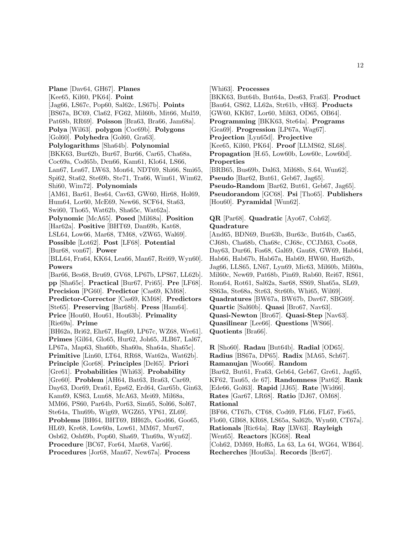**Plane** [Dav64, GH67]. **Planes** [Kee65, Kil60, PK64]. **Point** [Jag66, LS67c, Pop60, Sal62c, LS67b]. **Points** [BS67a, BC69, Cla62, FG62, Mil60b, Mit66, Mul59, Pat68b, RR69]. **Poisson** [Bra63, Bra66, Jam68a]. **Polya** [Wil63]. **polygon** [Coc69b]. **Polygons** [Gol60]. **Polyhedra** [Gol60, Gra63]. **Polylogarithms** [Sha64b]. **Polynomial** [BKK63, Bur62b, Bur67, Bur66, Car65, Cha68a, Coc69a, Cod65b, Den66, Kam61, Klo64, LS66, Lan67, Lea67, LW63, Mon64, NDT69, Shi66, Smi65, Spi62, Sta62, Ste69b, Ste71, Tra66, Wim61, Wim62, Shi60, Wim72]. **Polynomials** [AM61, Bar61, Bes64, Cav63, GW60, Hir68, Hol69, Hum64, Lor60, McE69, New66, SCF64, Sta63, Swi60, Tho65, Wat62b, Sha65c, Wat62a]. **Polynomic** [McA65]. **Posed** [Mil68a]. **Position** [Har62a]. **Positive** [BHT69, Dan69b, Kat68, LSL64, Low66, Mar68, TM68, vZW65, Wal69]. **Possible** [Lot62]. **Post** [LF68]. **Potential** [Bur68, von67]. **Power** [BLL64, Fra64, KK64, Lea66, Man67, Rei69, Wyn60]. **Powers** [Bar66, Bes68, Bru69, GV68, LP67b, LPS67, LL62b]. **pp** [Sha65c]. **Practical** [Bur67, Pri65]. **Pre** [LF68]. **Precision** [PG60]. **Predictor** [Cas69, KM68]. **Predictor-Corrector** [Cas69, KM68]. **Predictors** [Ste65]. **Preserving** [Bar68b]. **Press** [Ham64]. **Price** [Hou60, Hou61, Hou63b]. **Primality** [Rie69a]. **Prime** [BH62a, Bri62, Ehr67, Hag69, LP67c, WZ68, Wre61]. **Primes** [Gil64, Glo65, Hur62, Joh65, JLB67, Lal67, LP67a, Map63, Sha60b, Sha60a, Sha64a, Sha65c]. **Primitive** [Lin60, LT64, RR68, Wat62a, Wat62b]. **Principle** [Gor68]. **Principles** [Del65]. **Priori** [Gre61]. **Probabilities** [Whi63]. **Probability** [Gre60]. **Problem** [AH64, Bat63, Bra63, Car69, Day63, Dor69, Dra61, Eps62, Erd64, Gar65b, Gin63, Kam69, KS63, Lun68, McA63, Mei69, Mil68a, MM66, PS60, Par64b, Por63, Sim65, Sol66, Sol67, Ste64a, Thu69b, Wig69, WGZ65, YP61, ZL69]. **Problems** [BH64, BHT69, BH62b, God66, Goo65, HL69, Kre68, Low60a, Low61, MM67, Mur67, Osb62, Osh69b, Pop60, Sha69, Thu69a, Wyn62]. **Procedure** [BC67, For64, Mar68, Var66].

**Procedures** [Jor68, Man67, New67a]. **Process**

[Whi63]. **Processes**

[BKK63, But64b, But64a, Des63, Fra63]. **Product** [Bau64, GS62, LL62a, Str61b, vH63]. **Products** [GW60, KKI67, Lor60, Mil63, OD65, OB64]. **Programming** [BKK63, Ste64a]. **Programs** [Gea69]. **Progression** [LP67a, Wag67]. **Projection** [Lyn65d]. **Projective** [Kee65, Kil60, PK64]. **Proof** [LLMS62, SL68]. **Propagation** [H.65, Low60b, Low60c, Low60d]. **Properties** [BRB65, Bus69b, Dal63, Mil68b, S.64, Wun62]. **Pseudo** [Bar62, But61, Geb67, Jag65]. **Pseudo-Random** [Bar62, But61, Geb67, Jag65]. **Pseudorandom** [GC68]. **Psi** [Tho65]. **Publishers** [Hou60]. **Pyramidal** [Wun62].

# **QR** [Par68]. **Quadratic** [Ayo67, Coh62]. **Quadrature**

[And65, BDN69, Bur63b, Bur63c, But64b, Cas65, CJ68b, Cha68b, Cha68c, CJ68c, CCJM63, Coo68, Day63, Dur66, Fos68, Gal69, Gau68, GW69, Hab64, Hab66, Hab67b, Hab67a, Hab69, HW60, Har62b, Jag66, LLS65, LN67, Lyn69, Mic63, Mil60b, Mil60a, Mil60c, New69, Pat68b, Pin69, Rab60, Rei67, RS61, Rom64, Rot61, Sal62a, Sar68, SS69, Sha65a, SL69, SS63a, Ste68a, Str63, Str60b, Whi65, Wil69]. **Quadratures** [BW67a, BW67b, Dav67, SBG69]. **Quartic** [Sal60b]. **Quasi** [Bro67, Nav63]. **Quasi-Newton** [Bro67]. **Quasi-Step** [Nav63]. **Quasilinear** [Lee66]. **Questions** [WS66]. **Quotients** [Bra66].

**R** [Sho60]. **Radau** [But64b]. **Radial** [OD65]. **Radius** [BS67a, DP65]. **Radix** [MA65, Sch67]. **Ramanujan** [Woo66]. **Random** [Bar62, But61, Fra63, Geb64, Geb67, Gre61, Jag65, KF62, Tau65, de 67]. **Randomness** [Pat62]. **Rank** [Ede66, Gol63]. **Rapid** [JJ65]. **Rate** [Wid66]. **Rates** [Gar67, LR68]. **Ratio** [DJ67, OM68]. **Rational** [BF66, CT67b, CT68, Cod69, FL66, FL67, Fie65, Flo60, GB68, KR68, LS65a, Sal62b, Wyn60, CT67a]. **Rationals** [Ric64a]. **Ray** [LW63]. **Rayleigh** [Wen65]. **Reactors** [KG68]. **Real** [Coh62, DM69, Hof65, La 63, La 64, WG64, WB64].

**Recherches** [Hou63a]. **Records** [Ber67].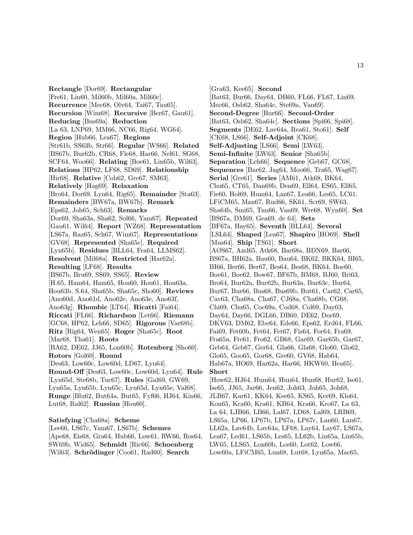**Rectangle** [Dor69]. **Rectangular** [Fre61, Lin60, Mil60b, Mil60a, Mil60c]. **Recurrence** [Mec68, Olv64, Tai67, Tau65]. **Recursion** [Wim68]. **Recursive** [Ber67, Gau61]. **Reducing** [Bus69a]. **Reduction** [La 63, LNP69, MM66, NC66, Rig64, WG64]. **Region** [Hub66, Lea67]. **Regions** [Str61b, SS63b, Str66]. **Regular** [WS66]. **Related** [BS67b, Bur62b, CR68, Fle68, Har66, Nel61, SG68, SCF64, Woo66]. **Relating** [Boe61, Lin65b, Wil63]. **Relations** [HP62, LF68, SD69]. **Relationship** [Hir68]. **Relative** [Coh62, Gre67, SM63]. **Relatively** [Hag69]. **Relaxation** [Bro64, Dor69, Lyn64, Rig65]. **Remainder** [Sta63]. **Remainders** [BW67a, BW67b]. **Remark** [Eps62, Joh65, Sch63]. **Remarks** [Dor69, Sha63a, Sha62, Sol66, Yam67]. **Repeated** [Gau61, Wil64]. **Report** [WZ68]. **Representation** [LS67a, Raz65, Sch67, Wim67]. **Representations** [GV68]. **Represented** [Sha65c]. **Required** [Lyn65b]. **Residues** [BLL64, Fra64, LLMS62]. **Resolvent** [Mil68a]. **Restricted** [Har62a]. **Resulting** [LF68]. **Results** [BS67b, Bru69, SS69, SS65]. **Review** [H.65, Ham64, Ham65, Hou60, Hou61, Hou63a, Hou63b, S.64, Sha65b, Sha65c, Sho60]. **Reviews** [Ano60d, Ano61d, Ano62e, Ano63e, Ano63f, Ano63g]. **Rhombic** [LT64]. **Ricatti** [Fai64]. **Riccati** [FL66]. **Richardson** [Let66]. **Riemann** [GC68, HP62, Leh66, SD65]. **Rigorous** [Var68b]. **Ritz** [Rig64, Wen65]. **Roger** [Sha65c]. **Root** [Mar68, Tha61]. **Roots** [BA62, DE62, JJ65, Lon60b]. **Rotenberg** [Sho60]. **Rotors** [Gol60]. **Round** [Des63, Low60c, Low60d, LD67, Lyn64]. **Round-Off** [Des63, Low60c, Low60d, Lyn64]. **Rule** [Lyn65d, Ste68b, Tuc67]. **Rules** [Gal69, GW69, Lyn65a, Lyn65b, Lyn65c, Lyn65d, Lyn65e, Val68]. **Runge** [Blu62, But64a, But65, Fyf66, HJ64, Kin66, Lut68, Ral62]. **Russian** [Hou60].

**Satisfying** [Cha68a]. **Scheme** [Lee66, LS67c, Yam67, LS67b]. **Schemes** [Ape68, Eis68, Gra64, Hub66, Low61, RW66, Ros64, SW69b, Wid65]. **Schmidt** [Ric66]. **Schoenberg** [Wil63]. **Schr¨odinger** [Coo61, Rad60]. **Search**

[Gra63, Kee65]. **Second** [Bat63, Bur66, Day64, DB60, FL66, FL67, Lin69, Mec66, Osb62, Sha64c, Ste69a, Van69]. **Second-Degree** [Bur66]. **Second-Order** [Bat63, Osb62, Sha64c]. **Sections** [Spi66, Spi68]. **Segments** [DE62, Lav64a, Rea61, Sto61]. **Self** [CK68, LS66]. **Self-Adjoint** [CK68]. **Self-Adjusting** [LS66]. **Semi** [LW63]. **Semi-Infinite** [LW63]. **Senior** [Sha65b]. **Separation** [Leh66]. **Sequence** [Geb67, GC68]. **Sequences** [Bar62, Jag64, Moo66, Tra65, Wag67]. **Serial** [Gre61]. **Series** [AM61, Atk68, BK64, Chu65, CT65, Dan69b, Den69, Ell64, ES65, Ell65, Fie60, Hol69, Hum64, Lan67, Lea66, Les65, LC61, LFiCM65, Man67, Rud66, SK61, Scr69, SW63, Sha64b, Smi65, Tun66, Van69, Wre68, Wyn60]. **Set** [BS67a, DM69, Gea69, de 64]. **Sets** [BF67a, Hay65]. **Seventh** [BLL64]. **Several** [LSL64]. **Shaped** [Lea67]. **Shapiro** [HO69]. **Shell** [Mus64]. **Ship** [TS61]. **Short** [AØS67, And65, Atk68, Bar68a, BDN69, Bar66, BS67a, BH62a, Bau60, Bau64, BK62, BKK64, BI65, BI66, Ber66, Ber67, Bes64, Bes68, BK64, Boe60, Boe61, Boe62, Bow67, BF67b, BM68, BJ60, Bri63, Bro64, Bur62a, Bur62b, Bur63a, Bur63c, Bur64, Bur67, Bur66, Bus68, Bus69b, But61, Car62, Car65, Cav63, Cha68a, Cha67, CJ68a, Cha68b, CG68, Chi69, Chu65, Coc69a, Cod68, Col69, Day63, Day64, Day66, DGL66, DB60, DE62, Dor69, DKV63, DM62, Ebe64, Ede66, Eps62, Erd64, FL66, Fai69, Fet60b, Fet64, Fet67, Fis64, For64, Fra69, Fra65a, Fre61, Fro62, GB68, Gar69, Gar65b, Gar67, Geb64, Geb67, Ger64, Gla66, Gla68, Glo60, Glo62, Glo65, Goo65, Gor68, Gre60, GV68, Hab64, Hab67a, HO69, Har62a, Har66, HKW60, Hea65]. **Short** [How62, HJ64, Hum64, Hun64, Hun68, Hur62, Ise61, Ise65, JJ65, Jar66, Jen62, Joh63, Joh65, Joh68, JLB67, Kar61, KK64, Kee65, KS65, Ker69, Klo64, Kon65, Kra60, Kra61, KB64, Kra66, Kro67, La 63, La 64, LJB66, LB66, Lal67, LD68, Lal69, LRB69, LS65a, LP66, LP67b, LP67a, LP67c, Lan60, Lan67,

LL62a, Lav64b, Lav64a, LF68, Lay64, Lay67, LS67a,

Lea67, Led61, LS65b, Les65, LL62b, Lin65a, Lin65b, LW65, LLS65, Lon60b, Lor60, Lot62, Low66,

Low60a, LFiCM65, Lun68, Lut68, Lyn65a, Mac65,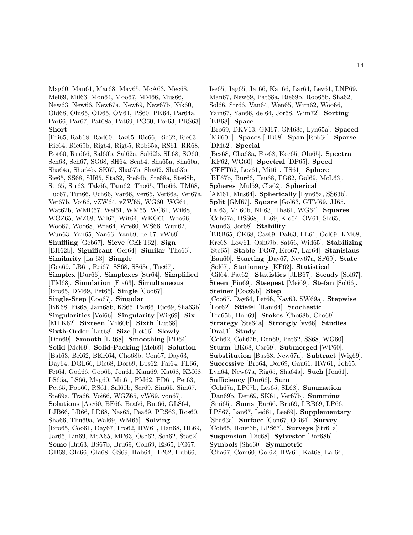Mag60, Man61, Mar68, May65, McA63, Mec68, Mel69, Mil63, Mon64, Moo67, MM66, Mus66, New63, New66, New67a, New69, New67b, Nik60, Old68, Olu65, OD65, OV61, PS60, PK64, Par64a, Par66, Par67, Pat68a, Pat69, PG60, Por63, PRS63]. **Short** [Pri65, Rab68, Rad60, Raz65, Ric66, Rie62, Rie63, Rie64, Rie69b, Rig64, Rig65, Rob65a, RS61, RR68, Rot60, Rud66, Sal60b, Sal62a, Sal62b, SL68, SO60, Sch63, Sch67, SG68, SH64, Sen64, Sha65a, Sha60a, Sha64a, Sha64b, SK67, Sha67b, Sha62, Sha63b, Sie65, SS68, SH65, Sta62, Ste64b, Ste68a, Ste68b, Str65, Str63, Tak66, Tam62, Tho65, Tho66, TM68, Tuc67, Tun66, Uch66, Var66, Ver65, Ver66a, Ver67a, Ver67b, Voi66, vZW64, vZW65, WG60, WG64, Wat62b, WMR67, Wel61, WM65, WC61, Wil68, WGZ65, WZ68, Wil67, Wit64, WKG66, Woo66, Woo67, Woo68, Wra64, Wre60, WS66, Wun62, Wun63, Yan65, Yan66, Yan69, de 67, vW69]. **Shuffling** [Geb67]. **Sieve** [CEFT62]. **Sign** [BH62b]. **Significant** [Ger64]. **Similar** [Tho66]. **Similarity** [La 63]. **Simple** [Gea69, LB61, Rei67, SS68, SS63a, Tuc67]. **Simplex** [Dur66]. **Simplexes** [Str64]. **Simplified** [TM68]. **Simulation** [Fra63]. **Simultaneous** [Bro65, DM69, Pet65]. **Single** [Coo67]. **Single-Step** [Coo67]. **Singular** [BK68, Eis68, Jam68b, KS65, Par66, Ric69, Sha63b]. **Singularities** [Voi66]. **Singularity** [Wig69]. **Six** [MTK62]. **Sixteen** [Mil60b]. **Sixth** [Lut68]. **Sixth-Order** [Lut68]. **Size** [Let66]. **Slowly** [Den69]. **Smooth** [LR68]. **Smoothing** [PD64]. **Solid** [Mel69]. **Solid-Packing** [Mel69]. **Solution** [Bat63, BK62, BKK64, Cho68b, Con67, Day63, Day64, DGL66, Dic68, Dor69, Eps62, Fai64, FL66, Fet64, God66, Goo65, Jon61, Kam69, Kat68, KM68, LS65a, LS66, Mag60, Mit61, PM62, PD61, Pet63, Pet65, Pop60, RS61, Sal60b, Scr69, Sim65, Sim67, Ste69a, Tra66, Voi66, WGZ65, vW69, von67]. **Solutions** [Asc60, BF66, Bra66, But66, GLS64, LJB66, LB66, LD68, Nas65, Pea69, PRS63, Ros60, Sha66, Thu69a, Wal69, WM65]. **Solving** [Bro65, Coo61, Day67, Fro62, HW61, Han68, HL69, Jar66, Lin69, McA65, MP63, Osb62, Sch62, Sta62]. **Some** [Bri63, BS67b, Bru69, Coh69, ES65, FG67, GB68, Gla66, Gla68, GS69, Hab64, HP62, Hub66,

Ise65, Jag65, Jar66, Kan66, Lar64, Lev61, LNP69, Man67, New69, Pat68a, Rie69b, Rob65b, Sha62, Sol66, Str66, Van64, Wen65, Wim62, Woo66, Yam67, Yan66, de 64, Jor68, Wim72]. **Sorting** [BB68]. **Space** [Bro69, DKV63, GM67, GM68c, Lyn65a]. **Spaced** [Mil60b]. **Spaces** [BB68]. **Span** [Rob64]. **Sparse** [DM62]. **Special** [Bes68, Cha68a, Fos68, Kee65, Olu65]. **Spectra** [KF62, WG60]. **Spectral** [DP65]. **Speed** [CEFT62, Lev61, Mit61, TS61]. **Sphere** [BF67b, Bur66, Feu68, FG62, Gol69, McL63]. **Spheres** [Mul59, Cla62]. **Spherical** [AM61, Mus64]. **Spherically** [Lyn65a, SS63b]. **Split** [GM67]. **Square** [Gol63, GTM69, JJ65, La 63, Mil60b, NF63, Tha61, WG64]. **Squares** [Coh67a, DSS68, HL69, Klo64, OV61, Sie65, Wun63, Jor68]. **Stability** [BRB65, CK68, Cas69, Dal63, FL61, Gol69, KM68, Kre68, Low61, Osh69b, Sat66, Wid65]. **Stabilizing** [Ste65]. **Stable** [FG67, Kro67, Lar64]. **Stanislaus** [Bau60]. **Starting** [Day67, New67a, SF69]. **State** [Sol67]. **Stationary** [KF62]. **Statistical** [Gil64, Pat62]. **Statistics** [JLB67]. **Steady** [Sol67]. **Steen** [Pin69]. **Steepest** [Mei69]. **Stefan** [Sol66]. **Steiner** [Coc69b]. **Step** [Coo67, Day64, Let66, Nav63, SW69a]. **Stepwise** [Lot62]. **Stiefel** [Ham64]. **Stochastic** [Fra65b, Hab69]. **Stokes** [Cho68b, Cho69]. **Strategy** [Ste64a]. **Strongly** [vv66]. **Studies** [Dra61]. **Study** [Coh62, Coh67b, Den69, Pat62, SS68, WG60]. **Sturm** [BK68, Car69]. **Submerged** [WP60]. **Substitution** [Bus68, New67a]. **Subtract** [Wig69]. **Successive** [Bro64, Dor69, Gau66, HW61, Joh65, Lyn64, New67a, Rig65, Sha64a]. **Such** [Jon61]. **Sufficiency** [Dur66]. **Sum** [Coh67a, LP67b, Les65, SL68]. **Summation** [Dan69b, Den69, SK61, Ver67b]. **Summing** [Smi65]. **Sums** [Bar66, Bru69, LRB69, LP66, LPS67, Lan67, Led61, Lee69]. **Supplementary** [Sha63a]. **Surface** [Con67, OB64]. **Survey** [Coh65, Hou63b, LPS67]. **Surveys** [Str61a]. **Suspension** [Dic68]. **Sylvester** [Bar68b]. **Symbols** [Sho60]. **Symmetric** [Cha67, Com60, Gol62, HW61, Kat68, La 64,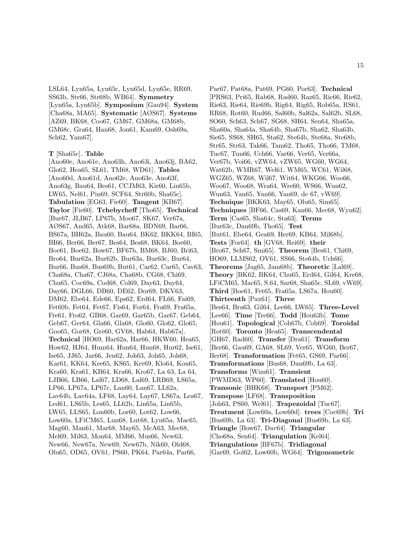LSL64, Lyn65a, Lyn65c, Lyn65d, Lyn65e, RR69, SS63b, Str66, Str68b, WB64]. **Symmetry** [Lyn65a, Lyn65b]. **Symposium** [Gau94]. **System** [Cha68a, MA65]. **Systematic** [AØS67]. **Systems** [AZ69, BK68, Coo67, GM67, GM68a, GM68b, GM68c, Gra64, Han68, Jon61, Kam69, Osh69a, Sch62, Yam67].

#### **T** [Sha65c]. **Table**

[Ano60e, Ano61e, Ano63h, Ano63i, Ano63j, BA62, Glo62, Hea65, SL61, TM68, WD61]. **Tables** [Ano60d, Ano61d, Ano62e, Ano63e, Ano63f, Ano63g, Bau64, Bes61, CCJM63, Kir60, Lin65b, LW65, Nel61, Pin69, SCF64, Str60b, Sha65c]. **Tabulation** [EG63, Fie60]. **Tangent** [KB67]. **Taylor** [Fie60]. **Tchebycheff** [Tho65]. **Technical** [Bur67, JLB67, LP67b, Moo67, SK67, Ver67a, AØS67, And65, Atk68, Bar68a, BDN69, Bar66, BS67a, BH62a, Bau60, Bau64, BK62, BKK64, BI65, BI66, Ber66, Ber67, Bes64, Bes68, BK64, Boe60, Boe61, Boe62, Bow67, BF67b, BM68, BJ60, Bri63, Bro64, Bur62a, Bur62b, Bur63a, Bur63c, Bur64, Bur66, Bus68, Bus69b, But61, Car62, Car65, Cav63, Cha68a, Cha67, CJ68a, Cha68b, CG68, Chi69, Chu65, Coc69a, Cod68, Col69, Day63, Day64, Day66, DGL66, DB60, DE62, Dor69, DKV63, DM62, Ebe64, Ede66, Eps62, Erd64, FL66, Fai69, Fet60b, Fet64, Fet67, Fis64, For64, Fra69, Fra65a, Fre61, Fro62, GB68, Gar69, Gar65b, Gar67, Geb64, Geb67, Ger64, Gla66, Gla68, Glo60, Glo62, Glo65, Goo65, Gor68, Gre60, GV68, Hab64, Hab67a]. **Technical** [HO69, Har62a, Har66, HKW60, Hea65, How62, HJ64, Hum64, Hun64, Hun68, Hur62, Ise61, Ise65, JJ65, Jar66, Jen62, Joh63, Joh65, Joh68, Kar61, KK64, Kee65, KS65, Ker69, Klo64, Kon65, Kra60, Kra61, KB64, Kra66, Kro67, La 63, La 64, LJB66, LB66, Lal67, LD68, Lal69, LRB69, LS65a, LP66, LP67a, LP67c, Lan60, Lan67, LL62a, Lav64b, Lav64a, LF68, Lay64, Lay67, LS67a, Lea67, Led61, LS65b, Les65, LL62b, Lin65a, Lin65b, LW65, LLS65, Lon60b, Lor60, Lot62, Low66, Low60a, LFiCM65, Lun68, Lut68, Lyn65a, Mac65, Mag60, Man61, Mar68, May65, McA63, Mec68, Mel69, Mil63, Mon64, MM66, Mus66, New63, New66, New67a, New69, New67b, Nik60, Old68, Olu65, OD65, OV61, PS60, PK64, Par64a, Par66,

Par67, Pat68a, Pat69, PG60, Por63]. **Technical** [PRS63, Pri65, Rab68, Rad60, Raz65, Ric66, Rie62, Rie63, Rie64, Rie69b, Rig64, Rig65, Rob65a, RS61, RR68, Rot60, Rud66, Sal60b, Sal62a, Sal62b, SL68, SO60, Sch63, Sch67, SG68, SH64, Sen64, Sha65a, Sha60a, Sha64a, Sha64b, Sha67b, Sha62, Sha63b, Sie65, SS68, SH65, Sta62, Ste64b, Ste68a, Ste68b, Str65, Str63, Tak66, Tam62, Tho65, Tho66, TM68, Tuc67, Tun66, Uch66, Var66, Ver65, Ver66a, Ver67b, Voi66, vZW64, vZW65, WG60, WG64, Wat62b, WMR67, Wel61, WM65, WC61, Wil68, WGZ65, WZ68, Wil67, Wit64, WKG66, Woo66, Woo67, Woo68, Wra64, Wre60, WS66, Wun62, Wun63, Yan65, Yan66, Yan69, de 67, vW69]. **Technique** [BKK63, May65, Olu65, Sim65]. **Techniques** [BF66, Cas69, Kan66, Mec68, Wyn62]. **Term** [Cas65, Sha64c, Sta63]. **Terms** [Bur63c, Dan69b, Tho65]. **Test** [But61, Ebe64, Gea69, Her69, KB64, Mil68b]. **Tests** [For64]. **th** [GV68, Rei69]. **their** [Bro67, Sch67, Smi65]. **Theorem** [Bes61, Chi69, HO69, LLMS62, OV61, SS66, Ste64b, Uch66]. **Theorems** [Jag65, Jam68b]. **Theoretic** [Lal69]. **Theory** [BK62, BK64, Chu65, Erd64, Gil64, Kre68, LFiCM65, Mac65, S.64, Sar68, Sha65c, SL69, vW69]. **Third** [Boe61, Fet65, Fra65a, LS67a, Hou60]. **Thirteenth** [Pax61]. **Three** [Bes64, Bra63, Gil64, Lee66, LW65]. **Three-Level** [Lee66]. **Time** [Tre66]. **Todd** [Hou63b]. **Tome** [Hou61]. **Topological** [Coh67b, Coh69]. **Toroidal** [Rot60]. **Toronto** [Hea65]. **Transcendental** [GH67, Rad60]. **Transfer** [Dra61]. **Transform** [Ber66, Gau69, GA68, SL69, Ver65, WG60, Ber67, Ber68]. **Transformation** [Fet65, GS69, Par66]. **Transformations** [Bus68, Dan69b, La 63]. **Transforms** [Wim61]. **Transient** [PWMD63, WP60]. **Translated** [Hou60]. **Transonic** [BHK68]. **Transport** [PM62]. **Transpose** [LF68]. **Transposition** [Joh63, PS60, Wel61]. **Trapezoidal** [Tuc67]. **Treatment** [Low60a, Low60d]. **trees** [Coc69b]. **Tri** [Bus69b, La 63]. **Tri-Diagonal** [Bus69b, La 63]. **Triangle** [Bow67, Dav64]. **Triangular** [Cho68a, Sen64]. **Triangulation** [Kel64]. **Triangulations** [BF67b]. **Tridiagonal** [Gar69, Gol62, Low60b, WG64]. **Trigonometric**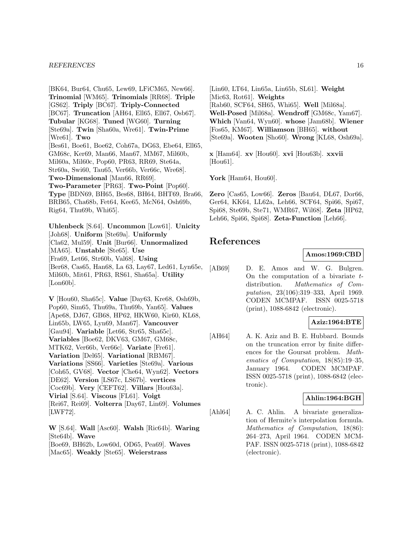[BK64, Bur64, Chu65, Lew69, LFiCM65, New66]. **Trinomial** [WM65]. **Trinomials** [RR68]. **Triple** [GS62]. **Triply** [BC67]. **Triply-Connected** [BC67]. **Truncation** [AH64, Ell65, Ell67, Osb67]. **Tubular** [KG68]. **Tuned** [WG60]. **Turning** [Ste69a]. **Twin** [Sha60a, Wre61]. **Twin-Prime** [Wre61]. **Two** [Bes61, Boe61, Boe62, Coh67a, DG63, Ebe64, Ell65, GM68c, Ker69, Man66, Man67, MM67, Mil60b, Mil60a, Mil60c, Pop60, PR63, RR69, Ste64a, Str60a, Swi60, Tau65, Ver66b, Ver66c, Wre68]. **Two-Dimensional** [Man66, RR69]. **Two-Parameter** [PR63]. **Two-Point** [Pop60]. **Type** [BDN69, BH65, Bes68, BH64, BHT69, Bra66, BRB65, Cha68b, Fet64, Kee65, McN64, Osh69b, Rig64, Thu69b, Whi65].

**Uhlenbeck** [S.64]. **Uncommon** [Low61]. **Unicity** [Joh68]. **Uniform** [Ste69a]. **Uniformly** [Cla62, Mul59]. **Unit** [Bur66]. **Unnormalized** [MA65]. **Unstable** [Ste65]. **Use** [Fra69, Let66, Str60b, Val68]. **Using** [Ber68, Cas65, Han68, La 63, Lay67, Led61, Lyn65e, Mil60b, Mit61, PR63, RS61, Sha65a]. **Utility** [Lon60b].

**V** [Hou60, Sha65c]. **Value** [Day63, Kre68, Osh69b, Pop60, Sim65, Thu69a, Thu69b, Yan65]. **Values** [Ape68, DJ67, GB68, HP62, HKW60, Kir60, KL68, Lin65b, LW65, Lyn69, Man67]. **Vancouver** [Gau94]. **Variable** [Let66, Str65, Sha65c]. **Variables** [Boe62, DKV63, GM67, GM68c, MTK62, Ver66b, Ver66c]. **Variate** [Fre61]. **Variation** [Del65]. **Variational** [RBM67]. **Variations** [SS66]. **Varieties** [Ste69a]. **Various** [Coh65, GV68]. **Vector** [Che64, Wyn62]. **Vectors** [DE62]. **Version** [LS67c, LS67b]. **vertices** [Coc69b]. **Very** [CEFT62]. **Villars** [Hou63a]. **Virial** [S.64]. **Viscous** [FL61]. **Voigt** [Rei67, Rei69]. **Volterra** [Day67, Lin69]. **Volumes** [LWF72].

**W** [S.64]. **Wall** [Asc60]. **Walsh** [Ric64b]. **Waring** [Ste64b]. **Wave** [Boe69, BH62b, Low60d, OD65, Pea69]. **Waves** [Mac65]. **Weakly** [Ste65]. **Weierstrass**

[Lin60, LT64, Lin65a, Lin65b, SL61]. **Weight** [Mic63, Rot61]. **Weights** [Rab60, SCF64, SH65, Whi65]. **Well** [Mil68a]. **Well-Posed** [Mil68a]. **Wendroff** [GM68c, Yam67]. **Which** [Van64, Wyn60]. **whose** [Jam68b]. **Wiener** [Fos65, KM67]. **Williamson** [BH65]. **without** [Ste69a]. **Wooten** [Sho60]. **Wrong** [KL68, Osh69a].

**x** [Ham64]. **xv** [Hou60]. **xvi** [Hou63b]. **xxvii** [Hou61].

**York** [Ham64, Hou60].

**Zero** [Cas65, Low66]. **Zeros** [Bau64, DL67, Dor66, Ger64, KK64, LL62a, Leh66, SCF64, Spi66, Spi67, Spi68, Ste69b, Ste71, WMR67, Wil68]. **Zeta** [HP62, Leh66, Spi66, Spi68]. **Zeta-Function** [Leh66].

# **References**

### **Amos:1969:CBD**

[AB69] D. E. Amos and W. G. Bulgren. On the computation of a bivariate  $t$ distribution. Mathematics of Computation, 23(106):319–333, April 1969. CODEN MCMPAF. ISSN 0025-5718 (print), 1088-6842 (electronic).

# **Aziz:1964:BTE**

[AH64] A. K. Aziz and B. E. Hubbard. Bounds on the truncation error by finite differences for the Goursat problem. Mathematics of Computation, 18(85):19–35, January 1964. CODEN MCMPAF. ISSN 0025-5718 (print), 1088-6842 (electronic).

### **Ahlin:1964:BGH**

[Ahl64] A. C. Ahlin. A bivariate generalization of Hermite's interpolation formula. Mathematics of Computation, 18(86): 264–273, April 1964. CODEN MCM-PAF. ISSN 0025-5718 (print), 1088-6842 (electronic).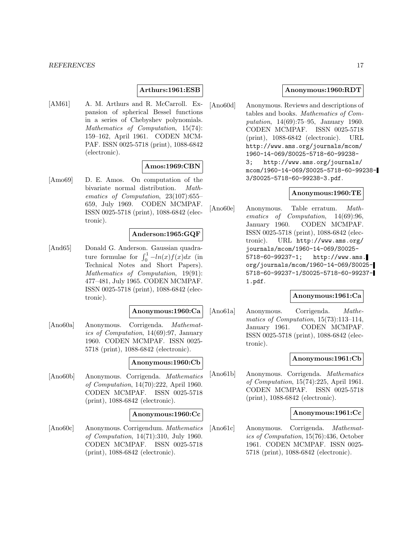### **Arthurs:1961:ESB**

[AM61] A. M. Arthurs and R. McCarroll. Expansion of spherical Bessel functions in a series of Chebyshev polynomials. Mathematics of Computation, 15(74): 159–162, April 1961. CODEN MCM-PAF. ISSN 0025-5718 (print), 1088-6842 (electronic).

# **Amos:1969:CBN**

[Amo69] D. E. Amos. On computation of the bivariate normal distribution. Mathematics of Computation, 23(107):655– 659, July 1969. CODEN MCMPAF. ISSN 0025-5718 (print), 1088-6842 (electronic).

# **Anderson:1965:GQF**

[And65] Donald G. Anderson. Gaussian quadrature formulae for  $\int_0^1 -ln(x)f(x)dx$  (in Technical Notes and Short Papers). Mathematics of Computation, 19(91): 477–481, July 1965. CODEN MCMPAF. ISSN 0025-5718 (print), 1088-6842 (electronic).

### **Anonymous:1960:Ca**

[Ano60a] Anonymous. Corrigenda. Mathematics of Computation, 14(69):97, January 1960. CODEN MCMPAF. ISSN 0025- 5718 (print), 1088-6842 (electronic).

#### **Anonymous:1960:Cb**

[Ano60b] Anonymous. Corrigenda. Mathematics of Computation, 14(70):222, April 1960. CODEN MCMPAF. ISSN 0025-5718 (print), 1088-6842 (electronic).

# **Anonymous:1960:Cc**

[Ano60c] Anonymous. Corrigendum. Mathematics of Computation, 14(71):310, July 1960. CODEN MCMPAF. ISSN 0025-5718 (print), 1088-6842 (electronic).

### **Anonymous:1960:RDT**

[Ano60d] Anonymous. Reviews and descriptions of tables and books. Mathematics of Computation, 14(69):75–95, January 1960. CODEN MCMPAF. ISSN 0025-5718 (print), 1088-6842 (electronic). URL http://www.ams.org/journals/mcom/ 1960-14-069/S0025-5718-60-99238- 3; http://www.ams.org/journals/ mcom/1960-14-069/S0025-5718-60-99238- 3/S0025-5718-60-99238-3.pdf.

### **Anonymous:1960:TE**

[Ano60e] Anonymous. Table erratum. Mathematics of Computation, 14(69):96, January 1960. CODEN MCMPAF. ISSN 0025-5718 (print), 1088-6842 (electronic). URL http://www.ams.org/ journals/mcom/1960-14-069/S0025- 5718-60-99237-1; http://www.ams. org/journals/mcom/1960-14-069/S0025- 5718-60-99237-1/S0025-5718-60-99237- 1.pdf.

#### **Anonymous:1961:Ca**

[Ano61a] Anonymous. Corrigenda. Mathematics of Computation, 15(73):113–114, January 1961. CODEN MCMPAF. ISSN 0025-5718 (print), 1088-6842 (electronic).

# **Anonymous:1961:Cb**

[Ano61b] Anonymous. Corrigenda. Mathematics of Computation, 15(74):225, April 1961. CODEN MCMPAF. ISSN 0025-5718 (print), 1088-6842 (electronic).

### **Anonymous:1961:Cc**

[Ano61c] Anonymous. Corrigenda. Mathematics of Computation, 15(76):436, October 1961. CODEN MCMPAF. ISSN 0025- 5718 (print), 1088-6842 (electronic).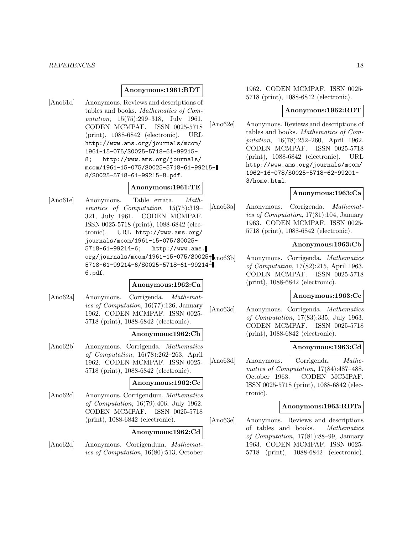### **Anonymous:1961:RDT**

[Ano61d] Anonymous. Reviews and descriptions of tables and books. Mathematics of Computation, 15(75):299–318, July 1961. CODEN MCMPAF. ISSN 0025-5718 (print), 1088-6842 (electronic). URL http://www.ams.org/journals/mcom/ 1961-15-075/S0025-5718-61-99215- 8; http://www.ams.org/journals/ mcom/1961-15-075/S0025-5718-61-99215- 8/S0025-5718-61-99215-8.pdf.

### **Anonymous:1961:TE**

[Ano61e] Anonymous. Table errata. Mathematics of Computation, 15(75):319– 321, July 1961. CODEN MCMPAF. ISSN 0025-5718 (print), 1088-6842 (electronic). URL http://www.ams.org/ journals/mcom/1961-15-075/S0025- 5718-61-99214-6; http://www.ams.  $org/journals/mcom/1961-15-075/S0025f_{10063b}$ 5718-61-99214-6/S0025-5718-61-99214- 6.pdf.

#### **Anonymous:1962:Ca**

[Ano62a] Anonymous. Corrigenda. Mathematics of Computation, 16(77):126, January 1962. CODEN MCMPAF. ISSN 0025- 5718 (print), 1088-6842 (electronic).

### **Anonymous:1962:Cb**

[Ano62b] Anonymous. Corrigenda. Mathematics of Computation, 16(78):262–263, April 1962. CODEN MCMPAF. ISSN 0025- 5718 (print), 1088-6842 (electronic).

#### **Anonymous:1962:Cc**

[Ano62c] Anonymous. Corrigendum. Mathematics of Computation, 16(79):406, July 1962. CODEN MCMPAF. ISSN 0025-5718 (print), 1088-6842 (electronic).

#### **Anonymous:1962:Cd**

[Ano62d] Anonymous. Corrigendum. Mathematics of Computation, 16(80):513, October

1962. CODEN MCMPAF. ISSN 0025- 5718 (print), 1088-6842 (electronic).

# **Anonymous:1962:RDT**

[Ano62e] Anonymous. Reviews and descriptions of tables and books. Mathematics of Computation, 16(78):252–260, April 1962. CODEN MCMPAF. ISSN 0025-5718 (print), 1088-6842 (electronic). URL http://www.ams.org/journals/mcom/ 1962-16-078/S0025-5718-62-99201- 3/home.html.

# **Anonymous:1963:Ca**

[Ano63a] Anonymous. Corrigenda. Mathematics of Computation, 17(81):104, January 1963. CODEN MCMPAF. ISSN 0025- 5718 (print), 1088-6842 (electronic).

# **Anonymous:1963:Cb**

Anonymous. Corrigenda. Mathematics of Computation, 17(82):215, April 1963. CODEN MCMPAF. ISSN 0025-5718 (print), 1088-6842 (electronic).

#### **Anonymous:1963:Cc**

[Ano63c] Anonymous. Corrigenda. Mathematics of Computation, 17(83):335, July 1963. CODEN MCMPAF. ISSN 0025-5718 (print), 1088-6842 (electronic).

#### **Anonymous:1963:Cd**

[Ano63d] Anonymous. Corrigenda. Mathematics of Computation, 17(84):487–488, October 1963. CODEN MCMPAF. ISSN 0025-5718 (print), 1088-6842 (electronic).

# **Anonymous:1963:RDTa**

[Ano63e] Anonymous. Reviews and descriptions of tables and books. Mathematics of Computation, 17(81):88–99, January 1963. CODEN MCMPAF. ISSN 0025- 5718 (print), 1088-6842 (electronic).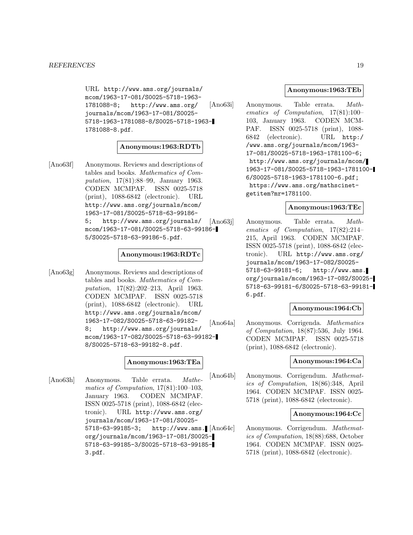URL http://www.ams.org/journals/ mcom/1963-17-081/S0025-5718-1963- 1781088-8; http://www.ams.org/ journals/mcom/1963-17-081/S0025- 5718-1963-1781088-8/S0025-5718-1963- 1781088-8.pdf.

# **Anonymous:1963:RDTb**

[Ano63f] Anonymous. Reviews and descriptions of tables and books. Mathematics of Computation, 17(81):88–99, January 1963. CODEN MCMPAF. ISSN 0025-5718 (print), 1088-6842 (electronic). URL http://www.ams.org/journals/mcom/ 1963-17-081/S0025-5718-63-99186- 5; http://www.ams.org/journals/ mcom/1963-17-081/S0025-5718-63-99186- 5/S0025-5718-63-99186-5.pdf.

#### **Anonymous:1963:RDTc**

[Ano63g] Anonymous. Reviews and descriptions of tables and books. Mathematics of Computation, 17(82):202–213, April 1963. CODEN MCMPAF. ISSN 0025-5718 (print), 1088-6842 (electronic). URL http://www.ams.org/journals/mcom/ 1963-17-082/S0025-5718-63-99182- 8; http://www.ams.org/journals/ mcom/1963-17-082/S0025-5718-63-99182- 8/S0025-5718-63-99182-8.pdf.

# **Anonymous:1963:TEa**

[Ano63h] Anonymous. Table errata. Mathematics of Computation, 17(81):100–103, January 1963. CODEN MCMPAF. ISSN 0025-5718 (print), 1088-6842 (electronic). URL http://www.ams.org/ journals/mcom/1963-17-081/S0025- 5718-63-99185-3; http://www.ams. org/journals/mcom/1963-17-081/S0025- 5718-63-99185-3/S0025-5718-63-99185- 3.pdf.

# **Anonymous:1963:TEb**

[Ano63i] Anonymous. Table errata. Mathematics of Computation, 17(81):100– 103, January 1963. CODEN MCM-PAF. ISSN 0025-5718 (print), 1088- 6842 (electronic). URL http:/ /www.ams.org/journals/mcom/1963- 17-081/S0025-5718-1963-1781100-6; http://www.ams.org/journals/mcom/ 1963-17-081/S0025-5718-1963-1781100- 6/S0025-5718-1963-1781100-6.pdf; https://www.ams.org/mathscinetgetitem?mr=1781100.

### **Anonymous:1963:TEc**

[Ano63j] Anonymous. Table errata. Mathematics of Computation, 17(82):214– 215, April 1963. CODEN MCMPAF. ISSN 0025-5718 (print), 1088-6842 (electronic). URL http://www.ams.org/ journals/mcom/1963-17-082/S0025- 5718-63-99181-6; http://www.ams. org/journals/mcom/1963-17-082/S0025- 5718-63-99181-6/S0025-5718-63-99181- 6.pdf.

### **Anonymous:1964:Cb**

[Ano64a] Anonymous. Corrigenda. Mathematics of Computation, 18(87):536, July 1964. CODEN MCMPAF. ISSN 0025-5718 (print), 1088-6842 (electronic).

# **Anonymous:1964:Ca**

[Ano64b] Anonymous. Corrigendum. Mathematics of Computation, 18(86):348, April 1964. CODEN MCMPAF. ISSN 0025- 5718 (print), 1088-6842 (electronic).

# **Anonymous:1964:Cc**

Anonymous. Corrigendum. Mathematics of Computation, 18(88):688, October 1964. CODEN MCMPAF. ISSN 0025- 5718 (print), 1088-6842 (electronic).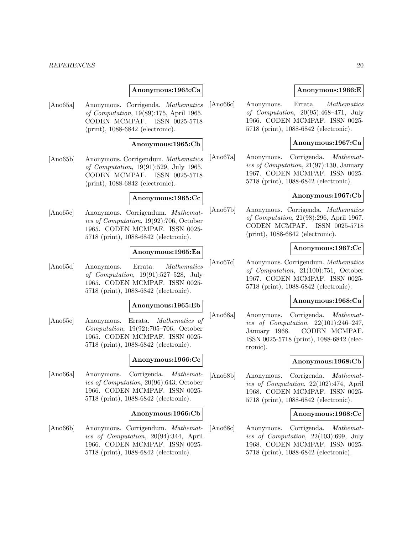### **Anonymous:1965:Ca**

[Ano65a] Anonymous. Corrigenda. Mathematics of Computation, 19(89):175, April 1965. CODEN MCMPAF. ISSN 0025-5718 (print), 1088-6842 (electronic).

# **Anonymous:1965:Cb**

[Ano65b] Anonymous. Corrigendum. Mathematics of Computation, 19(91):529, July 1965. CODEN MCMPAF. ISSN 0025-5718 (print), 1088-6842 (electronic).

# **Anonymous:1965:Cc**

[Ano65c] Anonymous. Corrigendum. Mathematics of Computation, 19(92):706, October 1965. CODEN MCMPAF. ISSN 0025- 5718 (print), 1088-6842 (electronic).

### **Anonymous:1965:Ea**

[Ano65d] Anonymous. Errata. Mathematics of Computation, 19(91):527–528, July 1965. CODEN MCMPAF. ISSN 0025- 5718 (print), 1088-6842 (electronic).

#### **Anonymous:1965:Eb**

[Ano65e] Anonymous. Errata. Mathematics of Computation, 19(92):705–706, October 1965. CODEN MCMPAF. ISSN 0025- 5718 (print), 1088-6842 (electronic).

# **Anonymous:1966:Cc**

[Ano66a] Anonymous. Corrigenda. Mathematics of Computation, 20(96):643, October 1966. CODEN MCMPAF. ISSN 0025- 5718 (print), 1088-6842 (electronic).

#### **Anonymous:1966:Cb**

[Ano66b] Anonymous. Corrigendum. Mathematics of Computation, 20(94):344, April 1966. CODEN MCMPAF. ISSN 0025- 5718 (print), 1088-6842 (electronic).

# **Anonymous:1966:E**

[Ano66c] Anonymous. Errata. Mathematics of Computation, 20(95):468–471, July 1966. CODEN MCMPAF. ISSN 0025- 5718 (print), 1088-6842 (electronic).

# **Anonymous:1967:Ca**

[Ano67a] Anonymous. Corrigenda. Mathematics of Computation, 21(97):130, January 1967. CODEN MCMPAF. ISSN 0025- 5718 (print), 1088-6842 (electronic).

### **Anonymous:1967:Cb**

[Ano67b] Anonymous. Corrigenda. Mathematics of Computation, 21(98):296, April 1967. CODEN MCMPAF. ISSN 0025-5718 (print), 1088-6842 (electronic).

### **Anonymous:1967:Cc**

[Ano67c] Anonymous. Corrigendum. Mathematics of Computation, 21(100):751, October 1967. CODEN MCMPAF. ISSN 0025- 5718 (print), 1088-6842 (electronic).

# **Anonymous:1968:Ca**

[Ano68a] Anonymous. Corrigenda. Mathematics of Computation, 22(101):246–247, January 1968. CODEN MCMPAF. ISSN 0025-5718 (print), 1088-6842 (electronic).

# **Anonymous:1968:Cb**

[Ano68b] Anonymous. Corrigenda. Mathematics of Computation, 22(102):474, April 1968. CODEN MCMPAF. ISSN 0025- 5718 (print), 1088-6842 (electronic).

# **Anonymous:1968:Cc**

[Ano68c] Anonymous. Corrigenda. Mathematics of Computation, 22(103):699, July 1968. CODEN MCMPAF. ISSN 0025- 5718 (print), 1088-6842 (electronic).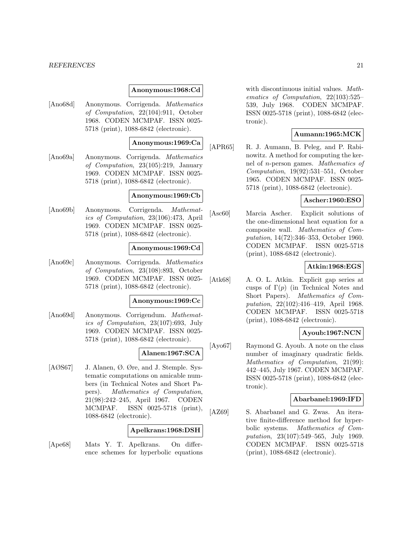### **Anonymous:1968:Cd**

[Ano68d] Anonymous. Corrigenda. Mathematics of Computation, 22(104):911, October 1968. CODEN MCMPAF. ISSN 0025- 5718 (print), 1088-6842 (electronic).

# **Anonymous:1969:Ca**

[Ano69a] Anonymous. Corrigenda. Mathematics of Computation, 23(105):219, January 1969. CODEN MCMPAF. ISSN 0025- 5718 (print), 1088-6842 (electronic).

#### **Anonymous:1969:Cb**

[Ano69b] Anonymous. Corrigenda. Mathematics of Computation, 23(106):473, April 1969. CODEN MCMPAF. ISSN 0025- 5718 (print), 1088-6842 (electronic).

### **Anonymous:1969:Cd**

[Ano69c] Anonymous. Corrigenda. Mathematics of Computation, 23(108):893, October 1969. CODEN MCMPAF. ISSN 0025- 5718 (print), 1088-6842 (electronic).

# **Anonymous:1969:Cc**

[Ano69d] Anonymous. Corrigendum. Mathematics of Computation, 23(107):693, July 1969. CODEN MCMPAF. ISSN 0025- 5718 (print), 1088-6842 (electronic).

# **Alanen:1967:SCA**

[AØS67] J. Alanen, Ø. Øre, and J. Stemple. Systematic computations on amicable numbers (in Technical Notes and Short Papers). Mathematics of Computation, 21(98):242–245, April 1967. CODEN MCMPAF. ISSN 0025-5718 (print), 1088-6842 (electronic).

# **Apelkrans:1968:DSH**

[Ape68] Mats Y. T. Apelkrans. On difference schemes for hyperbolic equations with discontinuous initial values. Mathematics of Computation, 22(103):525– 539, July 1968. CODEN MCMPAF. ISSN 0025-5718 (print), 1088-6842 (electronic).

# **Aumann:1965:MCK**

[APR65] R. J. Aumann, B. Peleg, and P. Rabinowitz. A method for computing the kernel of n-person games. Mathematics of Computation, 19(92):531–551, October 1965. CODEN MCMPAF. ISSN 0025- 5718 (print), 1088-6842 (electronic).

# **Ascher:1960:ESO**

[Asc60] Marcia Ascher. Explicit solutions of the one-dimensional heat equation for a composite wall. Mathematics of Computation, 14(72):346–353, October 1960. CODEN MCMPAF. ISSN 0025-5718 (print), 1088-6842 (electronic).

# **Atkin:1968:EGS**

[Atk68] A. O. L. Atkin. Explicit gap series at cusps of  $\Gamma(p)$  (in Technical Notes and Short Papers). Mathematics of Computation, 22(102):416–419, April 1968. CODEN MCMPAF. ISSN 0025-5718 (print), 1088-6842 (electronic).

# **Ayoub:1967:NCN**

[Ayo67] Raymond G. Ayoub. A note on the class number of imaginary quadratic fields. Mathematics of Computation, 21(99): 442–445, July 1967. CODEN MCMPAF. ISSN 0025-5718 (print), 1088-6842 (electronic).

#### **Abarbanel:1969:IFD**

[AZ69] S. Abarbanel and G. Zwas. An iterative finite-difference method for hyperbolic systems. Mathematics of Computation, 23(107):549–565, July 1969. CODEN MCMPAF. ISSN 0025-5718 (print), 1088-6842 (electronic).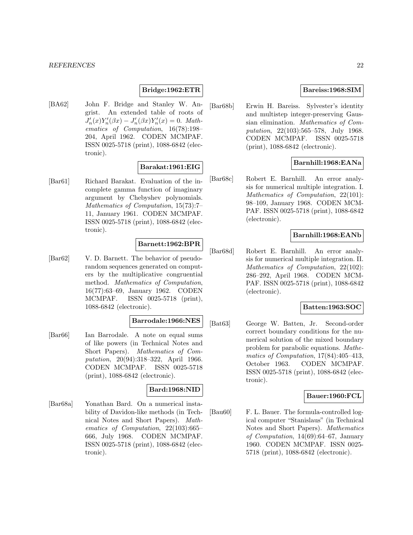# **Bridge:1962:ETR**

[BA62] John F. Bridge and Stanley W. Angrist. An extended table of roots of  $J'_n(x)Y'_n(\beta x) - J'_n(\beta x)Y'_n(x) = 0.$  Mathematics of Computation, 16(78):198– 204, April 1962. CODEN MCMPAF. ISSN 0025-5718 (print), 1088-6842 (electronic).

# **Barakat:1961:EIG**

[Bar61] Richard Barakat. Evaluation of the incomplete gamma function of imaginary argument by Chebyshev polynomials. Mathematics of Computation, 15(73):7– 11, January 1961. CODEN MCMPAF. ISSN 0025-5718 (print), 1088-6842 (electronic).

# **Barnett:1962:BPR**

[Bar62] V. D. Barnett. The behavior of pseudorandom sequences generated on computers by the multiplicative congruential method. Mathematics of Computation, 16(77):63–69, January 1962. CODEN MCMPAF. ISSN 0025-5718 (print), 1088-6842 (electronic).

# **Barrodale:1966:NES**

[Bar66] Ian Barrodale. A note on equal sums of like powers (in Technical Notes and Short Papers). Mathematics of Computation, 20(94):318–322, April 1966. CODEN MCMPAF. ISSN 0025-5718 (print), 1088-6842 (electronic).

# **Bard:1968:NID**

[Bar68a] Yonathan Bard. On a numerical instability of Davidon-like methods (in Technical Notes and Short Papers). Mathematics of Computation, 22(103):665– 666, July 1968. CODEN MCMPAF. ISSN 0025-5718 (print), 1088-6842 (electronic).

### **Bareiss:1968:SIM**

[Bar68b] Erwin H. Bareiss. Sylvester's identity and multistep integer-preserving Gaussian elimination. Mathematics of Computation, 22(103):565–578, July 1968. CODEN MCMPAF. ISSN 0025-5718 (print), 1088-6842 (electronic).

# **Barnhill:1968:EANa**

[Bar68c] Robert E. Barnhill. An error analysis for numerical multiple integration. I. Mathematics of Computation, 22(101): 98–109, January 1968. CODEN MCM-PAF. ISSN 0025-5718 (print), 1088-6842 (electronic).

# **Barnhill:1968:EANb**

[Bar68d] Robert E. Barnhill. An error analysis for numerical multiple integration. II. Mathematics of Computation, 22(102): 286–292, April 1968. CODEN MCM-PAF. ISSN 0025-5718 (print), 1088-6842 (electronic).

### **Batten:1963:SOC**

[Bat63] George W. Batten, Jr. Second-order correct boundary conditions for the numerical solution of the mixed boundary problem for parabolic equations. Mathematics of Computation, 17(84):405–413, October 1963. CODEN MCMPAF. ISSN 0025-5718 (print), 1088-6842 (electronic).

# **Bauer:1960:FCL**

[Bau60] F. L. Bauer. The formula-controlled logical computer "Stanislaus" (in Technical Notes and Short Papers). Mathematics of Computation, 14(69):64–67, January 1960. CODEN MCMPAF. ISSN 0025- 5718 (print), 1088-6842 (electronic).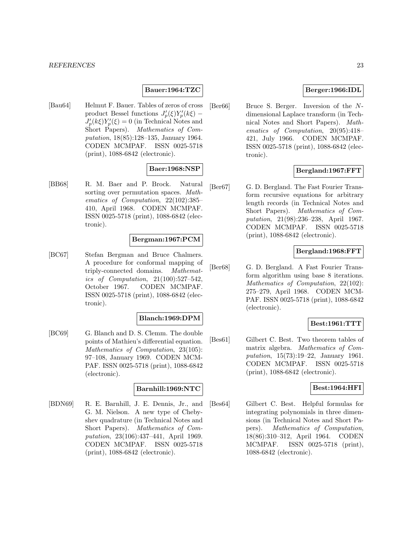# **Bauer:1964:TZC**

[Bau64] Helmut F. Bauer. Tables of zeros of cross product Bessel functions  $J'_p(\xi)Y'_p(k\xi) J'_p(k\xi)Y'_p(\xi) = 0$  (in Technical Notes and Short Papers). Mathematics of Computation, 18(85):128–135, January 1964. CODEN MCMPAF. ISSN 0025-5718 (print), 1088-6842 (electronic).

### **Baer:1968:NSP**

[BB68] R. M. Baer and P. Brock. Natural sorting over permutation spaces. Mathematics of Computation, 22(102):385– 410, April 1968. CODEN MCMPAF. ISSN 0025-5718 (print), 1088-6842 (electronic).

### **Bergman:1967:PCM**

[BC67] Stefan Bergman and Bruce Chalmers. A procedure for conformal mapping of triply-connected domains. Mathematics of Computation, 21(100):527–542, October 1967. CODEN MCMPAF. ISSN 0025-5718 (print), 1088-6842 (electronic).

#### **Blanch:1969:DPM**

[BC69] G. Blanch and D. S. Clemm. The double points of Mathieu's differential equation. Mathematics of Computation, 23(105): 97–108, January 1969. CODEN MCM-PAF. ISSN 0025-5718 (print), 1088-6842 (electronic).

### **Barnhill:1969:NTC**

[BDN69] R. E. Barnhill, J. E. Dennis, Jr., and G. M. Nielson. A new type of Chebyshev quadrature (in Technical Notes and Short Papers). Mathematics of Computation, 23(106):437–441, April 1969. CODEN MCMPAF. ISSN 0025-5718 (print), 1088-6842 (electronic).

# **Berger:1966:IDL**

[Ber66] Bruce S. Berger. Inversion of the Ndimensional Laplace transform (in Technical Notes and Short Papers). Mathematics of Computation, 20(95):418– 421, July 1966. CODEN MCMPAF. ISSN 0025-5718 (print), 1088-6842 (electronic).

# **Bergland:1967:FFT**

[Ber67] G. D. Bergland. The Fast Fourier Transform recursive equations for arbitrary length records (in Technical Notes and Short Papers). Mathematics of Computation, 21(98):236–238, April 1967. CODEN MCMPAF. ISSN 0025-5718 (print), 1088-6842 (electronic).

### **Bergland:1968:FFT**

[Ber68] G. D. Bergland. A Fast Fourier Transform algorithm using base 8 iterations. Mathematics of Computation, 22(102): 275–279, April 1968. CODEN MCM-PAF. ISSN 0025-5718 (print), 1088-6842 (electronic).

# **Best:1961:TTT**

[Bes61] Gilbert C. Best. Two theorem tables of matrix algebra. Mathematics of Computation, 15(73):19–22, January 1961. CODEN MCMPAF. ISSN 0025-5718 (print), 1088-6842 (electronic).

# **Best:1964:HFI**

[Bes64] Gilbert C. Best. Helpful formulas for integrating polynomials in three dimensions (in Technical Notes and Short Papers). Mathematics of Computation, 18(86):310–312, April 1964. CODEN MCMPAF. ISSN 0025-5718 (print), 1088-6842 (electronic).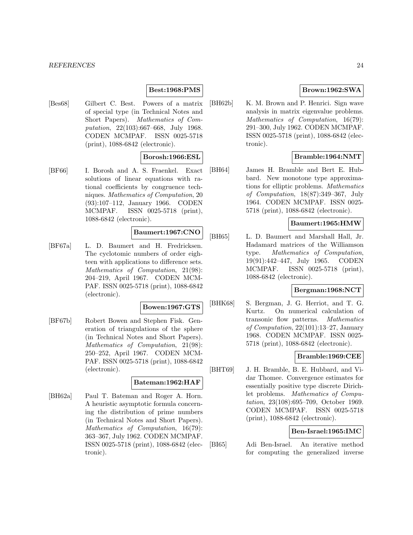# **Best:1968:PMS**

[Bes68] Gilbert C. Best. Powers of a matrix of special type (in Technical Notes and Short Papers). Mathematics of Computation, 22(103):667–668, July 1968. CODEN MCMPAF. ISSN 0025-5718 (print), 1088-6842 (electronic).

### **Borosh:1966:ESL**

[BF66] I. Borosh and A. S. Fraenkel. Exact solutions of linear equations with rational coefficients by congruence techniques. Mathematics of Computation, 20 (93):107–112, January 1966. CODEN MCMPAF. ISSN 0025-5718 (print), 1088-6842 (electronic).

# **Baumert:1967:CNO**

[BF67a] L. D. Baumert and H. Fredricksen. The cyclotomic numbers of order eighteen with applications to difference sets. Mathematics of Computation, 21(98): 204–219, April 1967. CODEN MCM-PAF. ISSN 0025-5718 (print), 1088-6842 (electronic).

# **Bowen:1967:GTS**

[BF67b] Robert Bowen and Stephen Fisk. Generation of triangulations of the sphere (in Technical Notes and Short Papers). Mathematics of Computation, 21(98): 250–252, April 1967. CODEN MCM-PAF. ISSN 0025-5718 (print), 1088-6842 (electronic).

#### **Bateman:1962:HAF**

[BH62a] Paul T. Bateman and Roger A. Horn. A heuristic asymptotic formula concerning the distribution of prime numbers (in Technical Notes and Short Papers). Mathematics of Computation, 16(79): 363–367, July 1962. CODEN MCMPAF. ISSN 0025-5718 (print), 1088-6842 (electronic).

# **Brown:1962:SWA**

[BH62b] K. M. Brown and P. Henrici. Sign wave analysis in matrix eigenvalue problems. Mathematics of Computation, 16(79): 291–300, July 1962. CODEN MCMPAF. ISSN 0025-5718 (print), 1088-6842 (electronic).

# **Bramble:1964:NMT**

[BH64] James H. Bramble and Bert E. Hubbard. New monotone type approximations for elliptic problems. Mathematics of Computation, 18(87):349–367, July 1964. CODEN MCMPAF. ISSN 0025- 5718 (print), 1088-6842 (electronic).

# **Baumert:1965:HMW**

[BH65] L. D. Baumert and Marshall Hall, Jr. Hadamard matrices of the Williamson type. Mathematics of Computation, 19(91):442–447, July 1965. CODEN MCMPAF. ISSN 0025-5718 (print), 1088-6842 (electronic).

# **Bergman:1968:NCT**

[BHK68] S. Bergman, J. G. Herriot, and T. G. Kurtz. On numerical calculation of transonic flow patterns. Mathematics of Computation, 22(101):13–27, January 1968. CODEN MCMPAF. ISSN 0025- 5718 (print), 1088-6842 (electronic).

# **Bramble:1969:CEE**

[BHT69] J. H. Bramble, B. E. Hubbard, and Vidar Thomee. Convergence estimates for essentially positive type discrete Dirichlet problems. Mathematics of Computation, 23(108):695–709, October 1969. CODEN MCMPAF. ISSN 0025-5718 (print), 1088-6842 (electronic).

# **Ben-Israel:1965:IMC**

[BI65] Adi Ben-Israel. An iterative method for computing the generalized inverse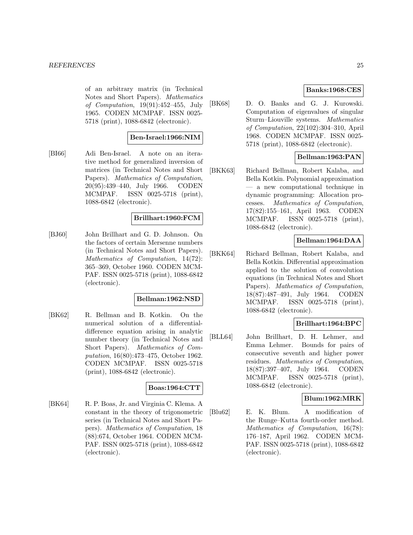of an arbitrary matrix (in Technical Notes and Short Papers). Mathematics of Computation, 19(91):452–455, July 1965. CODEN MCMPAF. ISSN 0025- 5718 (print), 1088-6842 (electronic).

# **Ben-Israel:1966:NIM**

[BI66] Adi Ben-Israel. A note on an iterative method for generalized inversion of matrices (in Technical Notes and Short Papers). Mathematics of Computation, 20(95):439–440, July 1966. CODEN MCMPAF. ISSN 0025-5718 (print), 1088-6842 (electronic).

# **Brillhart:1960:FCM**

[BJ60] John Brillhart and G. D. Johnson. On the factors of certain Mersenne numbers (in Technical Notes and Short Papers). Mathematics of Computation, 14(72): 365–369, October 1960. CODEN MCM-PAF. ISSN 0025-5718 (print), 1088-6842 (electronic).

# **Bellman:1962:NSD**

[BK62] R. Bellman and B. Kotkin. On the numerical solution of a differentialdifference equation arising in analytic number theory (in Technical Notes and Short Papers). Mathematics of Computation, 16(80):473–475, October 1962. CODEN MCMPAF. ISSN 0025-5718 (print), 1088-6842 (electronic).

#### **Boas:1964:CTT**

[BK64] R. P. Boas, Jr. and Virginia C. Klema. A constant in the theory of trigonometric series (in Technical Notes and Short Papers). Mathematics of Computation, 18 (88):674, October 1964. CODEN MCM-PAF. ISSN 0025-5718 (print), 1088-6842 (electronic).

# **Banks:1968:CES**

[BK68] D. O. Banks and G. J. Kurowski. Computation of eigenvalues of singular Sturm–Liouville systems. Mathematics of Computation, 22(102):304–310, April 1968. CODEN MCMPAF. ISSN 0025- 5718 (print), 1088-6842 (electronic).

# **Bellman:1963:PAN**

[BKK63] Richard Bellman, Robert Kalaba, and Bella Kotkin. Polynomial approximation — a new computational technique in dynamic programming: Allocation processes. Mathematics of Computation, 17(82):155–161, April 1963. CODEN MCMPAF. ISSN 0025-5718 (print), 1088-6842 (electronic).

# **Bellman:1964:DAA**

[BKK64] Richard Bellman, Robert Kalaba, and Bella Kotkin. Differential approximation applied to the solution of convolution equations (in Technical Notes and Short Papers). Mathematics of Computation, 18(87):487–491, July 1964. CODEN MCMPAF. ISSN 0025-5718 (print), 1088-6842 (electronic).

# **Brillhart:1964:BPC**

[BLL64] John Brillhart, D. H. Lehmer, and Emma Lehmer. Bounds for pairs of consecutive seventh and higher power residues. Mathematics of Computation, 18(87):397–407, July 1964. CODEN MCMPAF. ISSN 0025-5718 (print), 1088-6842 (electronic).

# **Blum:1962:MRK**

[Blu62] E. K. Blum. A modification of the Runge–Kutta fourth-order method. Mathematics of Computation, 16(78): 176–187, April 1962. CODEN MCM-PAF. ISSN 0025-5718 (print), 1088-6842 (electronic).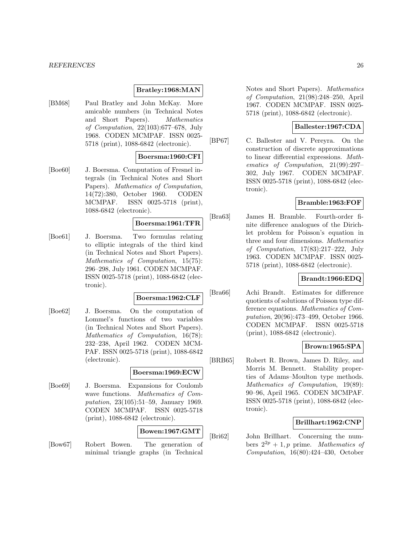# **Bratley:1968:MAN**

[BM68] Paul Bratley and John McKay. More amicable numbers (in Technical Notes and Short Papers). Mathematics of Computation, 22(103):677–678, July 1968. CODEN MCMPAF. ISSN 0025- 5718 (print), 1088-6842 (electronic).

### **Boersma:1960:CFI**

[Boe60] J. Boersma. Computation of Fresnel integrals (in Technical Notes and Short Papers). Mathematics of Computation, 14(72):380, October 1960. CODEN MCMPAF. ISSN 0025-5718 (print), 1088-6842 (electronic).

# **Boersma:1961:TFR**

[Boe61] J. Boersma. Two formulas relating to elliptic integrals of the third kind (in Technical Notes and Short Papers). Mathematics of Computation, 15(75): 296–298, July 1961. CODEN MCMPAF. ISSN 0025-5718 (print), 1088-6842 (electronic).

#### **Boersma:1962:CLF**

[Boe62] J. Boersma. On the computation of Lommel's functions of two variables (in Technical Notes and Short Papers). Mathematics of Computation, 16(78): 232–238, April 1962. CODEN MCM-PAF. ISSN 0025-5718 (print), 1088-6842 (electronic).

#### **Boersma:1969:ECW**

[Boe69] J. Boersma. Expansions for Coulomb wave functions. Mathematics of Computation, 23(105):51–59, January 1969. CODEN MCMPAF. ISSN 0025-5718 (print), 1088-6842 (electronic).

# **Bowen:1967:GMT**

[Bow67] Robert Bowen. The generation of minimal triangle graphs (in Technical

Notes and Short Papers). Mathematics of Computation, 21(98):248–250, April 1967. CODEN MCMPAF. ISSN 0025- 5718 (print), 1088-6842 (electronic).

# **Ballester:1967:CDA**

[BP67] C. Ballester and V. Pereyra. On the construction of discrete approximations to linear differential expressions. Mathematics of Computation, 21(99):297– 302, July 1967. CODEN MCMPAF. ISSN 0025-5718 (print), 1088-6842 (electronic).

# **Bramble:1963:FOF**

[Bra63] James H. Bramble. Fourth-order finite difference analogues of the Dirichlet problem for Poisson's equation in three and four dimensions. Mathematics of Computation, 17(83):217–222, July 1963. CODEN MCMPAF. ISSN 0025- 5718 (print), 1088-6842 (electronic).

# **Brandt:1966:EDQ**

[Bra66] Achi Brandt. Estimates for difference quotients of solutions of Poisson type difference equations. Mathematics of Computation, 20(96):473–499, October 1966. CODEN MCMPAF. ISSN 0025-5718 (print), 1088-6842 (electronic).

# **Brown:1965:SPA**

[BRB65] Robert R. Brown, James D. Riley, and Morris M. Bennett. Stability properties of Adams–Moulton type methods. Mathematics of Computation, 19(89): 90–96, April 1965. CODEN MCMPAF. ISSN 0025-5718 (print), 1088-6842 (electronic).

# **Brillhart:1962:CNP**

[Bri62] John Brillhart. Concerning the numbers  $2^{2p} + 1$ , p prime. Mathematics of Computation, 16(80):424–430, October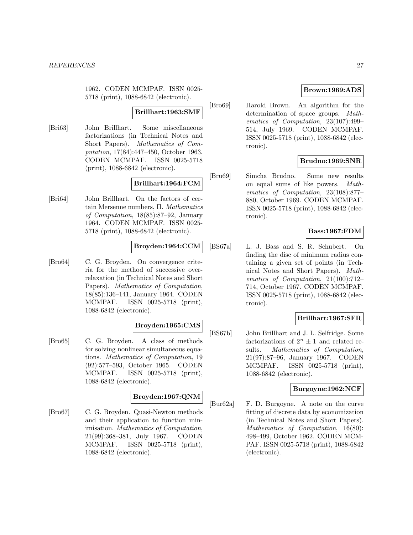1962. CODEN MCMPAF. ISSN 0025- 5718 (print), 1088-6842 (electronic).

### **Brillhart:1963:SMF**

[Bri63] John Brillhart. Some miscellaneous factorizations (in Technical Notes and Short Papers). Mathematics of Computation, 17(84):447–450, October 1963. CODEN MCMPAF. ISSN 0025-5718 (print), 1088-6842 (electronic).

# **Brillhart:1964:FCM**

[Bri64] John Brillhart. On the factors of certain Mersenne numbers, II. Mathematics of Computation, 18(85):87–92, January 1964. CODEN MCMPAF. ISSN 0025- 5718 (print), 1088-6842 (electronic).

# **Broyden:1964:CCM**

[Bro64] C. G. Broyden. On convergence criteria for the method of successive overrelaxation (in Technical Notes and Short Papers). Mathematics of Computation, 18(85):136–141, January 1964. CODEN MCMPAF. ISSN 0025-5718 (print), 1088-6842 (electronic).

# **Broyden:1965:CMS**

[Bro65] C. G. Broyden. A class of methods for solving nonlinear simultaneous equations. Mathematics of Computation, 19 (92):577–593, October 1965. CODEN MCMPAF. ISSN 0025-5718 (print), 1088-6842 (electronic).

# **Broyden:1967:QNM**

[Bro67] C. G. Broyden. Quasi-Newton methods and their application to function minimisation. Mathematics of Computation, 21(99):368–381, July 1967. CODEN MCMPAF. ISSN 0025-5718 (print), 1088-6842 (electronic).

# **Brown:1969:ADS**

[Bro69] Harold Brown. An algorithm for the determination of space groups. Mathematics of Computation, 23(107):499– 514, July 1969. CODEN MCMPAF. ISSN 0025-5718 (print), 1088-6842 (electronic).

# **Brudno:1969:SNR**

[Bru69] Simcha Brudno. Some new results on equal sums of like powers. Mathematics of Computation, 23(108):877– 880, October 1969. CODEN MCMPAF. ISSN 0025-5718 (print), 1088-6842 (electronic).

# **Bass:1967:FDM**

[BS67a] L. J. Bass and S. R. Schubert. On finding the disc of minimum radius containing a given set of points (in Technical Notes and Short Papers). Mathematics of Computation, 21(100):712– 714, October 1967. CODEN MCMPAF. ISSN 0025-5718 (print), 1088-6842 (electronic).

# **Brillhart:1967:SFR**

[BS67b] John Brillhart and J. L. Selfridge. Some factorizations of  $2^n \pm 1$  and related re-<br>sults. *Mathematics of Computation*. Mathematics of Computation, 21(97):87–96, January 1967. CODEN MCMPAF. ISSN 0025-5718 (print), 1088-6842 (electronic).

### **Burgoyne:1962:NCF**

[Bur62a] F. D. Burgoyne. A note on the curve fitting of discrete data by economization (in Technical Notes and Short Papers). Mathematics of Computation, 16(80): 498–499, October 1962. CODEN MCM-PAF. ISSN 0025-5718 (print), 1088-6842 (electronic).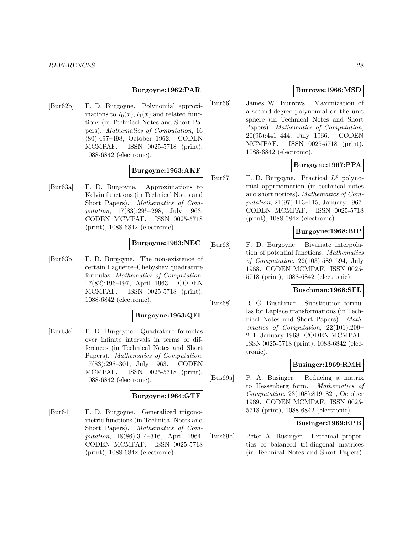### **Burgoyne:1962:PAR**

[Bur62b] F. D. Burgoyne. Polynomial approximations to  $I_0(x)$ ,  $I_1(x)$  and related functions (in Technical Notes and Short Papers). Mathematics of Computation, 16 (80):497–498, October 1962. CODEN MCMPAF. ISSN 0025-5718 (print), 1088-6842 (electronic).

# **Burgoyne:1963:AKF**

[Bur63a] F. D. Burgoyne. Approximations to Kelvin functions (in Technical Notes and Short Papers). Mathematics of Computation, 17(83):295–298, July 1963. CODEN MCMPAF. ISSN 0025-5718 (print), 1088-6842 (electronic).

### **Burgoyne:1963:NEC**

[Bur63b] F. D. Burgoyne. The non-existence of certain Laguerre–Chebyshev quadrature formulas. Mathematics of Computation, 17(82):196–197, April 1963. CODEN MCMPAF. ISSN 0025-5718 (print), 1088-6842 (electronic).

# **Burgoyne:1963:QFI**

[Bur63c] F. D. Burgoyne. Quadrature formulas over infinite intervals in terms of differences (in Technical Notes and Short Papers). Mathematics of Computation, 17(83):298–301, July 1963. CODEN MCMPAF. ISSN 0025-5718 (print), 1088-6842 (electronic).

#### **Burgoyne:1964:GTF**

[Bur64] F. D. Burgoyne. Generalized trigonometric functions (in Technical Notes and Short Papers). Mathematics of Computation, 18(86):314–316, April 1964. CODEN MCMPAF. ISSN 0025-5718 (print), 1088-6842 (electronic).

# **Burrows:1966:MSD**

[Bur66] James W. Burrows. Maximization of a second-degree polynomial on the unit sphere (in Technical Notes and Short Papers). Mathematics of Computation, 20(95):441–444, July 1966. CODEN MCMPAF. ISSN 0025-5718 (print), 1088-6842 (electronic).

# **Burgoyne:1967:PPA**

[Bur67] F. D. Burgoyne. Practical  $L^p$  polynomial approximation (in technical notes and short notices). Mathematics of Computation, 21(97):113–115, January 1967. CODEN MCMPAF. ISSN 0025-5718 (print), 1088-6842 (electronic).

# **Burgoyne:1968:BIP**

[Bur68] F. D. Burgoyne. Bivariate interpolation of potential functions. Mathematics of Computation, 22(103):589–594, July 1968. CODEN MCMPAF. ISSN 0025- 5718 (print), 1088-6842 (electronic).

# **Buschman:1968:SFL**

[Bus68] R. G. Buschman. Substitution formulas for Laplace transformations (in Technical Notes and Short Papers). Mathematics of Computation, 22(101):209– 211, January 1968. CODEN MCMPAF. ISSN 0025-5718 (print), 1088-6842 (electronic).

# **Businger:1969:RMH**

[Bus69a] P. A. Businger. Reducing a matrix to Hessenberg form. Mathematics of Computation, 23(108):819–821, October 1969. CODEN MCMPAF. ISSN 0025- 5718 (print), 1088-6842 (electronic).

# **Businger:1969:EPB**

[Bus69b] Peter A. Businger. Extremal properties of balanced tri-diagonal matrices (in Technical Notes and Short Papers).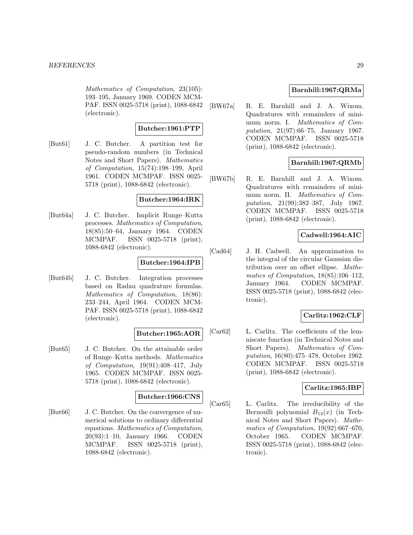Mathematics of Computation, 23(105): 193–195, January 1969. CODEN MCM-PAF. ISSN 0025-5718 (print), 1088-6842 (electronic).

### **Butcher:1961:PTP**

[But61] J. C. Butcher. A partition test for pseudo-random numbers (in Technical Notes and Short Papers). Mathematics of Computation, 15(74):198–199, April 1961. CODEN MCMPAF. ISSN 0025- 5718 (print), 1088-6842 (electronic).

### **Butcher:1964:IRK**

[But64a] J. C. Butcher. Implicit Runge–Kutta processes. Mathematics of Computation, 18(85):50–64, January 1964. CODEN MCMPAF. ISSN 0025-5718 (print), 1088-6842 (electronic).

# **Butcher:1964:IPB**

[But64b] J. C. Butcher. Integration processes based on Radau quadrature formulas. Mathematics of Computation, 18(86): 233–244, April 1964. CODEN MCM-PAF. ISSN 0025-5718 (print), 1088-6842 (electronic).

# **Butcher:1965:AOR**

[But65] J. C. Butcher. On the attainable order of Runge–Kutta methods. Mathematics of Computation, 19(91):408–417, July 1965. CODEN MCMPAF. ISSN 0025- 5718 (print), 1088-6842 (electronic).

#### **Butcher:1966:CNS**

[But66] J. C. Butcher. On the convergence of numerical solutions to ordinary differential equations. Mathematics of Computation, 20(93):1–10, January 1966. CODEN MCMPAF. ISSN 0025-5718 (print), 1088-6842 (electronic).

# **Barnhill:1967:QRMa**

[BW67a] R. E. Barnhill and J. A. Wixom. Quadratures with remainders of minimum norm. I. Mathematics of Computation, 21(97):66–75, January 1967. CODEN MCMPAF. ISSN 0025-5718 (print), 1088-6842 (electronic).

# **Barnhill:1967:QRMb**

[BW67b] R. E. Barnhill and J. A. Wixom. Quadratures with remainders of minimum norm. II. Mathematics of Computation, 21(99):382–387, July 1967. CODEN MCMPAF. ISSN 0025-5718 (print), 1088-6842 (electronic).

# **Cadwell:1964:AIC**

[Cad64] J. H. Cadwell. An approximation to the integral of the circular Gaussian distribution over an offset ellipse. Mathematics of Computation, 18(85):106–112, January 1964. CODEN MCMPAF. ISSN 0025-5718 (print), 1088-6842 (electronic).

# **Carlitz:1962:CLF**

[Car62] L. Carlitz. The coefficients of the lemniscate function (in Technical Notes and Short Papers). Mathematics of Computation, 16(80):475–478, October 1962. CODEN MCMPAF. ISSN 0025-5718 (print), 1088-6842 (electronic).

# **Carlitz:1965:IBP**

[Car65] L. Carlitz. The irreducibility of the Bernoulli polynomial  $B_{14}(x)$  (in Technical Notes and Short Papers). Mathematics of Computation, 19(92):667–670, October 1965. CODEN MCMPAF. ISSN 0025-5718 (print), 1088-6842 (electronic).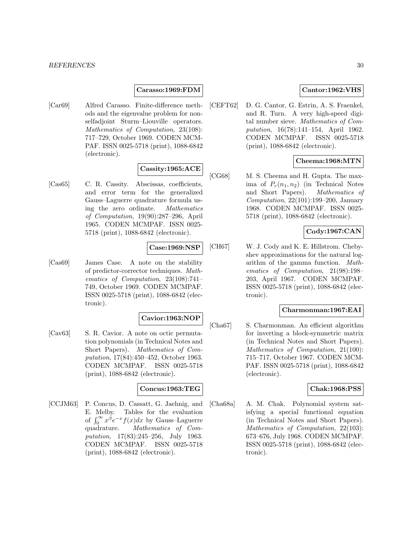### **Carasso:1969:FDM**

[Car69] Alfred Carasso. Finite-difference methods and the eigenvalue problem for nonselfadjoint Sturm–Liouville operators. Mathematics of Computation, 23(108): 717–729, October 1969. CODEN MCM-PAF. ISSN 0025-5718 (print), 1088-6842 (electronic).

# **Cassity:1965:ACE**

[Cas65] C. R. Cassity. Abscissas, coefficients, and error term for the generalized Gauss–Laguerre quadrature formula using the zero ordinate. Mathematics of Computation, 19(90):287–296, April 1965. CODEN MCMPAF. ISSN 0025- 5718 (print), 1088-6842 (electronic).

# **Case:1969:NSP**

[Cas69] James Case. A note on the stability of predictor-corrector techniques. Mathematics of Computation, 23(108):741– 749, October 1969. CODEN MCMPAF. ISSN 0025-5718 (print), 1088-6842 (electronic).

### **Cavior:1963:NOP**

[Cav63] S. R. Cavior. A note on octic permutation polynomials (in Technical Notes and Short Papers). Mathematics of Computation, 17(84):450–452, October 1963. CODEN MCMPAF. ISSN 0025-5718 (print), 1088-6842 (electronic).

### **Concus:1963:TEG**

[CCJM63] P. Concus, D. Cassatt, G. Jaehnig, and E. Melby. Tables for the evaluation of  $\int_0^\infty x^{\beta}e^{-x}f(x)dx$  by Gauss–Laguerre quadrature. Mathematics of Computation, 17(83):245–256, July 1963. CODEN MCMPAF. ISSN 0025-5718 (print), 1088-6842 (electronic).

# **Cantor:1962:VHS**

[CEFT62] D. G. Cantor, G. Estrin, A. S. Fraenkel, and R. Turn. A very high-speed digital number sieve. Mathematics of Computation, 16(78):141–154, April 1962. CODEN MCMPAF. ISSN 0025-5718 (print), 1088-6842 (electronic).

# **Cheema:1968:MTN**

[CG68] M. S. Cheema and H. Gupta. The maxima of  $P_r(n_1, n_2)$  (in Technical Notes and Short Papers). Mathematics of Computation, 22(101):199–200, January 1968. CODEN MCMPAF. ISSN 0025- 5718 (print), 1088-6842 (electronic).

# **Cody:1967:CAN**

[CH67] W. J. Cody and K. E. Hillstrom. Chebyshev approximations for the natural logarithm of the gamma function. Mathematics of Computation, 21(98):198– 203, April 1967. CODEN MCMPAF. ISSN 0025-5718 (print), 1088-6842 (electronic).

# **Charmonman:1967:EAI**

[Cha67] S. Charmonman. An efficient algorithm for inverting a block-symmetric matrix (in Technical Notes and Short Papers). Mathematics of Computation, 21(100): 715–717, October 1967. CODEN MCM-PAF. ISSN 0025-5718 (print), 1088-6842 (electronic).

# **Chak:1968:PSS**

[Cha68a] A. M. Chak. Polynomial system satisfying a special functional equation (in Technical Notes and Short Papers). Mathematics of Computation, 22(103): 673–676, July 1968. CODEN MCMPAF. ISSN 0025-5718 (print), 1088-6842 (electronic).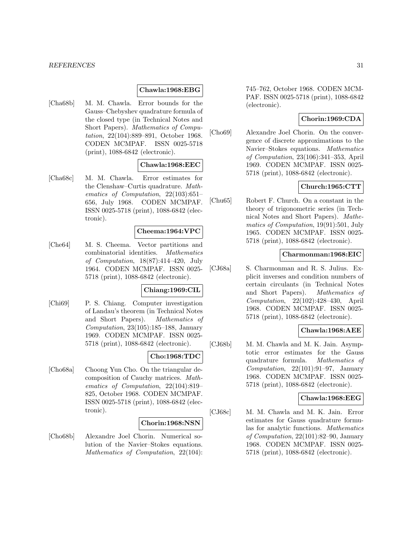### **Chawla:1968:EBG**

[Cha68b] M. M. Chawla. Error bounds for the Gauss–Chebyshev quadrature formula of the closed type (in Technical Notes and Short Papers). Mathematics of Computation, 22(104):889–891, October 1968. CODEN MCMPAF. ISSN 0025-5718 (print), 1088-6842 (electronic).

# **Chawla:1968:EEC**

[Cha68c] M. M. Chawla. Error estimates for the Clenshaw–Curtis quadrature. Mathematics of Computation, 22(103):651– 656, July 1968. CODEN MCMPAF. ISSN 0025-5718 (print), 1088-6842 (electronic).

#### **Cheema:1964:VPC**

[Che64] M. S. Cheema. Vector partitions and combinatorial identities. Mathematics of Computation, 18(87):414–420, July 1964. CODEN MCMPAF. ISSN 0025- 5718 (print), 1088-6842 (electronic).

### **Chiang:1969:CIL**

[Chi69] P. S. Chiang. Computer investigation of Landau's theorem (in Technical Notes and Short Papers). Mathematics of Computation, 23(105):185–188, January 1969. CODEN MCMPAF. ISSN 0025- 5718 (print), 1088-6842 (electronic).

#### **Cho:1968:TDC**

[Cho68a] Choong Yun Cho. On the triangular decomposition of Cauchy matrices. Mathematics of Computation, 22(104):819– 825, October 1968. CODEN MCMPAF. ISSN 0025-5718 (print), 1088-6842 (electronic).

# **Chorin:1968:NSN**

[Cho68b] Alexandre Joel Chorin. Numerical solution of the Navier–Stokes equations. Mathematics of Computation, 22(104): 745–762, October 1968. CODEN MCM-PAF. ISSN 0025-5718 (print), 1088-6842 (electronic).

# **Chorin:1969:CDA**

[Cho69] Alexandre Joel Chorin. On the convergence of discrete approximations to the Navier–Stokes equations. Mathematics of Computation, 23(106):341–353, April 1969. CODEN MCMPAF. ISSN 0025- 5718 (print), 1088-6842 (electronic).

# **Church:1965:CTT**

[Chu65] Robert F. Church. On a constant in the theory of trigonometric series (in Technical Notes and Short Papers). Mathematics of Computation, 19(91):501, July 1965. CODEN MCMPAF. ISSN 0025- 5718 (print), 1088-6842 (electronic).

### **Charmonman:1968:EIC**

[CJ68a] S. Charmonman and R. S. Julius. Explicit inverses and condition numbers of certain circulants (in Technical Notes and Short Papers). Mathematics of Computation, 22(102):428–430, April 1968. CODEN MCMPAF. ISSN 0025- 5718 (print), 1088-6842 (electronic).

# **Chawla:1968:AEE**

[CJ68b] M. M. Chawla and M. K. Jain. Asymptotic error estimates for the Gauss quadrature formula. Mathematics of Computation,  $22(101):91-97$ , January 1968. CODEN MCMPAF. ISSN 0025- 5718 (print), 1088-6842 (electronic).

# **Chawla:1968:EEG**

[CJ68c] M. M. Chawla and M. K. Jain. Error estimates for Gauss quadrature formulas for analytic functions. Mathematics of Computation, 22(101):82–90, January 1968. CODEN MCMPAF. ISSN 0025- 5718 (print), 1088-6842 (electronic).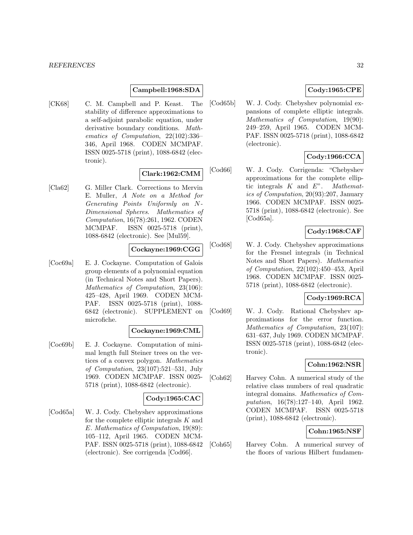# **Campbell:1968:SDA**

[CK68] C. M. Campbell and P. Keast. The stability of difference approximations to a self-adjoint parabolic equation, under derivative boundary conditions. Mathematics of Computation, 22(102):336– 346, April 1968. CODEN MCMPAF. ISSN 0025-5718 (print), 1088-6842 (electronic).

# **Clark:1962:CMM**

[Cla62] G. Miller Clark. Corrections to Mervin E. Muller, A Note on a Method for Generating Points Uniformly on N-Dimensional Spheres. Mathematics of Computation, 16(78):261, 1962. CODEN MCMPAF. ISSN 0025-5718 (print), 1088-6842 (electronic). See [Mul59].

### **Cockayne:1969:CGG**

[Coc69a] E. J. Cockayne. Computation of Galois group elements of a polynomial equation (in Technical Notes and Short Papers). Mathematics of Computation, 23(106): 425–428, April 1969. CODEN MCM-PAF. ISSN 0025-5718 (print), 1088- 6842 (electronic). SUPPLEMENT on microfiche.

### **Cockayne:1969:CML**

[Coc69b] E. J. Cockayne. Computation of minimal length full Steiner trees on the vertices of a convex polygon. Mathematics of Computation, 23(107):521–531, July 1969. CODEN MCMPAF. ISSN 0025- 5718 (print), 1088-6842 (electronic).

# **Cody:1965:CAC**

[Cod65a] W. J. Cody. Chebyshev approximations for the complete elliptic integrals  $K$  and E. Mathematics of Computation, 19(89): 105–112, April 1965. CODEN MCM-PAF. ISSN 0025-5718 (print), 1088-6842 (electronic). See corrigenda [Cod66].

# **Cody:1965:CPE**

[Cod65b] W. J. Cody. Chebyshev polynomial expansions of complete elliptic integrals. Mathematics of Computation, 19(90): 249–259, April 1965. CODEN MCM-PAF. ISSN 0025-5718 (print), 1088-6842 (electronic).

# **Cody:1966:CCA**

[Cod66] W. J. Cody. Corrigenda: "Chebyshev approximations for the complete elliptic integrals  $K$  and  $E$ ". Mathematics of Computation, 20(93):207, January 1966. CODEN MCMPAF. ISSN 0025- 5718 (print), 1088-6842 (electronic). See [Cod65a].

# **Cody:1968:CAF**

[Cod68] W. J. Cody. Chebyshev approximations for the Fresnel integrals (in Technical Notes and Short Papers). Mathematics of Computation, 22(102):450–453, April 1968. CODEN MCMPAF. ISSN 0025- 5718 (print), 1088-6842 (electronic).

# **Cody:1969:RCA**

[Cod69] W. J. Cody. Rational Chebyshev approximations for the error function. Mathematics of Computation, 23(107): 631–637, July 1969. CODEN MCMPAF. ISSN 0025-5718 (print), 1088-6842 (electronic).

# **Cohn:1962:NSR**

[Coh62] Harvey Cohn. A numerical study of the relative class numbers of real quadratic integral domains. Mathematics of Computation, 16(78):127–140, April 1962. CODEN MCMPAF. ISSN 0025-5718 (print), 1088-6842 (electronic).

# **Cohn:1965:NSF**

[Coh65] Harvey Cohn. A numerical survey of the floors of various Hilbert fundamen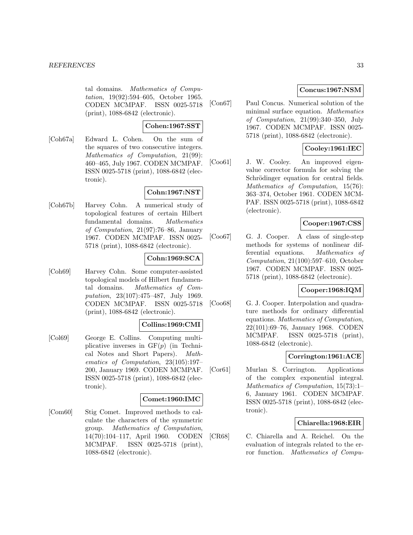tal domains. Mathematics of Computation, 19(92):594–605, October 1965. CODEN MCMPAF. ISSN 0025-5718 (print), 1088-6842 (electronic).

# **Cohen:1967:SST**

[Coh67a] Edward L. Cohen. On the sum of the squares of two consecutive integers. Mathematics of Computation, 21(99): 460–465, July 1967. CODEN MCMPAF. ISSN 0025-5718 (print), 1088-6842 (electronic).

# **Cohn:1967:NST**

[Coh67b] Harvey Cohn. A numerical study of topological features of certain Hilbert fundamental domains. Mathematics of Computation, 21(97):76–86, January 1967. CODEN MCMPAF. ISSN 0025- 5718 (print), 1088-6842 (electronic).

# **Cohn:1969:SCA**

[Coh69] Harvey Cohn. Some computer-assisted topological models of Hilbert fundamental domains. Mathematics of Computation, 23(107):475–487, July 1969. CODEN MCMPAF. ISSN 0025-5718 (print), 1088-6842 (electronic).

# **Collins:1969:CMI**

[Col69] George E. Collins. Computing multiplicative inverses in  $GF(p)$  (in Technical Notes and Short Papers). Mathematics of Computation, 23(105):197– 200, January 1969. CODEN MCMPAF. ISSN 0025-5718 (print), 1088-6842 (electronic).

#### **Comet:1960:IMC**

[Com60] Stig Comet. Improved methods to calculate the characters of the symmetric group. Mathematics of Computation, 14(70):104–117, April 1960. CODEN MCMPAF. ISSN 0025-5718 (print), 1088-6842 (electronic).

# **Concus:1967:NSM**

[Con67] Paul Concus. Numerical solution of the minimal surface equation. Mathematics of Computation, 21(99):340–350, July 1967. CODEN MCMPAF. ISSN 0025- 5718 (print), 1088-6842 (electronic).

# **Cooley:1961:IEC**

[Coo61] J. W. Cooley. An improved eigenvalue corrector formula for solving the Schrödinger equation for central fields. Mathematics of Computation, 15(76): 363–374, October 1961. CODEN MCM-PAF. ISSN 0025-5718 (print), 1088-6842 (electronic).

# **Cooper:1967:CSS**

[Coo67] G. J. Cooper. A class of single-step methods for systems of nonlinear differential equations. Mathematics of Computation, 21(100):597–610, October 1967. CODEN MCMPAF. ISSN 0025- 5718 (print), 1088-6842 (electronic).

# **Cooper:1968:IQM**

[Coo68] G. J. Cooper. Interpolation and quadrature methods for ordinary differential equations. Mathematics of Computation, 22(101):69–76, January 1968. CODEN MCMPAF. ISSN 0025-5718 (print), 1088-6842 (electronic).

# **Corrington:1961:ACE**

[Cor61] Murlan S. Corrington. Applications of the complex exponential integral. Mathematics of Computation, 15(73):1– 6, January 1961. CODEN MCMPAF. ISSN 0025-5718 (print), 1088-6842 (electronic).

# **Chiarella:1968:EIR**

[CR68] C. Chiarella and A. Reichel. On the evaluation of integrals related to the error function. Mathematics of Compu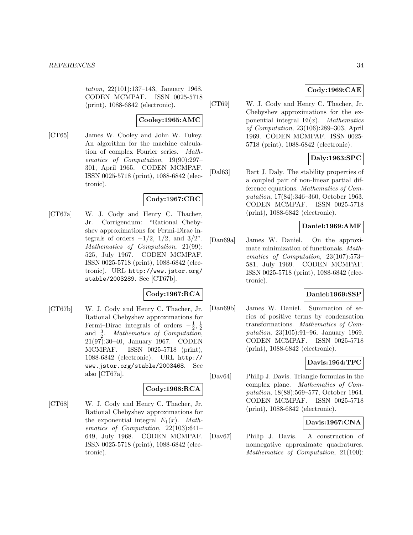tation, 22(101):137–143, January 1968. CODEN MCMPAF. ISSN 0025-5718 (print), 1088-6842 (electronic).

# **Cooley:1965:AMC**

[CT65] James W. Cooley and John W. Tukey. An algorithm for the machine calculation of complex Fourier series. Mathematics of Computation, 19(90):297– 301, April 1965. CODEN MCMPAF. ISSN 0025-5718 (print), 1088-6842 (electronic).

# **Cody:1967:CRC**

[CT67a] W. J. Cody and Henry C. Thacher, Jr. Corrigendum: "Rational Chebyshev approximations for Fermi-Dirac integrals of orders  $-1/2$ ,  $1/2$ , and  $3/2$ ". Mathematics of Computation, 21(99): 525, July 1967. CODEN MCMPAF. ISSN 0025-5718 (print), 1088-6842 (electronic). URL http://www.jstor.org/ stable/2003289. See [CT67b].

# **Cody:1967:RCA**

[CT67b] W. J. Cody and Henry C. Thacher, Jr. Rational Chebyshev approximations for Fermi–Dirac integrals of orders  $-\frac{1}{2}, \frac{1}{2}$ and  $\frac{3}{2}$ . Mathematics of Computation, 21(97):30–40, January 1967. CODEN MCMPAF. ISSN 0025-5718 (print), 1088-6842 (electronic). URL http:// www.jstor.org/stable/2003468. See also [CT67a].

# **Cody:1968:RCA**

[CT68] W. J. Cody and Henry C. Thacher, Jr. Rational Chebyshev approximations for the exponential integral  $E_1(x)$ . Mathematics of Computation, 22(103):641– 649, July 1968. CODEN MCMPAF. ISSN 0025-5718 (print), 1088-6842 (electronic).

# **Cody:1969:CAE**

[CT69] W. J. Cody and Henry C. Thacher, Jr. Chebyshev approximations for the exponential integral  $Ei(x)$ . *Mathematics* of Computation, 23(106):289–303, April 1969. CODEN MCMPAF. ISSN 0025- 5718 (print), 1088-6842 (electronic).

# **Daly:1963:SPC**

[Dal63] Bart J. Daly. The stability properties of a coupled pair of non-linear partial difference equations. Mathematics of Computation, 17(84):346–360, October 1963. CODEN MCMPAF. ISSN 0025-5718 (print), 1088-6842 (electronic).

# **Daniel:1969:AMF**

[Dan69a] James W. Daniel. On the approximate minimization of functionals. Mathematics of Computation, 23(107):573– 581, July 1969. CODEN MCMPAF. ISSN 0025-5718 (print), 1088-6842 (electronic).

# **Daniel:1969:SSP**

[Dan69b] James W. Daniel. Summation of series of positive terms by condensation transformations. Mathematics of Computation, 23(105):91–96, January 1969. CODEN MCMPAF. ISSN 0025-5718 (print), 1088-6842 (electronic).

# **Davis:1964:TFC**

[Dav64] Philip J. Davis. Triangle formulas in the complex plane. Mathematics of Computation, 18(88):569–577, October 1964. CODEN MCMPAF. ISSN 0025-5718 (print), 1088-6842 (electronic).

# **Davis:1967:CNA**

[Dav67] Philip J. Davis. A construction of nonnegative approximate quadratures. Mathematics of Computation, 21(100):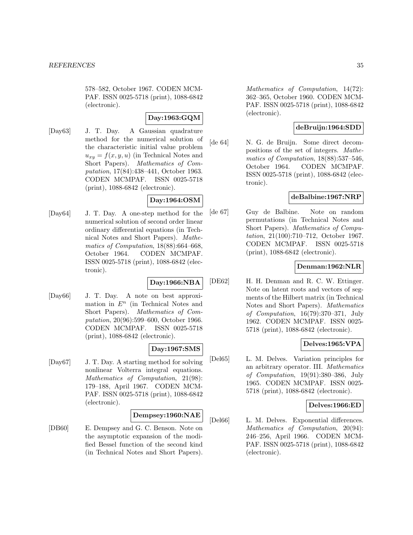578–582, October 1967. CODEN MCM-PAF. ISSN 0025-5718 (print), 1088-6842 (electronic).

# **Day:1963:GQM**

[Day63] J. T. Day. A Gaussian quadrature method for the numerical solution of the characteristic initial value problem  $u_{xy} = f(x, y, u)$  (in Technical Notes and Short Papers). Mathematics of Computation, 17(84):438–441, October 1963. CODEN MCMPAF. ISSN 0025-5718 (print), 1088-6842 (electronic).

# **Day:1964:OSM**

[Day64] J. T. Day. A one-step method for the numerical solution of second order linear ordinary differential equations (in Technical Notes and Short Papers). Mathematics of Computation, 18(88):664–668, October 1964. CODEN MCMPAF. ISSN 0025-5718 (print), 1088-6842 (electronic).

# **Day:1966:NBA**

[Day66] J. T. Day. A note on best approximation in  $E<sup>n</sup>$  (in Technical Notes and Short Papers). Mathematics of Computation, 20(96):599–600, October 1966. CODEN MCMPAF. ISSN 0025-5718 (print), 1088-6842 (electronic).

# **Day:1967:SMS**

[Day67] J. T. Day. A starting method for solving nonlinear Volterra integral equations. Mathematics of Computation, 21(98): 179–188, April 1967. CODEN MCM-PAF. ISSN 0025-5718 (print), 1088-6842 (electronic).

# **Dempsey:1960:NAE**

[DB60] E. Dempsey and G. C. Benson. Note on the asymptotic expansion of the modified Bessel function of the second kind (in Technical Notes and Short Papers).

Mathematics of Computation, 14(72): 362–365, October 1960. CODEN MCM-PAF. ISSN 0025-5718 (print), 1088-6842 (electronic).

# **deBruijn:1964:SDD**

[de 64] N. G. de Bruijn. Some direct decompositions of the set of integers. Mathematics of Computation, 18(88):537–546, October 1964. CODEN MCMPAF. ISSN 0025-5718 (print), 1088-6842 (electronic).

# **deBalbine:1967:NRP**

[de 67] Guy de Balbine. Note on random permutations (in Technical Notes and Short Papers). Mathematics of Computation, 21(100):710–712, October 1967. CODEN MCMPAF. ISSN 0025-5718 (print), 1088-6842 (electronic).

# **Denman:1962:NLR**

[DE62] H. H. Denman and R. C. W. Ettinger. Note on latent roots and vectors of segments of the Hilbert matrix (in Technical Notes and Short Papers). Mathematics of Computation, 16(79):370–371, July 1962. CODEN MCMPAF. ISSN 0025- 5718 (print), 1088-6842 (electronic).

# **Delves:1965:VPA**

[Del65] L. M. Delves. Variation principles for an arbitrary operator. III. Mathematics of Computation, 19(91):380–386, July 1965. CODEN MCMPAF. ISSN 0025- 5718 (print), 1088-6842 (electronic).

# **Delves:1966:ED**

[Del66] L. M. Delves. Exponential differences. Mathematics of Computation, 20(94): 246–256, April 1966. CODEN MCM-PAF. ISSN 0025-5718 (print), 1088-6842 (electronic).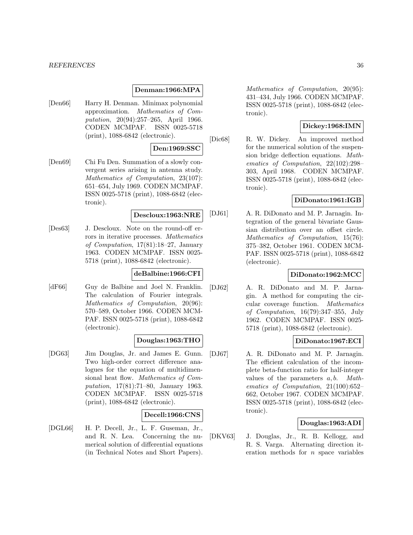# **Denman:1966:MPA**

[Den66] Harry H. Denman. Minimax polynomial approximation. Mathematics of Computation, 20(94):257–265, April 1966. CODEN MCMPAF. ISSN 0025-5718 (print), 1088-6842 (electronic).

# **Den:1969:SSC**

[Den69] Chi Fu Den. Summation of a slowly convergent series arising in antenna study. Mathematics of Computation, 23(107): 651–654, July 1969. CODEN MCMPAF. ISSN 0025-5718 (print), 1088-6842 (electronic).

#### **Descloux:1963:NRE**

[Des63] J. Descloux. Note on the round-off errors in iterative processes. Mathematics of Computation, 17(81):18–27, January 1963. CODEN MCMPAF. ISSN 0025- 5718 (print), 1088-6842 (electronic).

### **deBalbine:1966:CFI**

[dF66] Guy de Balbine and Joel N. Franklin. The calculation of Fourier integrals. Mathematics of Computation, 20(96): 570–589, October 1966. CODEN MCM-PAF. ISSN 0025-5718 (print), 1088-6842 (electronic).

# **Douglas:1963:THO**

[DG63] Jim Douglas, Jr. and James E. Gunn. Two high-order correct difference analogues for the equation of multidimensional heat flow. Mathematics of Computation, 17(81):71–80, January 1963. CODEN MCMPAF. ISSN 0025-5718 (print), 1088-6842 (electronic).

# **Decell:1966:CNS**

[DGL66] H. P. Decell, Jr., L. F. Guseman, Jr., and R. N. Lea. Concerning the numerical solution of differential equations (in Technical Notes and Short Papers).

Mathematics of Computation, 20(95): 431–434, July 1966. CODEN MCMPAF. ISSN 0025-5718 (print), 1088-6842 (electronic).

# **Dickey:1968:IMN**

[Dic68] R. W. Dickey. An improved method for the numerical solution of the suspension bridge deflection equations. Mathematics of Computation, 22(102):298– 303, April 1968. CODEN MCMPAF. ISSN 0025-5718 (print), 1088-6842 (electronic).

# **DiDonato:1961:IGB**

[DJ61] A. R. DiDonato and M. P. Jarnagin. Integration of the general bivariate Gaussian distribution over an offset circle. Mathematics of Computation, 15(76): 375–382, October 1961. CODEN MCM-PAF. ISSN 0025-5718 (print), 1088-6842 (electronic).

# **DiDonato:1962:MCC**

[DJ62] A. R. DiDonato and M. P. Jarnagin. A method for computing the circular coverage function. Mathematics of Computation, 16(79):347–355, July 1962. CODEN MCMPAF. ISSN 0025- 5718 (print), 1088-6842 (electronic).

# **DiDonato:1967:ECI**

[DJ67] A. R. DiDonato and M. P. Jarnagin. The efficient calculation of the incomplete beta-function ratio for half-integer values of the parameters  $a, b$ . Mathematics of Computation, 21(100):652– 662, October 1967. CODEN MCMPAF. ISSN 0025-5718 (print), 1088-6842 (electronic).

# **Douglas:1963:ADI**

[DKV63] J. Douglas, Jr., R. B. Kellogg, and R. S. Varga. Alternating direction iteration methods for  $n$  space variables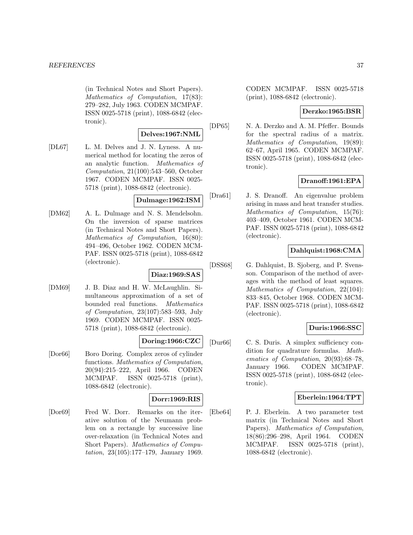(in Technical Notes and Short Papers). Mathematics of Computation, 17(83): 279–282, July 1963. CODEN MCMPAF. ISSN 0025-5718 (print), 1088-6842 (electronic).

### **Delves:1967:NML**

[DL67] L. M. Delves and J. N. Lyness. A numerical method for locating the zeros of an analytic function. Mathematics of Computation, 21(100):543–560, October 1967. CODEN MCMPAF. ISSN 0025- 5718 (print), 1088-6842 (electronic).

### **Dulmage:1962:ISM**

[DM62] A. L. Dulmage and N. S. Mendelsohn. On the inversion of sparse matrices (in Technical Notes and Short Papers). Mathematics of Computation, 16(80): 494–496, October 1962. CODEN MCM-PAF. ISSN 0025-5718 (print), 1088-6842 (electronic).

# **Diaz:1969:SAS**

[DM69] J. B. Diaz and H. W. McLaughlin. Simultaneous approximation of a set of bounded real functions. Mathematics of Computation, 23(107):583–593, July 1969. CODEN MCMPAF. ISSN 0025- 5718 (print), 1088-6842 (electronic).

## **Doring:1966:CZC**

[Dor66] Boro Doring. Complex zeros of cylinder functions. Mathematics of Computation, 20(94):215–222, April 1966. CODEN MCMPAF. ISSN 0025-5718 (print), 1088-6842 (electronic).

## **Dorr:1969:RIS**

[Dor69] Fred W. Dorr. Remarks on the iterative solution of the Neumann problem on a rectangle by successive line over-relaxation (in Technical Notes and Short Papers). Mathematics of Computation, 23(105):177–179, January 1969. CODEN MCMPAF. ISSN 0025-5718 (print), 1088-6842 (electronic).

### **Derzko:1965:BSR**

[DP65] N. A. Derzko and A. M. Pfeffer. Bounds for the spectral radius of a matrix. Mathematics of Computation, 19(89): 62–67, April 1965. CODEN MCMPAF. ISSN 0025-5718 (print), 1088-6842 (electronic).

# **Dranoff:1961:EPA**

[Dra61] J. S. Dranoff. An eigenvalue problem arising in mass and heat transfer studies. Mathematics of Computation, 15(76): 403–409, October 1961. CODEN MCM-PAF. ISSN 0025-5718 (print), 1088-6842 (electronic).

# **Dahlquist:1968:CMA**

[DSS68] G. Dahlquist, B. Sjoberg, and P. Svensson. Comparison of the method of averages with the method of least squares. Mathematics of Computation, 22(104): 833–845, October 1968. CODEN MCM-PAF. ISSN 0025-5718 (print), 1088-6842 (electronic).

## **Duris:1966:SSC**

[Dur66] C. S. Duris. A simplex sufficiency condition for quadrature formulas. Mathematics of Computation, 20(93):68–78, January 1966. CODEN MCMPAF. ISSN 0025-5718 (print), 1088-6842 (electronic).

## **Eberlein:1964:TPT**

[Ebe64] P. J. Eberlein. A two parameter test matrix (in Technical Notes and Short Papers). Mathematics of Computation, 18(86):296–298, April 1964. CODEN MCMPAF. ISSN 0025-5718 (print), 1088-6842 (electronic).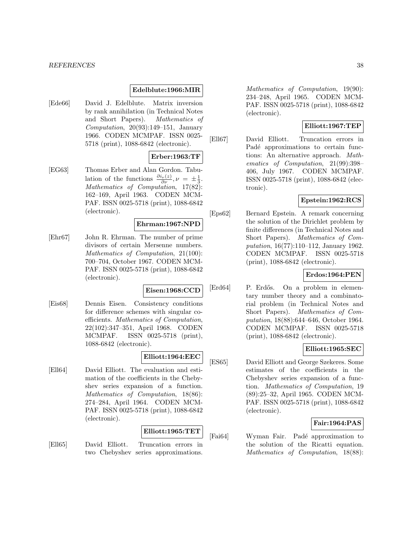### **Edelblute:1966:MIR**

[Ede66] David J. Edelblute. Matrix inversion by rank annihilation (in Technical Notes and Short Papers). Mathematics of Computation,  $20(93):149-151$ , January 1966. CODEN MCMPAF. ISSN 0025- 5718 (print), 1088-6842 (electronic).

#### **Erber:1963:TF**

[EG63] Thomas Erber and Alan Gordon. Tabulation of the functions  $\frac{\partial i_{\nu}(z)}{\partial \nu}$ ,  $\nu = \pm \frac{1}{3}$ . Mathematics of Computation, 17(82): 162–169, April 1963. CODEN MCM-PAF. ISSN 0025-5718 (print), 1088-6842 (electronic).

#### **Ehrman:1967:NPD**

[Ehr67] John R. Ehrman. The number of prime divisors of certain Mersenne numbers. Mathematics of Computation, 21(100): 700–704, October 1967. CODEN MCM-PAF. ISSN 0025-5718 (print), 1088-6842 (electronic).

#### **Eisen:1968:CCD**

[Eis68] Dennis Eisen. Consistency conditions for difference schemes with singular coefficients. Mathematics of Computation, 22(102):347–351, April 1968. CODEN MCMPAF. ISSN 0025-5718 (print), 1088-6842 (electronic).

#### **Elliott:1964:EEC**

[Ell64] David Elliott. The evaluation and estimation of the coefficients in the Chebyshev series expansion of a function. Mathematics of Computation, 18(86): 274–284, April 1964. CODEN MCM-PAF. ISSN 0025-5718 (print), 1088-6842 (electronic).

#### **Elliott:1965:TET**

[Ell65] David Elliott. Truncation errors in two Chebyshev series approximations.

Mathematics of Computation, 19(90): 234–248, April 1965. CODEN MCM-PAF. ISSN 0025-5718 (print), 1088-6842 (electronic).

### **Elliott:1967:TEP**

[Ell67] David Elliott. Truncation errors in Padé approximations to certain functions: An alternative approach. Mathematics of Computation, 21(99):398– 406, July 1967. CODEN MCMPAF. ISSN 0025-5718 (print), 1088-6842 (electronic).

### **Epstein:1962:RCS**

[Eps62] Bernard Epstein. A remark concerning the solution of the Dirichlet problem by finite differences (in Technical Notes and Short Papers). Mathematics of Computation, 16(77):110–112, January 1962. CODEN MCMPAF. ISSN 0025-5718 (print), 1088-6842 (electronic).

### **Erdos:1964:PEN**

[Erd64] P. Erdős. On a problem in elementary number theory and a combinatorial problem (in Technical Notes and Short Papers). Mathematics of Computation, 18(88):644–646, October 1964. CODEN MCMPAF. ISSN 0025-5718 (print), 1088-6842 (electronic).

### **Elliott:1965:SEC**

[ES65] David Elliott and George Szekeres. Some estimates of the coefficients in the Chebyshev series expansion of a function. Mathematics of Computation, 19 (89):25–32, April 1965. CODEN MCM-PAF. ISSN 0025-5718 (print), 1088-6842 (electronic).

### **Fair:1964:PAS**

[Fai64] Wyman Fair. Pad´e approximation to the solution of the Ricatti equation. Mathematics of Computation, 18(88):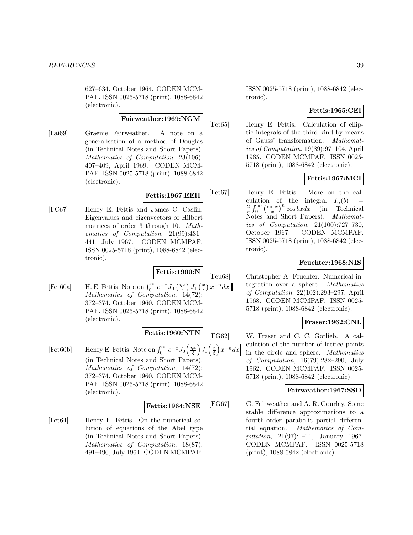627–634, October 1964. CODEN MCM-PAF. ISSN 0025-5718 (print), 1088-6842 (electronic).

### **Fairweather:1969:NGM**

[Fai69] Graeme Fairweather. A note on a generalisation of a method of Douglas (in Technical Notes and Short Papers). Mathematics of Computation, 23(106): 407–409, April 1969. CODEN MCM-PAF. ISSN 0025-5718 (print), 1088-6842 (electronic).

# **Fettis:1967:EEH**

[FC67] Henry E. Fettis and James C. Caslin. Eigenvalues and eigenvectors of Hilbert matrices of order 3 through 10. Mathematics of Computation, 21(99):431– 441, July 1967. CODEN MCMPAF. ISSN 0025-5718 (print), 1088-6842 (electronic).

# **Fettis:1960:N**

[Fet60a] H. E. Fettis. Note on  $\int_0^\infty e^{-x} J_0\left(\frac{\eta x}{\epsilon}\right) J_1\left(\frac{x}{\epsilon}\right) x^{-n} dx$ . Mathematics of Computation, 14(72): 372–374, October 1960. CODEN MCM-PAF. ISSN 0025-5718 (print), 1088-6842 (electronic).

**Fettis:1960:NTN**

[Fet60b] Henry E. Fettis. Note on  $\int_0^\infty e^{-x} J_0\left(\frac{\eta x}{\xi}\right)$  $J_1\left(\frac{x}{\xi}\right)$  $\Big) x^{-n} dx$ (in Technical Notes and Short Papers). Mathematics of Computation, 14(72): 372–374, October 1960. CODEN MCM-PAF. ISSN 0025-5718 (print), 1088-6842 (electronic).

### **Fettis:1964:NSE**

[Fet64] Henry E. Fettis. On the numerical solution of equations of the Abel type (in Technical Notes and Short Papers). Mathematics of Computation, 18(87): 491–496, July 1964. CODEN MCMPAF.

ISSN 0025-5718 (print), 1088-6842 (electronic).

# **Fettis:1965:CEI**

[Fet65] Henry E. Fettis. Calculation of elliptic integrals of the third kind by means of Gauss' transformation. Mathematics of Computation, 19(89):97–104, April 1965. CODEN MCMPAF. ISSN 0025- 5718 (print), 1088-6842 (electronic).

# **Fettis:1967:MCI**

[Fet67] Henry E. Fettis. More on the calculation of the integral  $I_n(b)$  =  $\frac{2}{\pi} \int_0^\infty \left(\frac{\sin x}{x}\right)^n \cos bx dx$  (in Technical Notes and Short Papers). Mathematics of Computation, 21(100):727–730, October 1967. CODEN MCMPAF. ISSN 0025-5718 (print), 1088-6842 (electronic).

### **Feuchter:1968:NIS**

[Feu68] Christopher A. Feuchter. Numerical integration over a sphere. Mathematics of Computation, 22(102):293–297, April 1968. CODEN MCMPAF. ISSN 0025- 5718 (print), 1088-6842 (electronic).

### **Fraser:1962:CNL**

[FG62] W. Fraser and C. C. Gotlieb. A calculation of the number of lattice points in the circle and sphere. Mathematics of Computation, 16(79):282–290, July 1962. CODEN MCMPAF. ISSN 0025- 5718 (print), 1088-6842 (electronic).

# **Fairweather:1967:SSD**

[FG67] G. Fairweather and A. R. Gourlay. Some stable difference approximations to a fourth-order parabolic partial differential equation. Mathematics of Computation, 21(97):1–11, January 1967. CODEN MCMPAF. ISSN 0025-5718 (print), 1088-6842 (electronic).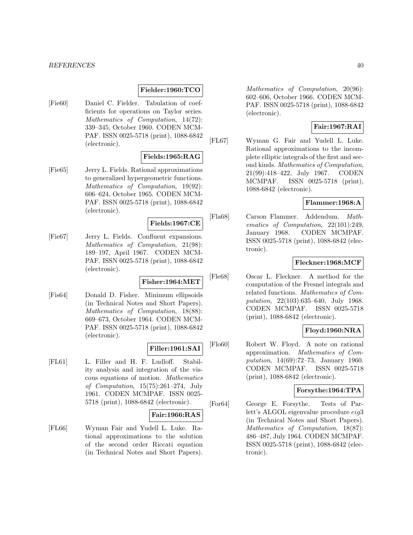#### **Fielder:1960:TCO**

[Fie60] Daniel C. Fielder. Tabulation of coefficients for operations on Taylor series. Mathematics of Computation, 14(72): 339–345, October 1960. CODEN MCM-PAF. ISSN 0025-5718 (print), 1088-6842 (electronic).

#### **Fields:1965:RAG**

[Fie65] Jerry L. Fields. Rational approximations to generalized hypergeometric functions. Mathematics of Computation, 19(92): 606–624, October 1965. CODEN MCM-PAF. ISSN 0025-5718 (print), 1088-6842 (electronic).

#### **Fields:1967:CE**

[Fie67] Jerry L. Fields. Confluent expansions. Mathematics of Computation, 21(98): 189–197, April 1967. CODEN MCM-PAF. ISSN 0025-5718 (print), 1088-6842 (electronic).

## **Fisher:1964:MET**

[Fis64] Donald D. Fisher. Minimum ellipsoids (in Technical Notes and Short Papers). Mathematics of Computation, 18(88): 669–673, October 1964. CODEN MCM-PAF. ISSN 0025-5718 (print), 1088-6842 (electronic).

### **Filler:1961:SAI**

[FL61] L. Filler and H. F. Ludloff. Stability analysis and integration of the viscous equations of motion. Mathematics of Computation, 15(75):261–274, July 1961. CODEN MCMPAF. ISSN 0025- 5718 (print), 1088-6842 (electronic).

#### **Fair:1966:RAS**

[FL66] Wyman Fair and Yudell L. Luke. Rational approximations to the solution of the second order Riccati equation (in Technical Notes and Short Papers).

Mathematics of Computation, 20(96): 602–606, October 1966. CODEN MCM-PAF. ISSN 0025-5718 (print), 1088-6842 (electronic).

## **Fair:1967:RAI**

[FL67] Wyman G. Fair and Yudell L. Luke. Rational approximations to the incomplete elliptic integrals of the first and second kinds. Mathematics of Computation, 21(99):418–422, July 1967. CODEN MCMPAF. ISSN 0025-5718 (print), 1088-6842 (electronic).

### **Flammer:1968:A**

[Fla68] Carson Flammer. Addendum. Mathematics of Computation, 22(101):249, January 1968. CODEN MCMPAF. ISSN 0025-5718 (print), 1088-6842 (electronic).

### **Fleckner:1968:MCF**

[Fle68] Oscar L. Fleckner. A method for the computation of the Fresnel integrals and related functions. Mathematics of Computation, 22(103):635–640, July 1968. CODEN MCMPAF. ISSN 0025-5718 (print), 1088-6842 (electronic).

## **Floyd:1960:NRA**

[Flo60] Robert W. Floyd. A note on rational approximation. Mathematics of Computation, 14(69):72–73, January 1960. CODEN MCMPAF. ISSN 0025-5718 (print), 1088-6842 (electronic).

# **Forsythe:1964:TPA**

[For64] George E. Forsythe. Tests of Parlett's ALGOL eigenvalue procedure eig3 (in Technical Notes and Short Papers). Mathematics of Computation, 18(87): 486–487, July 1964. CODEN MCMPAF. ISSN 0025-5718 (print), 1088-6842 (electronic).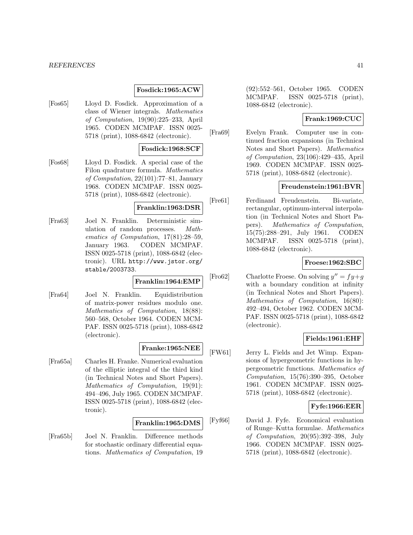#### **Fosdick:1965:ACW**

[Fos65] Lloyd D. Fosdick. Approximation of a class of Wiener integrals. Mathematics of Computation, 19(90):225–233, April 1965. CODEN MCMPAF. ISSN 0025- 5718 (print), 1088-6842 (electronic).

#### **Fosdick:1968:SCF**

[Fos68] Lloyd D. Fosdick. A special case of the Filon quadrature formula. Mathematics of Computation, 22(101):77–81, January 1968. CODEN MCMPAF. ISSN 0025- 5718 (print), 1088-6842 (electronic).

### **Franklin:1963:DSR**

[Fra63] Joel N. Franklin. Deterministic simulation of random processes. Mathematics of Computation, 17(81):28–59, January 1963. CODEN MCMPAF. ISSN 0025-5718 (print), 1088-6842 (electronic). URL http://www.jstor.org/ stable/2003733.

#### **Franklin:1964:EMP**

[Fra64] Joel N. Franklin. Equidistribution of matrix-power residues modulo one. Mathematics of Computation, 18(88): 560–568, October 1964. CODEN MCM-PAF. ISSN 0025-5718 (print), 1088-6842 (electronic).

# **Franke:1965:NEE**

[Fra65a] Charles H. Franke. Numerical evaluation of the elliptic integral of the third kind (in Technical Notes and Short Papers). Mathematics of Computation, 19(91): 494–496, July 1965. CODEN MCMPAF. ISSN 0025-5718 (print), 1088-6842 (electronic).

### **Franklin:1965:DMS**

[Fra65b] Joel N. Franklin. Difference methods for stochastic ordinary differential equations. Mathematics of Computation, 19

(92):552–561, October 1965. CODEN MCMPAF. ISSN 0025-5718 (print), 1088-6842 (electronic).

### **Frank:1969:CUC**

[Fra69] Evelyn Frank. Computer use in continued fraction expansions (in Technical Notes and Short Papers). Mathematics of Computation, 23(106):429–435, April 1969. CODEN MCMPAF. ISSN 0025- 5718 (print), 1088-6842 (electronic).

### **Freudenstein:1961:BVR**

[Fre61] Ferdinand Freudenstein. Bi-variate, rectangular, optimum-interval interpolation (in Technical Notes and Short Papers). Mathematics of Computation, 15(75):288–291, July 1961. CODEN MCMPAF. ISSN 0025-5718 (print), 1088-6842 (electronic).

#### **Froese:1962:SBC**

[Fro62] Charlotte Froese. On solving  $y'' = fy + g$ with a boundary condition at infinity (in Technical Notes and Short Papers). Mathematics of Computation, 16(80): 492–494, October 1962. CODEN MCM-PAF. ISSN 0025-5718 (print), 1088-6842 (electronic).

### **Fields:1961:EHF**

[FW61] Jerry L. Fields and Jet Wimp. Expansions of hypergeometric functions in hypergeometric functions. Mathematics of Computation, 15(76):390–395, October 1961. CODEN MCMPAF. ISSN 0025- 5718 (print), 1088-6842 (electronic).

### **Fyfe:1966:EER**

[Fyf66] David J. Fyfe. Economical evaluation of Runge–Kutta formulae. Mathematics of Computation, 20(95):392–398, July 1966. CODEN MCMPAF. ISSN 0025- 5718 (print), 1088-6842 (electronic).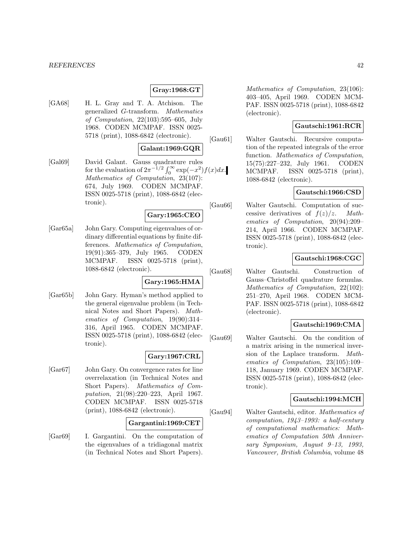## **Gray:1968:GT**

[GA68] H. L. Gray and T. A. Atchison. The generalized G-transform. Mathematics of Computation, 22(103):595–605, July 1968. CODEN MCMPAF. ISSN 0025- 5718 (print), 1088-6842 (electronic).

## **Galant:1969:GQR**

[Gal69] David Galant. Gauss quadrature rules for the evaluation of  $2\pi^{-1/2} \int_0^\infty \exp(-x^2) f(x) dx$ . Mathematics of Computation, 23(107): 674, July 1969. CODEN MCMPAF. ISSN 0025-5718 (print), 1088-6842 (electronic).

### **Gary:1965:CEO**

[Gar65a] John Gary. Computing eigenvalues of ordinary differential equations by finite differences. Mathematics of Computation, 19(91):365–379, July 1965. CODEN MCMPAF. ISSN 0025-5718 (print), 1088-6842 (electronic).

### **Gary:1965:HMA**

[Gar65b] John Gary. Hyman's method applied to the general eigenvalue problem (in Technical Notes and Short Papers). Mathematics of Computation, 19(90):314– 316, April 1965. CODEN MCMPAF. ISSN 0025-5718 (print), 1088-6842 (electronic).

#### **Gary:1967:CRL**

[Gar67] John Gary. On convergence rates for line overrelaxation (in Technical Notes and Short Papers). Mathematics of Computation, 21(98):220–223, April 1967. CODEN MCMPAF. ISSN 0025-5718 (print), 1088-6842 (electronic).

## **Gargantini:1969:CET**

[Gar69] I. Gargantini. On the computation of the eigenvalues of a tridiagonal matrix (in Technical Notes and Short Papers).

Mathematics of Computation, 23(106): 403–405, April 1969. CODEN MCM-PAF. ISSN 0025-5718 (print), 1088-6842 (electronic).

## **Gautschi:1961:RCR**

[Gau61] Walter Gautschi. Recursive computation of the repeated integrals of the error function. Mathematics of Computation, 15(75):227–232, July 1961. CODEN MCMPAF. ISSN 0025-5718 (print), 1088-6842 (electronic).

### **Gautschi:1966:CSD**

[Gau66] Walter Gautschi. Computation of successive derivatives of  $f(z)/z$ . Mathematics of Computation, 20(94):209– 214, April 1966. CODEN MCMPAF. ISSN 0025-5718 (print), 1088-6842 (electronic).

### **Gautschi:1968:CGC**

[Gau68] Walter Gautschi. Construction of Gauss–Christoffel quadrature formulas. Mathematics of Computation, 22(102): 251–270, April 1968. CODEN MCM-PAF. ISSN 0025-5718 (print), 1088-6842 (electronic).

### **Gautschi:1969:CMA**

[Gau69] Walter Gautschi. On the condition of a matrix arising in the numerical inversion of the Laplace transform. Mathematics of Computation, 23(105):109– 118, January 1969. CODEN MCMPAF. ISSN 0025-5718 (print), 1088-6842 (electronic).

### **Gautschi:1994:MCH**

[Gau94] Walter Gautschi, editor. Mathematics of computation, 1943–1993: a half-century of computational mathematics: Mathematics of Computation 50th Anniversary Symposium, August 9–13, 1993, Vancouver, British Columbia, volume 48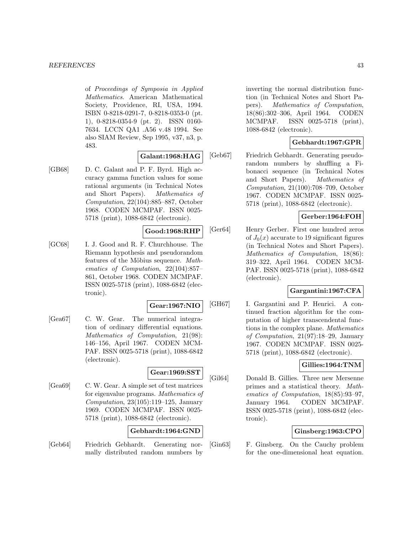of Proceedings of Symposia in Applied Mathematics. American Mathematical Society, Providence, RI, USA, 1994. ISBN 0-8218-0291-7, 0-8218-0353-0 (pt. 1), 0-8218-0354-9 (pt. 2). ISSN 0160- 7634. LCCN QA1 .A56 v.48 1994. See also SIAM Review, Sep 1995, v37, n3, p. 483.

### **Galant:1968:HAG**

[GB68] D. C. Galant and P. F. Byrd. High accuracy gamma function values for some rational arguments (in Technical Notes and Short Papers). Mathematics of Computation, 22(104):885–887, October 1968. CODEN MCMPAF. ISSN 0025- 5718 (print), 1088-6842 (electronic).

### **Good:1968:RHP**

[GC68] I. J. Good and R. F. Churchhouse. The Riemann hypothesis and pseudorandom features of the Möbius sequence. Mathematics of Computation, 22(104):857– 861, October 1968. CODEN MCMPAF. ISSN 0025-5718 (print), 1088-6842 (electronic).

#### **Gear:1967:NIO**

[Gea67] C. W. Gear. The numerical integration of ordinary differential equations. Mathematics of Computation, 21(98): 146–156, April 1967. CODEN MCM-PAF. ISSN 0025-5718 (print), 1088-6842 (electronic).

## **Gear:1969:SST**

[Gea69] C. W. Gear. A simple set of test matrices for eigenvalue programs. Mathematics of Computation,  $23(105):119-125$ , January 1969. CODEN MCMPAF. ISSN 0025- 5718 (print), 1088-6842 (electronic).

## **Gebhardt:1964:GND**

[Geb64] Friedrich Gebhardt. Generating normally distributed random numbers by inverting the normal distribution function (in Technical Notes and Short Papers). Mathematics of Computation, 18(86):302–306, April 1964. CODEN MCMPAF. ISSN 0025-5718 (print), 1088-6842 (electronic).

# **Gebhardt:1967:GPR**

[Geb67] Friedrich Gebhardt. Generating pseudorandom numbers by shuffling a Fibonacci sequence (in Technical Notes and Short Papers). Mathematics of Computation, 21(100):708–709, October 1967. CODEN MCMPAF. ISSN 0025- 5718 (print), 1088-6842 (electronic).

### **Gerber:1964:FOH**

[Ger64] Henry Gerber. First one hundred zeros of  $J_0(x)$  accurate to 19 significant figures (in Technical Notes and Short Papers). Mathematics of Computation, 18(86): 319–322, April 1964. CODEN MCM-PAF. ISSN 0025-5718 (print), 1088-6842 (electronic).

# **Gargantini:1967:CFA**

[GH67] I. Gargantini and P. Henrici. A continued fraction algorithm for the computation of higher transcendental functions in the complex plane. Mathematics of Computation, 21(97):18–29, January 1967. CODEN MCMPAF. ISSN 0025- 5718 (print), 1088-6842 (electronic).

## **Gillies:1964:TNM**

[Gil64] Donald B. Gillies. Three new Mersenne primes and a statistical theory. Mathematics of Computation, 18(85):93–97, January 1964. CODEN MCMPAF. ISSN 0025-5718 (print), 1088-6842 (electronic).

## **Ginsberg:1963:CPO**

[Gin63] F. Ginsberg. On the Cauchy problem for the one-dimensional heat equation.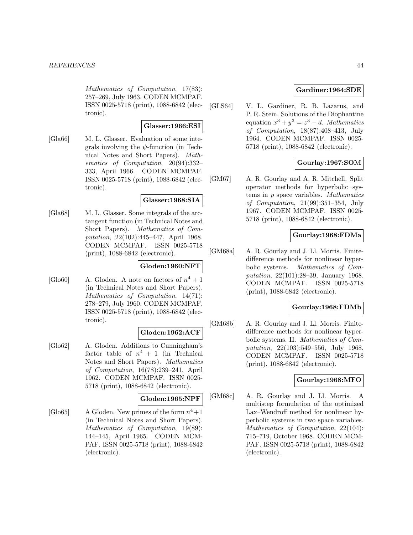Mathematics of Computation, 17(83): 257–269, July 1963. CODEN MCMPAF. ISSN 0025-5718 (print), 1088-6842 (electronic).

#### **Glasser:1966:ESI**

[Gla66] M. L. Glasser. Evaluation of some integrals involving the  $\psi$ -function (in Technical Notes and Short Papers). Mathematics of Computation, 20(94):332– 333, April 1966. CODEN MCMPAF. ISSN 0025-5718 (print), 1088-6842 (electronic).

## **Glasser:1968:SIA**

[Gla68] M. L. Glasser. Some integrals of the arctangent function (in Technical Notes and Short Papers). Mathematics of Computation, 22(102):445–447, April 1968. CODEN MCMPAF. ISSN 0025-5718 (print), 1088-6842 (electronic).

# **Gloden:1960:NFT**

[Glo60] A. Gloden. A note on factors of  $n^4 + 1$ (in Technical Notes and Short Papers). Mathematics of Computation, 14(71): 278–279, July 1960. CODEN MCMPAF. ISSN 0025-5718 (print), 1088-6842 (electronic).

#### **Gloden:1962:ACF**

[Glo62] A. Gloden. Additions to Cunningham's factor table of  $n^4 + 1$  (in Technical Notes and Short Papers). Mathematics of Computation, 16(78):239–241, April 1962. CODEN MCMPAF. ISSN 0025- 5718 (print), 1088-6842 (electronic).

### **Gloden:1965:NPF**

[Glo65] A Gloden. New primes of the form  $n^4+1$ (in Technical Notes and Short Papers). Mathematics of Computation, 19(89): 144–145, April 1965. CODEN MCM-PAF. ISSN 0025-5718 (print), 1088-6842 (electronic).

## **Gardiner:1964:SDE**

[GLS64] V. L. Gardiner, R. B. Lazarus, and P. R. Stein. Solutions of the Diophantine equation  $x^3 + y^3 = z^3 - d$ . Mathematics of Computation, 18(87):408–413, July 1964. CODEN MCMPAF. ISSN 0025- 5718 (print), 1088-6842 (electronic).

### **Gourlay:1967:SOM**

[GM67] A. R. Gourlay and A. R. Mitchell. Split operator methods for hyperbolic systems in p space variables. Mathematics of Computation, 21(99):351–354, July 1967. CODEN MCMPAF. ISSN 0025- 5718 (print), 1088-6842 (electronic).

### **Gourlay:1968:FDMa**

[GM68a] A. R. Gourlay and J. Ll. Morris. Finitedifference methods for nonlinear hyperbolic systems. Mathematics of Computation, 22(101):28–39, January 1968. CODEN MCMPAF. ISSN 0025-5718 (print), 1088-6842 (electronic).

### **Gourlay:1968:FDMb**

[GM68b] A. R. Gourlay and J. Ll. Morris. Finitedifference methods for nonlinear hyperbolic systems. II. Mathematics of Computation, 22(103):549–556, July 1968. CODEN MCMPAF. ISSN 0025-5718 (print), 1088-6842 (electronic).

### **Gourlay:1968:MFO**

[GM68c] A. R. Gourlay and J. Ll. Morris. A multistep formulation of the optimized Lax–Wendroff method for nonlinear hyperbolic systems in two space variables. Mathematics of Computation, 22(104): 715–719, October 1968. CODEN MCM-PAF. ISSN 0025-5718 (print), 1088-6842 (electronic).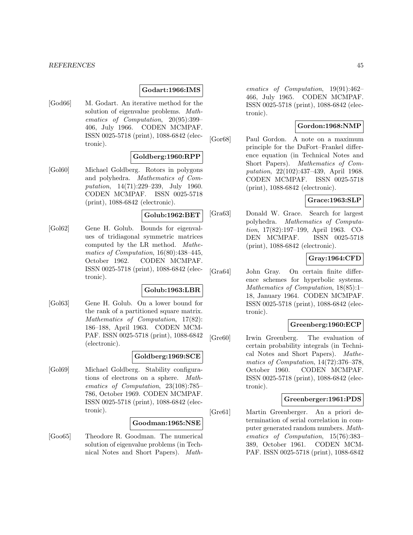#### **Godart:1966:IMS**

[God66] M. Godart. An iterative method for the solution of eigenvalue problems. Mathematics of Computation, 20(95):399– 406, July 1966. CODEN MCMPAF. ISSN 0025-5718 (print), 1088-6842 (electronic).

### **Goldberg:1960:RPP**

[Gol60] Michael Goldberg. Rotors in polygons and polyhedra. Mathematics of Computation, 14(71):229–239, July 1960. CODEN MCMPAF. ISSN 0025-5718 (print), 1088-6842 (electronic).

**Golub:1962:BET**

[Gol62] Gene H. Golub. Bounds for eigenvalues of tridiagonal symmetric matrices computed by the LR method. Mathematics of Computation, 16(80):438–445, October 1962. CODEN MCMPAF. ISSN 0025-5718 (print), 1088-6842 (electronic).

#### **Golub:1963:LBR**

[Gol63] Gene H. Golub. On a lower bound for the rank of a partitioned square matrix. Mathematics of Computation, 17(82): 186–188, April 1963. CODEN MCM-PAF. ISSN 0025-5718 (print), 1088-6842 (electronic).

### **Goldberg:1969:SCE**

[Gol69] Michael Goldberg. Stability configurations of electrons on a sphere. Mathematics of Computation, 23(108):785– 786, October 1969. CODEN MCMPAF. ISSN 0025-5718 (print), 1088-6842 (electronic).

#### **Goodman:1965:NSE**

[Goo65] Theodore R. Goodman. The numerical solution of eigenvalue problems (in Technical Notes and Short Papers). Math-

ematics of Computation, 19(91):462– 466, July 1965. CODEN MCMPAF. ISSN 0025-5718 (print), 1088-6842 (electronic).

### **Gordon:1968:NMP**

[Gor68] Paul Gordon. A note on a maximum principle for the DuFort–Frankel difference equation (in Technical Notes and Short Papers). Mathematics of Computation, 22(102):437–439, April 1968. CODEN MCMPAF. ISSN 0025-5718 (print), 1088-6842 (electronic).

## **Grace:1963:SLP**

[Gra63] Donald W. Grace. Search for largest polyhedra. Mathematics of Computation, 17(82):197–199, April 1963. CO-DEN MCMPAF. ISSN 0025-5718 (print), 1088-6842 (electronic).

## **Gray:1964:CFD**

[Gra64] John Gray. On certain finite difference schemes for hyperbolic systems. Mathematics of Computation, 18(85):1– 18, January 1964. CODEN MCMPAF. ISSN 0025-5718 (print), 1088-6842 (electronic).

### **Greenberg:1960:ECP**

[Gre60] Irwin Greenberg. The evaluation of certain probability integrals (in Technical Notes and Short Papers). Mathematics of Computation, 14(72):376–378, October 1960. CODEN MCMPAF. ISSN 0025-5718 (print), 1088-6842 (electronic).

#### **Greenberger:1961:PDS**

[Gre61] Martin Greenberger. An a priori determination of serial correlation in computer generated random numbers. Mathematics of Computation, 15(76):383– 389, October 1961. CODEN MCM-PAF. ISSN 0025-5718 (print), 1088-6842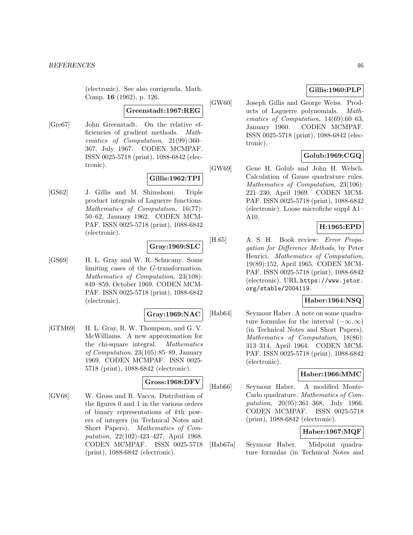(electronic). See also corrigenda, Math. Comp. **16** (1962), p. 126.

#### **Greenstadt:1967:REG**

[Gre67] John Greenstadt. On the relative efficiencies of gradient methods. Mathematics of Computation, 21(99):360– 367, July 1967. CODEN MCMPAF. ISSN 0025-5718 (print), 1088-6842 (electronic).

# **Gillis:1962:TPI**

[GS62] J. Gillis and M. Shimshoni. Triple product integrals of Laguerre functions. Mathematics of Computation, 16(77): 50–62, January 1962. CODEN MCM-PAF. ISSN 0025-5718 (print), 1088-6842 (electronic).

### **Gray:1969:SLC**

[GS69] H. L. Gray and W. R. Schucany. Some limiting cases of the G-transformation. Mathematics of Computation, 23(108): 849–859, October 1969. CODEN MCM-PAF. ISSN 0025-5718 (print), 1088-6842 (electronic).

#### **Gray:1969:NAC**

[GTM69] H. L. Gray, R. W. Thompson, and G. V. McWilliams. A new approximation for the chi-square integral. Mathematics of Computation, 23(105):85–89, January 1969. CODEN MCMPAF. ISSN 0025- 5718 (print), 1088-6842 (electronic).

# **Gross:1968:DFV**

[GV68] W. Gross and R. Vacca. Distribution of the figures 0 and 1 in the various orders of binary representations of kth powers of integers (in Technical Notes and Short Papers). Mathematics of Computation, 22(102):423–427, April 1968. CODEN MCMPAF. ISSN 0025-5718 (print), 1088-6842 (electronic).

# **Gillis:1960:PLP**

[GW60] Joseph Gillis and George Weiss. Products of Laguerre polynomials. Mathematics of Computation, 14(69):60–63, January 1960. CODEN MCMPAF. ISSN 0025-5718 (print), 1088-6842 (electronic).

# **Golub:1969:CGQ**

[GW69] Gene H. Golub and John H. Welsch. Calculation of Gauss quadrature rules. Mathematics of Computation, 23(106): 221–230, April 1969. CODEN MCM-PAF. ISSN 0025-5718 (print), 1088-6842 (electronic). Loose microfiche suppl A1– A10.

# **H:1965:EPD**

[H.65] A. S. H. Book review: Error Propagation for Difference Methods, by Peter Henrici. Mathematics of Computation, 19(89):152, April 1965. CODEN MCM-PAF. ISSN 0025-5718 (print), 1088-6842 (electronic). URL https://www.jstor. org/stable/2004119.

## **Haber:1964:NSQ**

[Hab64] Seymour Haber. A note on some quadrature formulas for the interval  $(-\infty, \infty)$ (in Technical Notes and Short Papers). Mathematics of Computation, 18(86): 313–314, April 1964. CODEN MCM-PAF. ISSN 0025-5718 (print), 1088-6842 (electronic).

### **Haber:1966:MMC**

[Hab66] Seymour Haber. A modified Monte-Carlo quadrature. Mathematics of Computation, 20(95):361–368, July 1966. CODEN MCMPAF. ISSN 0025-5718 (print), 1088-6842 (electronic).

# **Haber:1967:MQF**

[Hab67a] Seymour Haber. Midpoint quadrature formulas (in Technical Notes and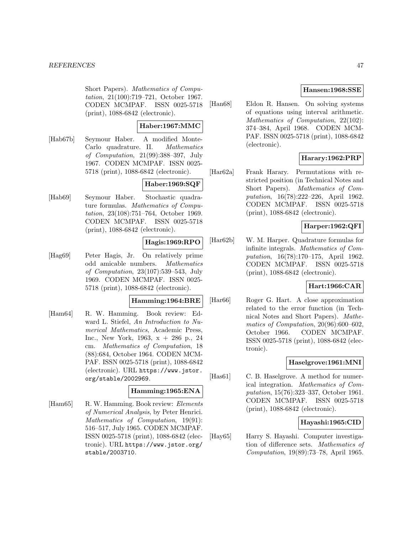Short Papers). Mathematics of Computation, 21(100):719–721, October 1967. CODEN MCMPAF. ISSN 0025-5718 (print), 1088-6842 (electronic).

### **Haber:1967:MMC**

[Hab67b] Seymour Haber. A modified Monte-Carlo quadrature. II. Mathematics of Computation, 21(99):388–397, July 1967. CODEN MCMPAF. ISSN 0025- 5718 (print), 1088-6842 (electronic).

# **Haber:1969:SQF**

[Hab69] Seymour Haber. Stochastic quadrature formulas. Mathematics of Computation, 23(108):751–764, October 1969. CODEN MCMPAF. ISSN 0025-5718 (print), 1088-6842 (electronic).

## **Hagis:1969:RPO**

[Hag69] Peter Hagis, Jr. On relatively prime odd amicable numbers. Mathematics of Computation, 23(107):539–543, July 1969. CODEN MCMPAF. ISSN 0025- 5718 (print), 1088-6842 (electronic).

### **Hamming:1964:BRE**

[Ham64] R. W. Hamming. Book review: Edward L. Stiefel, An Introduction to Numerical Mathematics, Academic Press, Inc., New York, 1963, x + 286 p., 24 cm. Mathematics of Computation, 18 (88):684, October 1964. CODEN MCM-PAF. ISSN 0025-5718 (print), 1088-6842 (electronic). URL https://www.jstor. org/stable/2002969.

## **Hamming:1965:ENA**

[Ham65] R. W. Hamming. Book review: Elements of Numerical Analysis, by Peter Henrici. Mathematics of Computation, 19(91): 516–517, July 1965. CODEN MCMPAF. ISSN 0025-5718 (print), 1088-6842 (electronic). URL https://www.jstor.org/ stable/2003710.

### **Hansen:1968:SSE**

[Han68] Eldon R. Hansen. On solving systems of equations using interval arithmetic. Mathematics of Computation, 22(102): 374–384, April 1968. CODEN MCM-PAF. ISSN 0025-5718 (print), 1088-6842 (electronic).

## **Harary:1962:PRP**

[Har62a] Frank Harary. Permutations with restricted position (in Technical Notes and Short Papers). Mathematics of Computation, 16(78):222–226, April 1962. CODEN MCMPAF. ISSN 0025-5718 (print), 1088-6842 (electronic).

### **Harper:1962:QFI**

[Har62b] W. M. Harper. Quadrature formulas for infinite integrals. Mathematics of Computation, 16(78):170–175, April 1962. CODEN MCMPAF. ISSN 0025-5718 (print), 1088-6842 (electronic).

## **Hart:1966:CAR**

[Har66] Roger G. Hart. A close approximation related to the error function (in Technical Notes and Short Papers). Mathematics of Computation, 20(96):600–602, October 1966. CODEN MCMPAF. ISSN 0025-5718 (print), 1088-6842 (electronic).

### **Haselgrove:1961:MNI**

[Has61] C. B. Haselgrove. A method for numerical integration. Mathematics of Computation, 15(76):323–337, October 1961. CODEN MCMPAF. ISSN 0025-5718 (print), 1088-6842 (electronic).

### **Hayashi:1965:CID**

[Hay65] Harry S. Hayashi. Computer investigation of difference sets. Mathematics of Computation, 19(89):73–78, April 1965.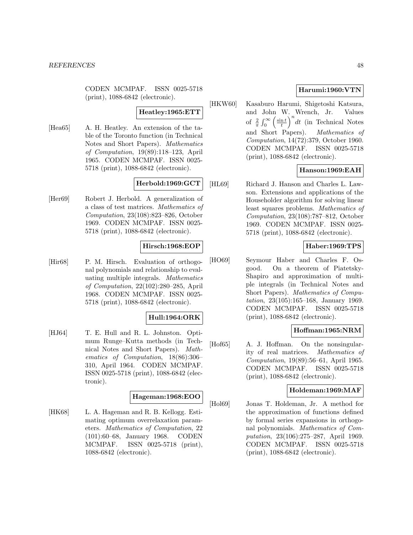CODEN MCMPAF. ISSN 0025-5718 (print), 1088-6842 (electronic).

### **Heatley:1965:ETT**

[Hea65] A. H. Heatley. An extension of the table of the Toronto function (in Technical Notes and Short Papers). Mathematics of Computation, 19(89):118–123, April 1965. CODEN MCMPAF. ISSN 0025- 5718 (print), 1088-6842 (electronic).

### **Herbold:1969:GCT**

[Her69] Robert J. Herbold. A generalization of a class of test matrices. Mathematics of Computation, 23(108):823–826, October 1969. CODEN MCMPAF. ISSN 0025- 5718 (print), 1088-6842 (electronic).

#### **Hirsch:1968:EOP**

[Hir68] P. M. Hirsch. Evaluation of orthogonal polynomials and relationship to evaluating multiple integrals. Mathematics of Computation, 22(102):280–285, April 1968. CODEN MCMPAF. ISSN 0025- 5718 (print), 1088-6842 (electronic).

### **Hull:1964:ORK**

[HJ64] T. E. Hull and R. L. Johnston. Optimum Runge–Kutta methods (in Technical Notes and Short Papers). Mathematics of Computation, 18(86):306– 310, April 1964. CODEN MCMPAF. ISSN 0025-5718 (print), 1088-6842 (electronic).

#### **Hageman:1968:EOO**

[HK68] L. A. Hageman and R. B. Kellogg. Estimating optimum overrelaxation parameters. Mathematics of Computation, 22 (101):60–68, January 1968. CODEN MCMPAF. ISSN 0025-5718 (print), 1088-6842 (electronic).

## **Harumi:1960:VTN**

[HKW60] Kasaburo Harumi, Shigetoshi Katsura, and John W. Wrench, Jr. Values of  $\frac{2}{\pi} \int_0^\infty \left( \frac{\sin t}{t} \right)$  $\int_0^n dt$  (in Technical Notes and Short Papers). Mathematics of Computation, 14(72):379, October 1960. CODEN MCMPAF. ISSN 0025-5718 (print), 1088-6842 (electronic).

### **Hanson:1969:EAH**

[HL69] Richard J. Hanson and Charles L. Lawson. Extensions and applications of the Householder algorithm for solving linear least squares problems. Mathematics of Computation, 23(108):787–812, October 1969. CODEN MCMPAF. ISSN 0025- 5718 (print), 1088-6842 (electronic).

## **Haber:1969:TPS**

[HO69] Seymour Haber and Charles F. Osgood. On a theorem of Piatetsky-Shapiro and approximation of multiple integrals (in Technical Notes and Short Papers). Mathematics of Computation, 23(105):165–168, January 1969. CODEN MCMPAF. ISSN 0025-5718 (print), 1088-6842 (electronic).

### **Hoffman:1965:NRM**

[Hof65] A. J. Hoffman. On the nonsingularity of real matrices. Mathematics of Computation, 19(89):56–61, April 1965. CODEN MCMPAF. ISSN 0025-5718 (print), 1088-6842 (electronic).

### **Holdeman:1969:MAF**

[Hol69] Jonas T. Holdeman, Jr. A method for the approximation of functions defined by formal series expansions in orthogonal polynomials. Mathematics of Computation, 23(106):275–287, April 1969. CODEN MCMPAF. ISSN 0025-5718 (print), 1088-6842 (electronic).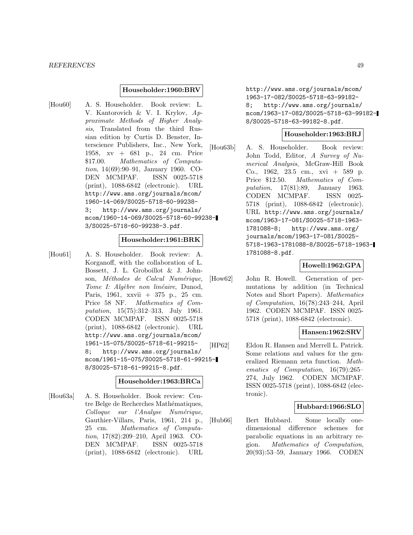#### **Householder:1960:BRV**

[Hou60] A. S. Householder. Book review: L. V. Kantorovich & V. I. Krylov, Approximate Methods of Higher Analysis, Translated from the third Russian edition by Curtis D. Benster, Interscience Publishers, Inc., New York, 1958, xv + 681 p., 24 cm. Price \$17.00. Mathematics of Computation, 14(69):90–91, January 1960. CO-DEN MCMPAF. ISSN 0025-5718 (print), 1088-6842 (electronic). URL http://www.ams.org/journals/mcom/ 1960-14-069/S0025-5718-60-99238- 3; http://www.ams.org/journals/ mcom/1960-14-069/S0025-5718-60-99238- 3/S0025-5718-60-99238-3.pdf.

#### **Householder:1961:BRK**

[Hou61] A. S. Householder. Book review: A. Korganoff, with the collaboration of L. Bossett, J. L. Groboillot & J. Johnson, Méthodes de Calcul Numérique, Tome I: Algèbre non linéaire, Dunod, Paris, 1961, xxvii + 375 p., 25 cm. Price 58 NF. Mathematics of Computation, 15(75):312–313, July 1961. CODEN MCMPAF. ISSN 0025-5718 (print), 1088-6842 (electronic). URL http://www.ams.org/journals/mcom/ 1961-15-075/S0025-5718-61-99215- 8; http://www.ams.org/journals/ mcom/1961-15-075/S0025-5718-61-99215- 8/S0025-5718-61-99215-8.pdf.

#### **Householder:1963:BRCa**

[Hou63a] A. S. Householder. Book review: Centre Belge de Recherches Mathématiques, Colloque sur l'Analyse Numérique, Gauthier-Villars, Paris, 1961, 214 p., 25 cm. Mathematics of Computation, 17(82):209–210, April 1963. CO-DEN MCMPAF. ISSN 0025-5718 (print), 1088-6842 (electronic). URL

http://www.ams.org/journals/mcom/ 1963-17-082/S0025-5718-63-99182- 8; http://www.ams.org/journals/ mcom/1963-17-082/S0025-5718-63-99182- 8/S0025-5718-63-99182-8.pdf.

### **Householder:1963:BRJ**

[Hou63b] A. S. Householder. Book review: John Todd, Editor, A Survey of Numerical Analysis, McGraw-Hill Book Co., 1962, 23.5 cm., xvi + 589 p. Price \$12.50. Mathematics of Computation, 17(81):89, January 1963. CODEN MCMPAF. ISSN 0025- 5718 (print), 1088-6842 (electronic). URL http://www.ams.org/journals/ mcom/1963-17-081/S0025-5718-1963- 1781088-8; http://www.ams.org/ journals/mcom/1963-17-081/S0025- 5718-1963-1781088-8/S0025-5718-1963- 1781088-8.pdf.

#### **Howell:1962:GPA**

[How62] John R. Howell. Generation of permutations by addition (in Technical Notes and Short Papers). Mathematics of Computation, 16(78):243–244, April 1962. CODEN MCMPAF. ISSN 0025- 5718 (print), 1088-6842 (electronic).

#### **Hansen:1962:SRV**

[HP62] Eldon R. Hansen and Merrell L. Patrick. Some relations and values for the generalized Riemann zeta function. Mathematics of Computation, 16(79):265– 274, July 1962. CODEN MCMPAF. ISSN 0025-5718 (print), 1088-6842 (electronic).

### **Hubbard:1966:SLO**

[Hub66] Bert Hubbard. Some locally onedimensional difference schemes for parabolic equations in an arbitrary region. Mathematics of Computation, 20(93):53–59, January 1966. CODEN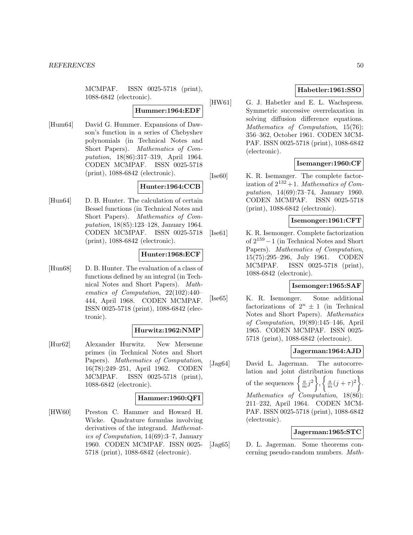MCMPAF. ISSN 0025-5718 (print), 1088-6842 (electronic).

#### **Hummer:1964:EDF**

[Hum64] David G. Hummer. Expansions of Dawson's function in a series of Chebyshev polynomials (in Technical Notes and Short Papers). Mathematics of Computation, 18(86):317–319, April 1964. CODEN MCMPAF. ISSN 0025-5718 (print), 1088-6842 (electronic).

### **Hunter:1964:CCB**

[Hun64] D. B. Hunter. The calculation of certain Bessel functions (in Technical Notes and Short Papers). Mathematics of Computation, 18(85):123–128, January 1964. CODEN MCMPAF. ISSN 0025-5718 (print), 1088-6842 (electronic).

### **Hunter:1968:ECF**

[Hun68] D. B. Hunter. The evaluation of a class of functions defined by an integral (in Technical Notes and Short Papers). Mathematics of Computation, 22(102):440– 444, April 1968. CODEN MCMPAF. ISSN 0025-5718 (print), 1088-6842 (electronic).

### **Hurwitz:1962:NMP**

[Hur62] Alexander Hurwitz. New Mersenne primes (in Technical Notes and Short Papers). Mathematics of Computation, 16(78):249–251, April 1962. CODEN MCMPAF. ISSN 0025-5718 (print), 1088-6842 (electronic).

#### **Hammer:1960:QFI**

[HW60] Preston C. Hammer and Howard H. Wicke. Quadrature formulas involving derivatives of the integrand. Mathematics of Computation, 14(69):3–7, January 1960. CODEN MCMPAF. ISSN 0025- 5718 (print), 1088-6842 (electronic).

### **Habetler:1961:SSO**

[HW61] G. J. Habetler and E. L. Wachspress. Symmetric successive overrelaxation in solving diffusion difference equations. Mathematics of Computation, 15(76): 356–362, October 1961. CODEN MCM-PAF. ISSN 0025-5718 (print), 1088-6842 (electronic).

### **Isemanger:1960:CF**

[Ise60] K. R. Isemanger. The complete factorization of  $2^{132}+1$ . Mathematics of Computation, 14(69):73–74, January 1960. CODEN MCMPAF. ISSN 0025-5718 (print), 1088-6842 (electronic).

### **Isemonger:1961:CFT**

[Ise61] K. R. Isemonger. Complete factorization of 2<sup>159</sup>−1 (in Technical Notes and Short Papers). Mathematics of Computation, 15(75):295–296, July 1961. CODEN MCMPAF. ISSN 0025-5718 (print), 1088-6842 (electronic).

### **Isemonger:1965:SAF**

[Ise65] K. R. Isemonger. Some additional factorizations of  $2^n \pm 1$  (in Technical Notes and Short Papers). Mathematics of Computation, 19(89):145–146, April 1965. CODEN MCMPAF. ISSN 0025- 5718 (print), 1088-6842 (electronic).

### **Jagerman:1964:AJD**

[Jag64] David L. Jagerman. The autocorrelation and joint distribution functions of the sequences  $\left\{\frac{a}{m}j^2\right\}$ ,  $\left\{\frac{a}{m}(j+\tau)^2\right\}$ . Mathematics of Computation, 18(86): 211–232, April 1964. CODEN MCM-PAF. ISSN 0025-5718 (print), 1088-6842 (electronic).

### **Jagerman:1965:STC**

[Jag65] D. L. Jagerman. Some theorems concerning pseudo-random numbers. Math-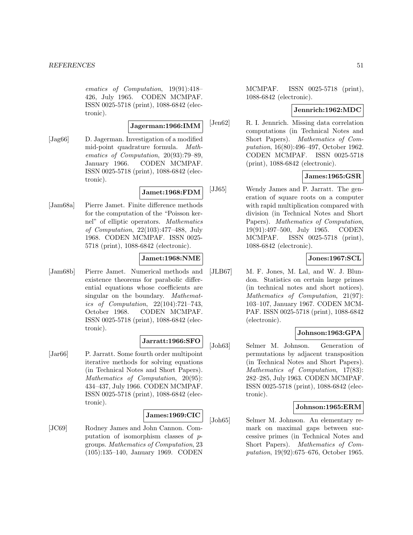ematics of Computation, 19(91):418– 426, July 1965. CODEN MCMPAF. ISSN 0025-5718 (print), 1088-6842 (electronic).

**Jagerman:1966:IMM**

[Jag66] D. Jagerman. Investigation of a modified mid-point quadrature formula. Mathematics of Computation, 20(93):79–89, January 1966. CODEN MCMPAF. ISSN 0025-5718 (print), 1088-6842 (electronic).

### **Jamet:1968:FDM**

[Jam68a] Pierre Jamet. Finite difference methods for the computation of the "Poisson kernel" of elliptic operators. Mathematics of Computation, 22(103):477–488, July 1968. CODEN MCMPAF. ISSN 0025- 5718 (print), 1088-6842 (electronic).

## **Jamet:1968:NME**

[Jam68b] Pierre Jamet. Numerical methods and existence theorems for parabolic differential equations whose coefficients are singular on the boundary. *Mathemat*ics of Computation, 22(104):721–743, October 1968. CODEN MCMPAF. ISSN 0025-5718 (print), 1088-6842 (electronic).

## **Jarratt:1966:SFO**

[Jar66] P. Jarratt. Some fourth order multipoint iterative methods for solving equations (in Technical Notes and Short Papers). Mathematics of Computation, 20(95): 434–437, July 1966. CODEN MCMPAF. ISSN 0025-5718 (print), 1088-6842 (electronic).

### **James:1969:CIC**

[JC69] Rodney James and John Cannon. Computation of isomorphism classes of pgroups. Mathematics of Computation, 23 (105):135–140, January 1969. CODEN MCMPAF. ISSN 0025-5718 (print), 1088-6842 (electronic).

# **Jennrich:1962:MDC**

[Jen62] R. I. Jennrich. Missing data correlation computations (in Technical Notes and Short Papers). Mathematics of Computation, 16(80):496–497, October 1962. CODEN MCMPAF. ISSN 0025-5718 (print), 1088-6842 (electronic).

### **James:1965:GSR**

[JJ65] Wendy James and P. Jarratt. The generation of square roots on a computer with rapid multiplication compared with division (in Technical Notes and Short Papers). Mathematics of Computation, 19(91):497–500, July 1965. CODEN MCMPAF. ISSN 0025-5718 (print), 1088-6842 (electronic).

## **Jones:1967:SCL**

[JLB67] M. F. Jones, M. Lal, and W. J. Blundon. Statistics on certain large primes (in technical notes and short notices). Mathematics of Computation, 21(97): 103–107, January 1967. CODEN MCM-PAF. ISSN 0025-5718 (print), 1088-6842 (electronic).

### **Johnson:1963:GPA**

[Joh63] Selmer M. Johnson. Generation of permutations by adjacent transposition (in Technical Notes and Short Papers). Mathematics of Computation, 17(83): 282–285, July 1963. CODEN MCMPAF. ISSN 0025-5718 (print), 1088-6842 (electronic).

### **Johnson:1965:ERM**

[Joh65] Selmer M. Johnson. An elementary remark on maximal gaps between successive primes (in Technical Notes and Short Papers). Mathematics of Computation, 19(92):675–676, October 1965.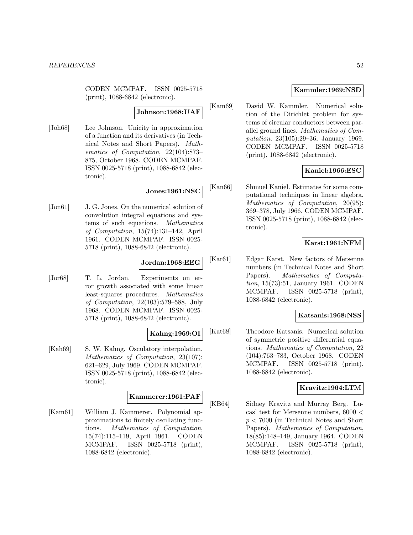CODEN MCMPAF. ISSN 0025-5718 (print), 1088-6842 (electronic).

### **Johnson:1968:UAF**

[Joh68] Lee Johnson. Unicity in approximation of a function and its derivatives (in Technical Notes and Short Papers). Mathematics of Computation, 22(104):873– 875, October 1968. CODEN MCMPAF. ISSN 0025-5718 (print), 1088-6842 (electronic).

### **Jones:1961:NSC**

[Jon61] J. G. Jones. On the numerical solution of convolution integral equations and systems of such equations. Mathematics of Computation, 15(74):131–142, April 1961. CODEN MCMPAF. ISSN 0025- 5718 (print), 1088-6842 (electronic).

# **Jordan:1968:EEG**

[Jor68] T. L. Jordan. Experiments on error growth associated with some linear least-squares procedures. Mathematics of Computation, 22(103):579–588, July 1968. CODEN MCMPAF. ISSN 0025- 5718 (print), 1088-6842 (electronic).

### **Kahng:1969:OI**

[Kah69] S. W. Kahng. Osculatory interpolation. Mathematics of Computation, 23(107): 621–629, July 1969. CODEN MCMPAF. ISSN 0025-5718 (print), 1088-6842 (electronic).

### **Kammerer:1961:PAF**

[Kam61] William J. Kammerer. Polynomial approximations to finitely oscillating functions. Mathematics of Computation, 15(74):115–119, April 1961. CODEN MCMPAF. ISSN 0025-5718 (print), 1088-6842 (electronic).

### **Kammler:1969:NSD**

[Kam69] David W. Kammler. Numerical solution of the Dirichlet problem for systems of circular conductors between parallel ground lines. Mathematics of Computation, 23(105):29–36, January 1969. CODEN MCMPAF. ISSN 0025-5718 (print), 1088-6842 (electronic).

# **Kaniel:1966:ESC**

[Kan66] Shmuel Kaniel. Estimates for some computational techniques in linear algebra. Mathematics of Computation, 20(95): 369–378, July 1966. CODEN MCMPAF. ISSN 0025-5718 (print), 1088-6842 (electronic).

### **Karst:1961:NFM**

[Kar61] Edgar Karst. New factors of Mersenne numbers (in Technical Notes and Short Papers). Mathematics of Computation, 15(73):51, January 1961. CODEN MCMPAF. ISSN 0025-5718 (print), 1088-6842 (electronic).

#### **Katsanis:1968:NSS**

[Kat68] Theodore Katsanis. Numerical solution of symmetric positive differential equations. Mathematics of Computation, 22 (104):763–783, October 1968. CODEN MCMPAF. ISSN 0025-5718 (print), 1088-6842 (electronic).

#### **Kravitz:1964:LTM**

[KB64] Sidney Kravitz and Murray Berg. Lucas' test for Mersenne numbers, 6000 <  $p < 7000$  (in Technical Notes and Short Papers). Mathematics of Computation, 18(85):148–149, January 1964. CODEN MCMPAF. ISSN 0025-5718 (print), 1088-6842 (electronic).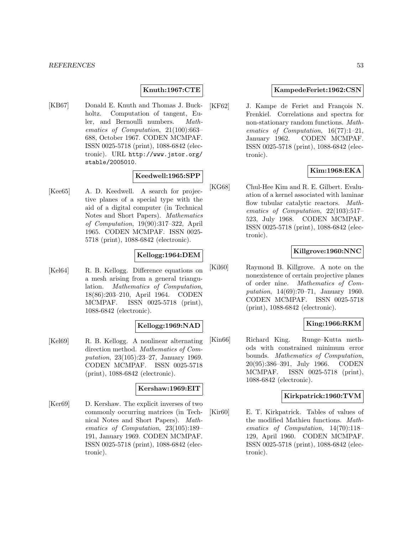## **Knuth:1967:CTE**

[KB67] Donald E. Knuth and Thomas J. Buckholtz. Computation of tangent, Euler, and Bernoulli numbers. Mathematics of Computation, 21(100):663– 688, October 1967. CODEN MCMPAF. ISSN 0025-5718 (print), 1088-6842 (electronic). URL http://www.jstor.org/ stable/2005010.

### **Keedwell:1965:SPP**

[Kee65] A. D. Keedwell. A search for projective planes of a special type with the aid of a digital computer (in Technical Notes and Short Papers). Mathematics of Computation, 19(90):317–322, April 1965. CODEN MCMPAF. ISSN 0025- 5718 (print), 1088-6842 (electronic).

#### **Kellogg:1964:DEM**

[Kel64] R. B. Kellogg. Difference equations on a mesh arising from a general triangulation. Mathematics of Computation, 18(86):203–210, April 1964. CODEN MCMPAF. ISSN 0025-5718 (print), 1088-6842 (electronic).

#### **Kellogg:1969:NAD**

[Kel69] R. B. Kellogg. A nonlinear alternating direction method. Mathematics of Computation, 23(105):23–27, January 1969. CODEN MCMPAF. ISSN 0025-5718 (print), 1088-6842 (electronic).

#### **Kershaw:1969:EIT**

[Ker69] D. Kershaw. The explicit inverses of two commonly occurring matrices (in Technical Notes and Short Papers). Mathematics of Computation, 23(105):189– 191, January 1969. CODEN MCMPAF. ISSN 0025-5718 (print), 1088-6842 (electronic).

### **KampedeFeriet:1962:CSN**

[KF62] J. Kampe de Feriet and François N. Frenkiel. Correlations and spectra for non-stationary random functions. Mathematics of Computation, 16(77):1–21, January 1962. CODEN MCMPAF. ISSN 0025-5718 (print), 1088-6842 (electronic).

### **Kim:1968:EKA**

[KG68] Chul-Hee Kim and R. E. Gilbert. Evaluation of a kernel associated with laminar flow tubular catalytic reactors. Mathematics of Computation, 22(103):517– 523, July 1968. CODEN MCMPAF. ISSN 0025-5718 (print), 1088-6842 (electronic).

### **Killgrove:1960:NNC**

[Kil60] Raymond B. Killgrove. A note on the nonexistence of certain projective planes of order nine. Mathematics of Computation, 14(69):70–71, January 1960. CODEN MCMPAF. ISSN 0025-5718 (print), 1088-6842 (electronic).

# **King:1966:RKM**

[Kin66] Richard King. Runge–Kutta methods with constrained minimum error bounds. Mathematics of Computation, 20(95):386–391, July 1966. CODEN MCMPAF. ISSN 0025-5718 (print), 1088-6842 (electronic).

### **Kirkpatrick:1960:TVM**

[Kir60] E. T. Kirkpatrick. Tables of values of the modified Mathieu functions. Mathematics of Computation, 14(70):118– 129, April 1960. CODEN MCMPAF. ISSN 0025-5718 (print), 1088-6842 (electronic).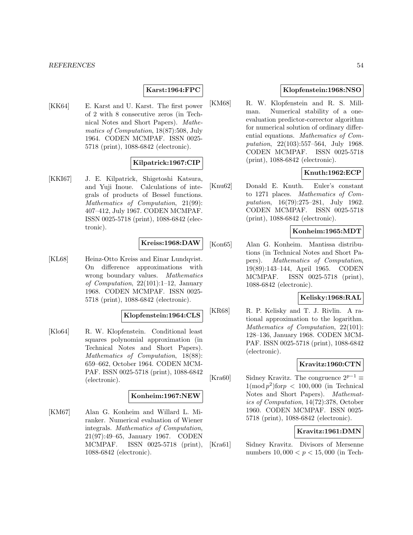### **Karst:1964:FPC**

[KK64] E. Karst and U. Karst. The first power of 2 with 8 consecutive zeros (in Technical Notes and Short Papers). Mathematics of Computation, 18(87):508, July 1964. CODEN MCMPAF. ISSN 0025- 5718 (print), 1088-6842 (electronic).

### **Kilpatrick:1967:CIP**

[KKI67] J. E. Kilpatrick, Shigetoshi Katsura, and Yuji Inoue. Calculations of integrals of products of Bessel functions. Mathematics of Computation, 21(99): 407–412, July 1967. CODEN MCMPAF. ISSN 0025-5718 (print), 1088-6842 (electronic).

#### **Kreiss:1968:DAW**

[KL68] Heinz-Otto Kreiss and Einar Lundqvist. On difference approximations with wrong boundary values. Mathematics of Computation, 22(101):1–12, January 1968. CODEN MCMPAF. ISSN 0025- 5718 (print), 1088-6842 (electronic).

### **Klopfenstein:1964:CLS**

[Klo64] R. W. Klopfenstein. Conditional least squares polynomial approximation (in Technical Notes and Short Papers). Mathematics of Computation, 18(88): 659–662, October 1964. CODEN MCM-PAF. ISSN 0025-5718 (print), 1088-6842 (electronic).

#### **Konheim:1967:NEW**

[KM67] Alan G. Konheim and Willard L. Miranker. Numerical evaluation of Wiener integrals. Mathematics of Computation, 21(97):49–65, January 1967. CODEN MCMPAF. ISSN 0025-5718 (print), 1088-6842 (electronic).

## **Klopfenstein:1968:NSO**

[KM68] R. W. Klopfenstein and R. S. Millman. Numerical stability of a oneevaluation predictor-corrector algorithm for numerical solution of ordinary differential equations. Mathematics of Computation, 22(103):557–564, July 1968. CODEN MCMPAF. ISSN 0025-5718 (print), 1088-6842 (electronic).

### **Knuth:1962:ECP**

[Knu62] Donald E. Knuth. Euler's constant to 1271 places. Mathematics of Computation, 16(79):275–281, July 1962. CODEN MCMPAF. ISSN 0025-5718 (print), 1088-6842 (electronic).

### **Konheim:1965:MDT**

[Kon65] Alan G. Konheim. Mantissa distributions (in Technical Notes and Short Papers). Mathematics of Computation, 19(89):143–144, April 1965. CODEN MCMPAF. ISSN 0025-5718 (print), 1088-6842 (electronic).

### **Kelisky:1968:RAL**

[KR68] R. P. Kelisky and T. J. Rivlin. A rational approximation to the logarithm. Mathematics of Computation, 22(101): 128–136, January 1968. CODEN MCM-PAF. ISSN 0025-5718 (print), 1088-6842 (electronic).

### **Kravitz:1960:CTN**

[Kra60] Sidney Kravitz. The congruence  $2^{p-1} \equiv$  $1(\text{mod } p^2)$ for $p < 100,000$  (in Technical Notes and Short Papers). Mathematics of Computation, 14(72):378, October 1960. CODEN MCMPAF. ISSN 0025- 5718 (print), 1088-6842 (electronic).

### **Kravitz:1961:DMN**

[Kra61] Sidney Kravitz. Divisors of Mersenne numbers  $10,000 < p < 15,000$  (in Tech-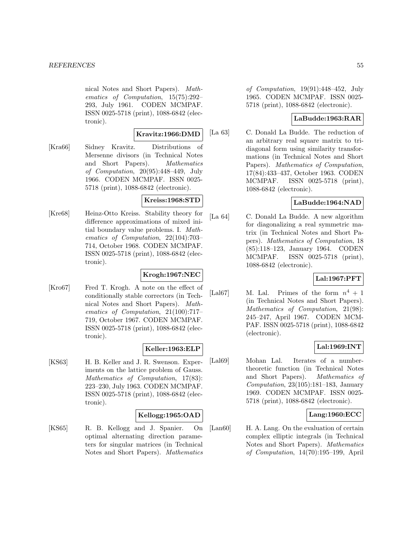nical Notes and Short Papers). Mathematics of Computation, 15(75):292– 293, July 1961. CODEN MCMPAF. ISSN 0025-5718 (print), 1088-6842 (electronic).

### **Kravitz:1966:DMD**

[Kra66] Sidney Kravitz. Distributions of Mersenne divisors (in Technical Notes and Short Papers). Mathematics of Computation, 20(95):448–449, July 1966. CODEN MCMPAF. ISSN 0025- 5718 (print), 1088-6842 (electronic).

## **Kreiss:1968:STD**

[Kre68] Heinz-Otto Kreiss. Stability theory for difference approximations of mixed initial boundary value problems. I. Mathematics of Computation, 22(104):703– 714, October 1968. CODEN MCMPAF. ISSN 0025-5718 (print), 1088-6842 (electronic).

# **Krogh:1967:NEC**

[Kro67] Fred T. Krogh. A note on the effect of conditionally stable correctors (in Technical Notes and Short Papers). Mathematics of Computation, 21(100):717– 719, October 1967. CODEN MCMPAF. ISSN 0025-5718 (print), 1088-6842 (electronic).

## **Keller:1963:ELP**

[KS63] H. B. Keller and J. R. Swenson. Experiments on the lattice problem of Gauss. Mathematics of Computation, 17(83): 223–230, July 1963. CODEN MCMPAF. ISSN 0025-5718 (print), 1088-6842 (electronic).

### **Kellogg:1965:OAD**

[KS65] R. B. Kellogg and J. Spanier. On optimal alternating direction parameters for singular matrices (in Technical Notes and Short Papers). Mathematics

of Computation, 19(91):448–452, July 1965. CODEN MCMPAF. ISSN 0025- 5718 (print), 1088-6842 (electronic).

# **LaBudde:1963:RAR**

[La 63] C. Donald La Budde. The reduction of an arbitrary real square matrix to tridiagonal form using similarity transformations (in Technical Notes and Short Papers). Mathematics of Computation, 17(84):433–437, October 1963. CODEN MCMPAF. ISSN 0025-5718 (print), 1088-6842 (electronic).

# **LaBudde:1964:NAD**

[La 64] C. Donald La Budde. A new algorithm for diagonalizing a real symmetric matrix (in Technical Notes and Short Papers). Mathematics of Computation, 18 (85):118–123, January 1964. CODEN MCMPAF. ISSN 0025-5718 (print), 1088-6842 (electronic).

# **Lal:1967:PFT**

[Lal67] M. Lal. Primes of the form  $n^4 + 1$ (in Technical Notes and Short Papers). Mathematics of Computation, 21(98): 245–247, April 1967. CODEN MCM-PAF. ISSN 0025-5718 (print), 1088-6842 (electronic).

## **Lal:1969:INT**

[Lal69] Mohan Lal. Iterates of a numbertheoretic function (in Technical Notes and Short Papers). Mathematics of Computation,  $23(105):181-183$ , January 1969. CODEN MCMPAF. ISSN 0025- 5718 (print), 1088-6842 (electronic).

## **Lang:1960:ECC**

[Lan60] H. A. Lang. On the evaluation of certain complex elliptic integrals (in Technical Notes and Short Papers). Mathematics of Computation, 14(70):195–199, April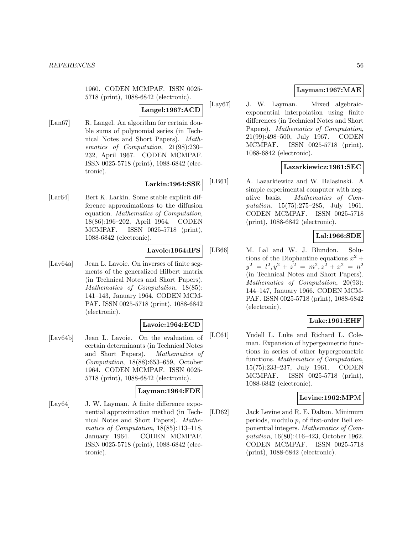1960. CODEN MCMPAF. ISSN 0025- 5718 (print), 1088-6842 (electronic).

#### **Langel:1967:ACD**

[Lan67] R. Langel. An algorithm for certain double sums of polynomial series (in Technical Notes and Short Papers). Mathematics of Computation, 21(98):230– 232, April 1967. CODEN MCMPAF. ISSN 0025-5718 (print), 1088-6842 (electronic).

# **Larkin:1964:SSE**

[Lar64] Bert K. Larkin. Some stable explicit difference approximations to the diffusion equation. Mathematics of Computation, 18(86):196–202, April 1964. CODEN MCMPAF. ISSN 0025-5718 (print), 1088-6842 (electronic).

### **Lavoie:1964:IFS**

[Lav64a] Jean L. Lavoie. On inverses of finite segments of the generalized Hilbert matrix (in Technical Notes and Short Papers). Mathematics of Computation, 18(85): 141–143, January 1964. CODEN MCM-PAF. ISSN 0025-5718 (print), 1088-6842 (electronic).

### **Lavoie:1964:ECD**

[Lav64b] Jean L. Lavoie. On the evaluation of certain determinants (in Technical Notes and Short Papers). Mathematics of Computation, 18(88):653–659, October 1964. CODEN MCMPAF. ISSN 0025- 5718 (print), 1088-6842 (electronic).

# **Layman:1964:FDE**

[Lay64] J. W. Layman. A finite difference exponential approximation method (in Technical Notes and Short Papers). Mathematics of Computation, 18(85):113–118, January 1964. CODEN MCMPAF. ISSN 0025-5718 (print), 1088-6842 (electronic).

## **Layman:1967:MAE**

[Lay67] J. W. Layman. Mixed algebraicexponential interpolation using finite differences (in Technical Notes and Short Papers). *Mathematics of Computation*, 21(99):498–500, July 1967. CODEN MCMPAF. ISSN 0025-5718 (print), 1088-6842 (electronic).

## **Lazarkiewicz:1961:SEC**

[LB61] A. Lazarkiewicz and W. Balasinski. A simple experimental computer with negative basis. Mathematics of Computation, 15(75):275–285, July 1961. CODEN MCMPAF. ISSN 0025-5718 (print), 1088-6842 (electronic).

### **Lal:1966:SDE**

[LB66] M. Lal and W. J. Blundon. Solutions of the Diophantine equations  $x^2 +$  $y^2 = l^2, y^2 + z^2 = m^2, z^2 + x^2 = n^2$ (in Technical Notes and Short Papers). Mathematics of Computation, 20(93): 144–147, January 1966. CODEN MCM-PAF. ISSN 0025-5718 (print), 1088-6842 (electronic).

## **Luke:1961:EHF**

[LC61] Yudell L. Luke and Richard L. Coleman. Expansion of hypergeometric functions in series of other hypergeometric functions. Mathematics of Computation, 15(75):233–237, July 1961. CODEN MCMPAF. ISSN 0025-5718 (print), 1088-6842 (electronic).

### **Levine:1962:MPM**

[LD62] Jack Levine and R. E. Dalton. Minimum periods, modulo p, of first-order Bell exponential integers. Mathematics of Computation, 16(80):416–423, October 1962. CODEN MCMPAF. ISSN 0025-5718 (print), 1088-6842 (electronic).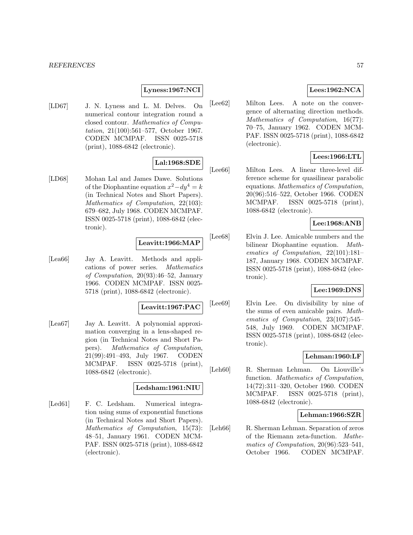### **Lyness:1967:NCI**

[LD67] J. N. Lyness and L. M. Delves. On numerical contour integration round a closed contour. Mathematics of Computation, 21(100):561–577, October 1967. CODEN MCMPAF. ISSN 0025-5718 (print), 1088-6842 (electronic).

### **Lal:1968:SDE**

[LD68] Mohan Lal and James Dawe. Solutions of the Diophantine equation  $x^2 - dy^4 = k$ (in Technical Notes and Short Papers). Mathematics of Computation, 22(103): 679–682, July 1968. CODEN MCMPAF. ISSN 0025-5718 (print), 1088-6842 (electronic).

#### **Leavitt:1966:MAP**

[Lea66] Jay A. Leavitt. Methods and applications of power series. Mathematics of Computation, 20(93):46–52, January 1966. CODEN MCMPAF. ISSN 0025- 5718 (print), 1088-6842 (electronic).

**Leavitt:1967:PAC**

[Lea67] Jay A. Leavitt. A polynomial approximation converging in a lens-shaped region (in Technical Notes and Short Papers). Mathematics of Computation, 21(99):491–493, July 1967. CODEN MCMPAF. ISSN 0025-5718 (print), 1088-6842 (electronic).

#### **Ledsham:1961:NIU**

[Led61] F. C. Ledsham. Numerical integration using sums of exponential functions (in Technical Notes and Short Papers). Mathematics of Computation, 15(73): 48–51, January 1961. CODEN MCM-PAF. ISSN 0025-5718 (print), 1088-6842 (electronic).

## **Lees:1962:NCA**

[Lee62] Milton Lees. A note on the convergence of alternating direction methods. Mathematics of Computation, 16(77): 70–75, January 1962. CODEN MCM-PAF. ISSN 0025-5718 (print), 1088-6842 (electronic).

## **Lees:1966:LTL**

[Lee66] Milton Lees. A linear three-level difference scheme for quasilinear parabolic equations. Mathematics of Computation, 20(96):516–522, October 1966. CODEN MCMPAF. ISSN 0025-5718 (print), 1088-6842 (electronic).

# **Lee:1968:ANB**

[Lee68] Elvin J. Lee. Amicable numbers and the bilinear Diophantine equation. Mathematics of Computation, 22(101):181– 187, January 1968. CODEN MCMPAF. ISSN 0025-5718 (print), 1088-6842 (electronic).

### **Lee:1969:DNS**

[Lee69] Elvin Lee. On divisibility by nine of the sums of even amicable pairs. Mathematics of Computation, 23(107):545– 548, July 1969. CODEN MCMPAF. ISSN 0025-5718 (print), 1088-6842 (electronic).

### **Lehman:1960:LF**

[Leh60] R. Sherman Lehman. On Liouville's function. Mathematics of Computation, 14(72):311–320, October 1960. CODEN MCMPAF. ISSN 0025-5718 (print), 1088-6842 (electronic).

### **Lehman:1966:SZR**

[Leh66] R. Sherman Lehman. Separation of zeros of the Riemann zeta-function. Mathematics of Computation, 20(96):523–541, October 1966. CODEN MCMPAF.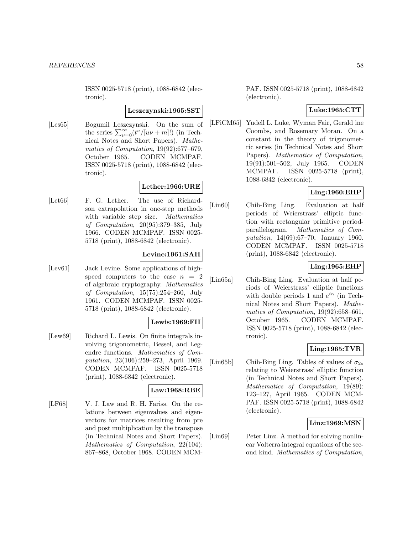ISSN 0025-5718 (print), 1088-6842 (electronic).

#### **Leszczynski:1965:SST**

[Les65] Bogumil Leszczynski. On the sum of the series  $\sum_{\nu=0}^{\infty} (t^{\nu}/[u\nu+m]!)$  (in Technical Notes and Short Papers). Mathematics of Computation, 19(92):677–679, October 1965. CODEN MCMPAF. ISSN 0025-5718 (print), 1088-6842 (electronic).

### **Lether:1966:URE**

[Let66] F. G. Lether. The use of Richardson extrapolation in one-step methods with variable step size. Mathematics of Computation, 20(95):379–385, July 1966. CODEN MCMPAF. ISSN 0025- 5718 (print), 1088-6842 (electronic).

## **Levine:1961:SAH**

[Lev61] Jack Levine. Some applications of highspeed computers to the case  $n = 2$ of algebraic cryptography. Mathematics of Computation, 15(75):254–260, July 1961. CODEN MCMPAF. ISSN 0025- 5718 (print), 1088-6842 (electronic).

### **Lewis:1969:FII**

[Lew69] Richard L. Lewis. On finite integrals involving trigonometric, Bessel, and Legendre functions. Mathematics of Computation, 23(106):259–273, April 1969. CODEN MCMPAF. ISSN 0025-5718 (print), 1088-6842 (electronic).

### **Law:1968:RBE**

[LF68] V. J. Law and R. H. Fariss. On the relations between eigenvalues and eigenvectors for matrices resulting from pre and post multiplication by the transpose (in Technical Notes and Short Papers). Mathematics of Computation, 22(104): 867–868, October 1968. CODEN MCM-

PAF. ISSN 0025-5718 (print), 1088-6842 (electronic).

# **Luke:1965:CTT**

[LFiCM65] Yudell L. Luke, Wyman Fair, Gerald ine Coombs, and Rosemary Moran. On a constant in the theory of trigonometric series (in Technical Notes and Short Papers). Mathematics of Computation, 19(91):501–502, July 1965. CODEN MCMPAF. ISSN 0025-5718 (print), 1088-6842 (electronic).

## **Ling:1960:EHP**

[Lin60] Chih-Bing Ling. Evaluation at half periods of Weierstrass' elliptic function with rectangular primitive periodparallelogram. Mathematics of Computation, 14(69):67–70, January 1960. CODEN MCMPAF. ISSN 0025-5718 (print), 1088-6842 (electronic).

## **Ling:1965:EHP**

[Lin65a] Chih-Bing Ling. Evaluation at half periods of Weierstrass' elliptic functions with double periods 1 and  $e^{i\alpha}$  (in Technical Notes and Short Papers). Mathematics of Computation, 19(92):658–661, October 1965. CODEN MCMPAF. ISSN 0025-5718 (print), 1088-6842 (electronic).

### **Ling:1965:TVR**

[Lin65b] Chih-Bing Ling. Tables of values of  $\sigma_{2s}$ relating to Weierstrass' elliptic function (in Technical Notes and Short Papers). Mathematics of Computation, 19(89): 123–127, April 1965. CODEN MCM-PAF. ISSN 0025-5718 (print), 1088-6842 (electronic).

### **Linz:1969:MSN**

[Lin69] Peter Linz. A method for solving nonlinear Volterra integral equations of the second kind. Mathematics of Computation,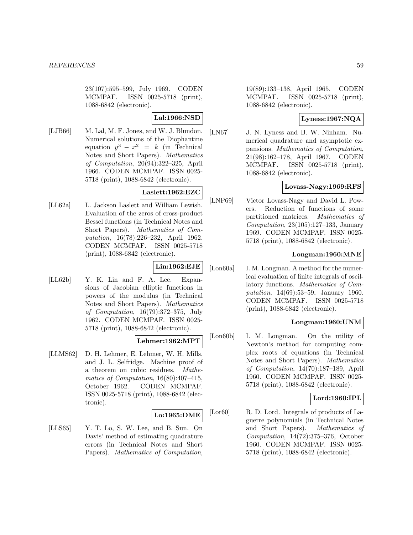23(107):595–599, July 1969. CODEN MCMPAF. ISSN 0025-5718 (print), 1088-6842 (electronic).

## **Lal:1966:NSD**

[LJB66] M. Lal, M. F. Jones, and W. J. Blundon. Numerical solutions of the Diophantine equation  $y^3 - x^2 = k$  (in Technical Notes and Short Papers). Mathematics of Computation, 20(94):322–325, April 1966. CODEN MCMPAF. ISSN 0025- 5718 (print), 1088-6842 (electronic).

# **Laslett:1962:EZC**

[LL62a] L. Jackson Laslett and William Lewish. Evaluation of the zeros of cross-product Bessel functions (in Technical Notes and Short Papers). Mathematics of Computation, 16(78):226–232, April 1962. CODEN MCMPAF. ISSN 0025-5718 (print), 1088-6842 (electronic).

# **Lin:1962:EJE**

[LL62b] Y. K. Lin and F. A. Lee. Expansions of Jacobian elliptic functions in powers of the modulus (in Technical Notes and Short Papers). Mathematics of Computation, 16(79):372–375, July 1962. CODEN MCMPAF. ISSN 0025- 5718 (print), 1088-6842 (electronic).

# **Lehmer:1962:MPT**

[LLMS62] D. H. Lehmer, E. Lehmer, W. H. Mills, and J. L. Selfridge. Machine proof of a theorem on cubic residues. Mathematics of Computation, 16(80):407–415, October 1962. CODEN MCMPAF. ISSN 0025-5718 (print), 1088-6842 (electronic).

#### **Lo:1965:DME**

[LLS65] Y. T. Lo, S. W. Lee, and B. Sun. On Davis' method of estimating quadrature errors (in Technical Notes and Short Papers). Mathematics of Computation,

19(89):133–138, April 1965. CODEN MCMPAF. ISSN 0025-5718 (print), 1088-6842 (electronic).

### **Lyness:1967:NQA**

[LN67] J. N. Lyness and B. W. Ninham. Numerical quadrature and asymptotic expansions. Mathematics of Computation, 21(98):162–178, April 1967. CODEN MCMPAF. ISSN 0025-5718 (print), 1088-6842 (electronic).

### **Lovass-Nagy:1969:RFS**

[LNP69] Victor Lovass-Nagy and David L. Powers. Reduction of functions of some partitioned matrices. Mathematics of Computation, 23(105):127–133, January 1969. CODEN MCMPAF. ISSN 0025- 5718 (print), 1088-6842 (electronic).

## **Longman:1960:MNE**

[Lon60a] I. M. Longman. A method for the numerical evaluation of finite integrals of oscillatory functions. Mathematics of Computation, 14(69):53–59, January 1960. CODEN MCMPAF. ISSN 0025-5718 (print), 1088-6842 (electronic).

## **Longman:1960:UNM**

[Lon60b] I. M. Longman. On the utility of Newton's method for computing complex roots of equations (in Technical Notes and Short Papers). Mathematics of Computation, 14(70):187–189, April 1960. CODEN MCMPAF. ISSN 0025- 5718 (print), 1088-6842 (electronic).

### **Lord:1960:IPL**

[Lor<sub>60</sub>] R. D. Lord. Integrals of products of Laguerre polynomials (in Technical Notes and Short Papers). Mathematics of Computation, 14(72):375–376, October 1960. CODEN MCMPAF. ISSN 0025- 5718 (print), 1088-6842 (electronic).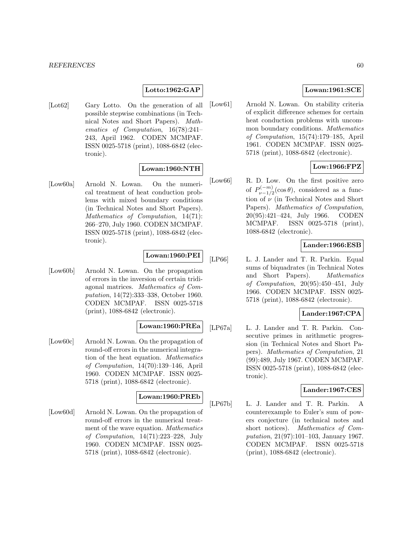### **Lotto:1962:GAP**

[Lot62] Gary Lotto. On the generation of all possible stepwise combinations (in Technical Notes and Short Papers). Mathematics of Computation, 16(78):241– 243, April 1962. CODEN MCMPAF. ISSN 0025-5718 (print), 1088-6842 (electronic).

### **Lowan:1960:NTH**

[Low60a] Arnold N. Lowan. On the numerical treatment of heat conduction problems with mixed boundary conditions (in Technical Notes and Short Papers). Mathematics of Computation, 14(71): 266–270, July 1960. CODEN MCMPAF. ISSN 0025-5718 (print), 1088-6842 (electronic).

# **Lowan:1960:PEI**

[Low60b] Arnold N. Lowan. On the propagation of errors in the inversion of certain tridiagonal matrices. Mathematics of Computation, 14(72):333–338, October 1960. CODEN MCMPAF. ISSN 0025-5718 (print), 1088-6842 (electronic).

## **Lowan:1960:PREa**

[Low60c] Arnold N. Lowan. On the propagation of round-off errors in the numerical integration of the heat equation. Mathematics of Computation, 14(70):139–146, April 1960. CODEN MCMPAF. ISSN 0025- 5718 (print), 1088-6842 (electronic).

#### **Lowan:1960:PREb**

[Low60d] Arnold N. Lowan. On the propagation of round-off errors in the numerical treatment of the wave equation. Mathematics of Computation, 14(71):223–228, July 1960. CODEN MCMPAF. ISSN 0025- 5718 (print), 1088-6842 (electronic).

### **Lowan:1961:SCE**

[Low61] Arnold N. Lowan. On stability criteria of explicit difference schemes for certain heat conduction problems with uncommon boundary conditions. Mathematics of Computation, 15(74):179–185, April 1961. CODEN MCMPAF. ISSN 0025- 5718 (print), 1088-6842 (electronic).

# **Low:1966:FPZ**

[Low66] R. D. Low. On the first positive zero of  $P_{\nu-1/2}^{(-m)}(\cos\theta)$ , considered as a function of  $\nu$  (in Technical Notes and Short Papers). Mathematics of Computation, 20(95):421–424, July 1966. CODEN MCMPAF. ISSN 0025-5718 (print), 1088-6842 (electronic).

### **Lander:1966:ESB**

[LP66] L. J. Lander and T. R. Parkin. Equal sums of biquadrates (in Technical Notes and Short Papers). Mathematics of Computation, 20(95):450–451, July 1966. CODEN MCMPAF. ISSN 0025- 5718 (print), 1088-6842 (electronic).

### **Lander:1967:CPA**

[LP67a] L. J. Lander and T. R. Parkin. Consecutive primes in arithmetic progression (in Technical Notes and Short Papers). Mathematics of Computation, 21 (99):489, July 1967. CODEN MCMPAF. ISSN 0025-5718 (print), 1088-6842 (electronic).

### **Lander:1967:CES**

[LP67b] L. J. Lander and T. R. Parkin. A counterexample to Euler's sum of powers conjecture (in technical notes and short notices). Mathematics of Computation, 21(97):101–103, January 1967. CODEN MCMPAF. ISSN 0025-5718 (print), 1088-6842 (electronic).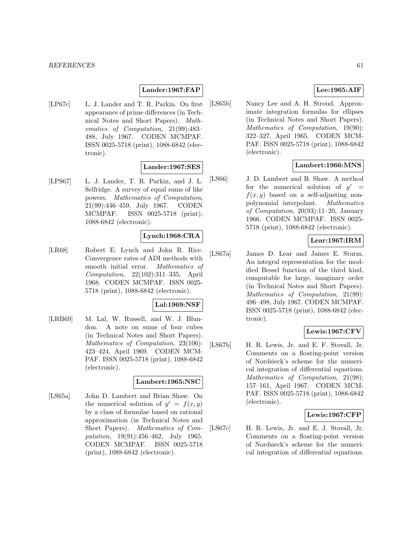### **Lander:1967:FAP**

[LP67c] L. J. Lander and T. R. Parkin. On first appearance of prime differences (in Technical Notes and Short Papers). Mathematics of Computation, 21(99):483– 488, July 1967. CODEN MCMPAF. ISSN 0025-5718 (print), 1088-6842 (electronic).

### **Lander:1967:SES**

[LPS67] L. J. Lander, T. R. Parkin, and J. L. Selfridge. A survey of equal sums of like powers. Mathematics of Computation, 21(99):446–459, July 1967. CODEN MCMPAF. ISSN 0025-5718 (print), 1088-6842 (electronic).

## **Lynch:1968:CRA**

[LR68] Robert E. Lynch and John R. Rice. Convergence rates of ADI methods with smooth initial error. Mathematics of Computation, 22(102):311–335, April 1968. CODEN MCMPAF. ISSN 0025- 5718 (print), 1088-6842 (electronic).

#### **Lal:1969:NSF**

[LRB69] M. Lal, W. Russell, and W. J. Blundon. A note on sums of four cubes (in Technical Notes and Short Papers). Mathematics of Computation, 23(106): 423–424, April 1969. CODEN MCM-PAF. ISSN 0025-5718 (print), 1088-6842 (electronic).

# **Lambert:1965:NSC**

[LS65a] John D. Lambert and Brian Shaw. On the numerical solution of  $y' = f(x, y)$ by a class of formulae based on rational approximation (in Technical Notes and Short Papers). Mathematics of Computation, 19(91):456–462, July 1965. CODEN MCMPAF. ISSN 0025-5718 (print), 1088-6842 (electronic).

# **Lee:1965:AIF**

[LS65b] Nancy Lee and A. H. Stroud. Approximate integration formulas for ellipses (in Technical Notes and Short Papers). Mathematics of Computation, 19(90): 322–327, April 1965. CODEN MCM-PAF. ISSN 0025-5718 (print), 1088-6842 (electronic).

#### **Lambert:1966:MNS**

[LS66] J. D. Lambert and B. Shaw. A method for the numerical solution of  $y' =$  $f(x, y)$  based on a self-adjusting nonpolynomial interpolant. Mathematics of Computation, 20(93):11–20, January 1966. CODEN MCMPAF. ISSN 0025- 5718 (print), 1088-6842 (electronic).

### **Lear:1967:IRM**

[LS67a] James D. Lear and James E. Sturm. An integral representation for the modified Bessel function of the third kind, computable for large, imaginary order (in Technical Notes and Short Papers). Mathematics of Computation, 21(99): 496–498, July 1967. CODEN MCMPAF. ISSN 0025-5718 (print), 1088-6842 (electronic).

### **Lewis:1967:CFV**

[LS67b] H. R. Lewis, Jr. and E. F. Stovall, Jr. Comments on a floating-point version of Nordsieck's scheme for the numerical integration of differential equations. Mathematics of Computation, 21(98): 157–161, April 1967. CODEN MCM-PAF. ISSN 0025-5718 (print), 1088-6842 (electronic).

#### **Lewis:1967:CFP**

[LS67c] H. R. Lewis, Jr. and E. J. Stovall, Jr. Comments on a floating-point version of Nordsieck's scheme for the numerical integration of differential equations.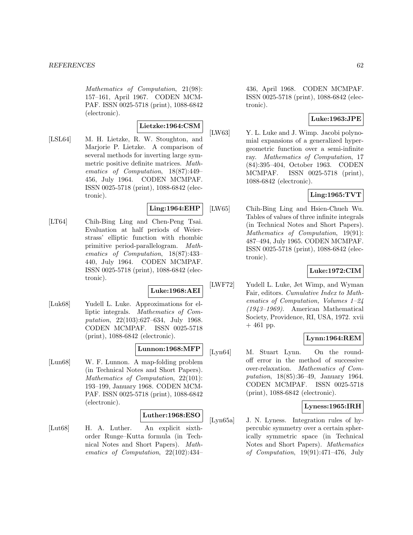Mathematics of Computation, 21(98): 157–161, April 1967. CODEN MCM-PAF. ISSN 0025-5718 (print), 1088-6842 (electronic).

# **Lietzke:1964:CSM**

[LSL64] M. H. Lietzke, R. W. Stoughton, and Marjorie P. Lietzke. A comparison of several methods for inverting large symmetric positive definite matrices. Mathematics of Computation, 18(87):449– 456, July 1964. CODEN MCMPAF. ISSN 0025-5718 (print), 1088-6842 (electronic).

#### **Ling:1964:EHP**

[LT64] Chih-Bing Ling and Chen-Peng Tsai. Evaluation at half periods of Weierstrass' elliptic function with rhombic primitive period-parallelogram. Mathematics of Computation, 18(87):433– 440, July 1964. CODEN MCMPAF. ISSN 0025-5718 (print), 1088-6842 (electronic).

### **Luke:1968:AEI**

[Luk68] Yudell L. Luke. Approximations for elliptic integrals. Mathematics of Computation, 22(103):627–634, July 1968. CODEN MCMPAF. ISSN 0025-5718 (print), 1088-6842 (electronic).

## **Lunnon:1968:MFP**

[Lun68] W. F. Lunnon. A map-folding problem (in Technical Notes and Short Papers). Mathematics of Computation, 22(101): 193–199, January 1968. CODEN MCM-PAF. ISSN 0025-5718 (print), 1088-6842 (electronic).

### **Luther:1968:ESO**

[Lut68] H. A. Luther. An explicit sixthorder Runge–Kutta formula (in Technical Notes and Short Papers). Mathematics of Computation, 22(102):434–

436, April 1968. CODEN MCMPAF. ISSN 0025-5718 (print), 1088-6842 (electronic).

### **Luke:1963:JPE**

[LW63] Y. L. Luke and J. Wimp. Jacobi polynomial expansions of a generalized hypergeometric function over a semi-infinite ray. Mathematics of Computation, 17 (84):395–404, October 1963. CODEN MCMPAF. ISSN 0025-5718 (print), 1088-6842 (electronic).

## **Ling:1965:TVT**

[LW65] Chih-Bing Ling and Hsien-Chueh Wu. Tables of values of three infinite integrals (in Technical Notes and Short Papers). Mathematics of Computation, 19(91): 487–494, July 1965. CODEN MCMPAF. ISSN 0025-5718 (print), 1088-6842 (electronic).

## **Luke:1972:CIM**

[LWF72] Yudell L. Luke, Jet Wimp, and Wyman Fair, editors. Cumulative Index to Mathematics of Computation, Volumes 1–24 (1943–1969). American Mathematical Society, Providence, RI, USA, 1972. xvii  $+ 461$  pp.

### **Lynn:1964:REM**

[Lyn64] M. Stuart Lynn. On the roundoff error in the method of successive over-relaxation. Mathematics of Computation, 18(85):36–49, January 1964. CODEN MCMPAF. ISSN 0025-5718 (print), 1088-6842 (electronic).

### **Lyness:1965:IRH**

[Lyn65a] J. N. Lyness. Integration rules of hypercubic symmetry over a certain spherically symmetric space (in Technical Notes and Short Papers). Mathematics of Computation, 19(91):471–476, July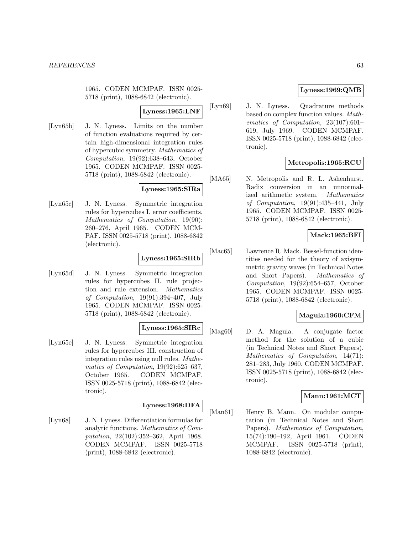1965. CODEN MCMPAF. ISSN 0025- 5718 (print), 1088-6842 (electronic).

### **Lyness:1965:LNF**

[Lyn65b] J. N. Lyness. Limits on the number of function evaluations required by certain high-dimensional integration rules of hypercubic symmetry. Mathematics of Computation, 19(92):638–643, October 1965. CODEN MCMPAF. ISSN 0025- 5718 (print), 1088-6842 (electronic).

### **Lyness:1965:SIRa**

[Lyn65c] J. N. Lyness. Symmetric integration rules for hypercubes I. error coefficients. Mathematics of Computation, 19(90): 260–276, April 1965. CODEN MCM-PAF. ISSN 0025-5718 (print), 1088-6842 (electronic).

## **Lyness:1965:SIRb**

[Lyn65d] J. N. Lyness. Symmetric integration rules for hypercubes II. rule projection and rule extension. Mathematics of Computation, 19(91):394–407, July 1965. CODEN MCMPAF. ISSN 0025- 5718 (print), 1088-6842 (electronic).

### **Lyness:1965:SIRc**

[Lyn65e] J. N. Lyness. Symmetric integration rules for hypercubes III. construction of integration rules using null rules. Mathematics of Computation, 19(92):625–637. October 1965. CODEN MCMPAF. ISSN 0025-5718 (print), 1088-6842 (electronic).

#### **Lyness:1968:DFA**

[Lyn68] J. N. Lyness. Differentiation formulas for analytic functions. Mathematics of Computation, 22(102):352–362, April 1968. CODEN MCMPAF. ISSN 0025-5718 (print), 1088-6842 (electronic).

## **Lyness:1969:QMB**

[Lyn69] J. N. Lyness. Quadrature methods based on complex function values. Mathematics of Computation, 23(107):601– 619, July 1969. CODEN MCMPAF. ISSN 0025-5718 (print), 1088-6842 (electronic).

### **Metropolis:1965:RCU**

[MA65] N. Metropolis and R. L. Ashenhurst. Radix conversion in an unnormalized arithmetic system. Mathematics of Computation, 19(91):435–441, July 1965. CODEN MCMPAF. ISSN 0025- 5718 (print), 1088-6842 (electronic).

## **Mack:1965:BFI**

[Mac65] Lawrence R. Mack. Bessel-function identities needed for the theory of axisymmetric gravity waves (in Technical Notes and Short Papers). Mathematics of Computation, 19(92):654–657, October 1965. CODEN MCMPAF. ISSN 0025- 5718 (print), 1088-6842 (electronic).

### **Magula:1960:CFM**

[Mag60] D. A. Magula. A conjugate factor method for the solution of a cubic (in Technical Notes and Short Papers). Mathematics of Computation, 14(71): 281–283, July 1960. CODEN MCMPAF. ISSN 0025-5718 (print), 1088-6842 (electronic).

### **Mann:1961:MCT**

[Man61] Henry B. Mann. On modular computation (in Technical Notes and Short Papers). Mathematics of Computation, 15(74):190–192, April 1961. CODEN MCMPAF. ISSN 0025-5718 (print), 1088-6842 (electronic).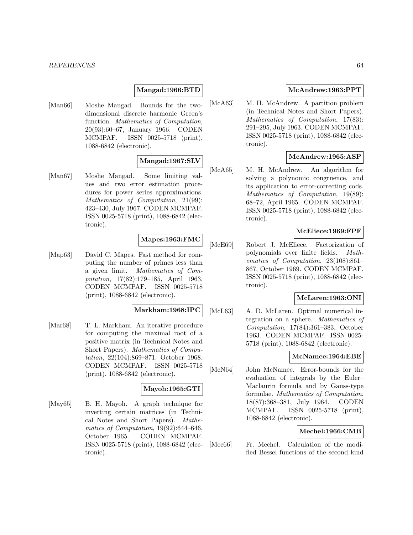### **Mangad:1966:BTD**

[Man66] Moshe Mangad. Bounds for the twodimensional discrete harmonic Green's function. Mathematics of Computation, 20(93):60–67, January 1966. CODEN MCMPAF. ISSN 0025-5718 (print), 1088-6842 (electronic).

#### **Mangad:1967:SLV**

[Man67] Moshe Mangad. Some limiting values and two error estimation procedures for power series approximations. Mathematics of Computation, 21(99): 423–430, July 1967. CODEN MCMPAF. ISSN 0025-5718 (print), 1088-6842 (electronic).

### **Mapes:1963:FMC**

[Map63] David C. Mapes. Fast method for computing the number of primes less than a given limit. Mathematics of Computation, 17(82):179–185, April 1963. CODEN MCMPAF. ISSN 0025-5718 (print), 1088-6842 (electronic).

#### **Markham:1968:IPC**

[Mar<sub>68</sub>] T. L. Markham. An iterative procedure for computing the maximal root of a positive matrix (in Technical Notes and Short Papers). Mathematics of Computation, 22(104):869–871, October 1968. CODEN MCMPAF. ISSN 0025-5718 (print), 1088-6842 (electronic).

### **Mayoh:1965:GTI**

[May65] B. H. Mayoh. A graph technique for inverting certain matrices (in Technical Notes and Short Papers). Mathematics of Computation, 19(92):644–646, October 1965. CODEN MCMPAF. ISSN 0025-5718 (print), 1088-6842 (electronic).

## **McAndrew:1963:PPT**

[McA63] M. H. McAndrew. A partition problem (in Technical Notes and Short Papers). Mathematics of Computation, 17(83): 291–295, July 1963. CODEN MCMPAF. ISSN 0025-5718 (print), 1088-6842 (electronic).

# **McAndrew:1965:ASP**

[McA65] M. H. McAndrew. An algorithm for solving a polynomic congruence, and its application to error-correcting cods. Mathematics of Computation, 19(89): 68–72, April 1965. CODEN MCMPAF. ISSN 0025-5718 (print), 1088-6842 (electronic).

### **McEliece:1969:FPF**

[McE69] Robert J. McEliece. Factorization of polynomials over finite fields. Mathematics of Computation, 23(108):861– 867, October 1969. CODEN MCMPAF. ISSN 0025-5718 (print), 1088-6842 (electronic).

### **McLaren:1963:ONI**

[McL63] A. D. McLaren. Optimal numerical integration on a sphere. Mathematics of Computation, 17(84):361–383, October 1963. CODEN MCMPAF. ISSN 0025- 5718 (print), 1088-6842 (electronic).

# **McNamee:1964:EBE**

[McN64] John McNamee. Error-bounds for the evaluation of integrals by the Euler– Maclaurin formula and by Gauss-type formulae. Mathematics of Computation, 18(87):368–381, July 1964. CODEN MCMPAF. ISSN 0025-5718 (print), 1088-6842 (electronic).

### **Mechel:1966:CMB**

[Mec<sub>66</sub>] Fr. Mechel. Calculation of the modified Bessel functions of the second kind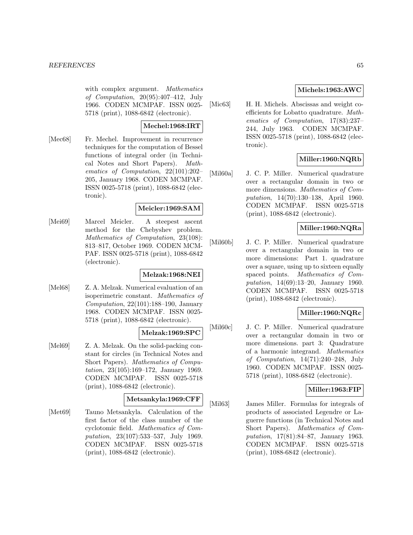with complex argument. Mathematics of Computation, 20(95):407–412, July 1966. CODEN MCMPAF. ISSN 0025- 5718 (print), 1088-6842 (electronic).

### **Mechel:1968:IRT**

[Mec68] Fr. Mechel. Improvement in recurrence techniques for the computation of Bessel functions of integral order (in Technical Notes and Short Papers). Mathematics of Computation, 22(101):202– 205, January 1968. CODEN MCMPAF. ISSN 0025-5718 (print), 1088-6842 (electronic).

### **Meicler:1969:SAM**

[Mei69] Marcel Meicler. A steepest ascent method for the Chebyshev problem. Mathematics of Computation, 23(108): 813–817, October 1969. CODEN MCM-PAF. ISSN 0025-5718 (print), 1088-6842 (electronic).

### **Melzak:1968:NEI**

[Mel68] Z. A. Melzak. Numerical evaluation of an isoperimetric constant. Mathematics of Computation, 22(101):188–190, January 1968. CODEN MCMPAF. ISSN 0025- 5718 (print), 1088-6842 (electronic).

### **Melzak:1969:SPC**

[Mel69] Z. A. Melzak. On the solid-packing constant for circles (in Technical Notes and Short Papers). Mathematics of Computation, 23(105):169–172, January 1969. CODEN MCMPAF. ISSN 0025-5718 (print), 1088-6842 (electronic).

### **Metsankyla:1969:CFF**

[Met69] Tauno Metsankyla. Calculation of the first factor of the class number of the cyclotomic field. Mathematics of Computation, 23(107):533–537, July 1969. CODEN MCMPAF. ISSN 0025-5718 (print), 1088-6842 (electronic).

## **Michels:1963:AWC**

[Mic63] H. H. Michels. Abscissas and weight coefficients for Lobatto quadrature. Mathematics of Computation, 17(83):237– 244, July 1963. CODEN MCMPAF. ISSN 0025-5718 (print), 1088-6842 (electronic).

## **Miller:1960:NQRb**

[Mil60a] J. C. P. Miller. Numerical quadrature over a rectangular domain in two or more dimensions. Mathematics of Computation, 14(70):130–138, April 1960. CODEN MCMPAF. ISSN 0025-5718 (print), 1088-6842 (electronic).

## **Miller:1960:NQRa**

[Mil60b] J. C. P. Miller. Numerical quadrature over a rectangular domain in two or more dimensions: Part 1. quadrature over a square, using up to sixteen equally spaced points. Mathematics of Computation, 14(69):13–20, January 1960. CODEN MCMPAF. ISSN 0025-5718 (print), 1088-6842 (electronic).

## **Miller:1960:NQRc**

[Mil60c] J. C. P. Miller. Numerical quadrature over a rectangular domain in two or more dimensions. part 3: Quadrature of a harmonic integrand. Mathematics of Computation, 14(71):240–248, July 1960. CODEN MCMPAF. ISSN 0025- 5718 (print), 1088-6842 (electronic).

# **Miller:1963:FIP**

[Mil63] James Miller. Formulas for integrals of products of associated Legendre or Laguerre functions (in Technical Notes and Short Papers). Mathematics of Computation, 17(81):84–87, January 1963. CODEN MCMPAF. ISSN 0025-5718 (print), 1088-6842 (electronic).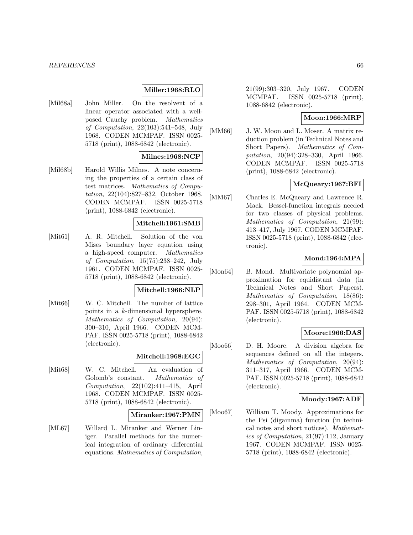#### **Miller:1968:RLO**

[Mil68a] John Miller. On the resolvent of a linear operator associated with a wellposed Cauchy problem. Mathematics of Computation, 22(103):541–548, July 1968. CODEN MCMPAF. ISSN 0025- 5718 (print), 1088-6842 (electronic).

#### **Milnes:1968:NCP**

[Mil68b] Harold Willis Milnes. A note concerning the properties of a certain class of test matrices. Mathematics of Computation, 22(104):827–832, October 1968. CODEN MCMPAF. ISSN 0025-5718 (print), 1088-6842 (electronic).

#### **Mitchell:1961:SMB**

[Mit61] A. R. Mitchell. Solution of the von Mises boundary layer equation using a high-speed computer. Mathematics of Computation, 15(75):238–242, July 1961. CODEN MCMPAF. ISSN 0025- 5718 (print), 1088-6842 (electronic).

#### **Mitchell:1966:NLP**

[Mit66] W. C. Mitchell. The number of lattice points in a k-dimensional hypersphere. Mathematics of Computation, 20(94): 300–310, April 1966. CODEN MCM-PAF. ISSN 0025-5718 (print), 1088-6842 (electronic).

#### **Mitchell:1968:EGC**

[Mit68] W. C. Mitchell. An evaluation of Golomb's constant. Mathematics of Computation, 22(102):411–415, April 1968. CODEN MCMPAF. ISSN 0025- 5718 (print), 1088-6842 (electronic).

#### **Miranker:1967:PMN**

[ML67] Willard L. Miranker and Werner Liniger. Parallel methods for the numerical integration of ordinary differential equations. Mathematics of Computation, 21(99):303–320, July 1967. CODEN MCMPAF. ISSN 0025-5718 (print), 1088-6842 (electronic).

#### **Moon:1966:MRP**

[MM66] J. W. Moon and L. Moser. A matrix reduction problem (in Technical Notes and Short Papers). Mathematics of Computation, 20(94):328–330, April 1966. CODEN MCMPAF. ISSN 0025-5718 (print), 1088-6842 (electronic).

### **McQueary:1967:BFI**

[MM67] Charles E. McQueary and Lawrence R. Mack. Bessel-function integrals needed for two classes of physical problems. Mathematics of Computation, 21(99): 413–417, July 1967. CODEN MCMPAF. ISSN 0025-5718 (print), 1088-6842 (electronic).

## **Mond:1964:MPA**

[Mon64] B. Mond. Multivariate polynomial approximation for equidistant data (in Technical Notes and Short Papers). Mathematics of Computation, 18(86): 298–301, April 1964. CODEN MCM-PAF. ISSN 0025-5718 (print), 1088-6842 (electronic).

#### **Moore:1966:DAS**

[Moo66] D. H. Moore. A division algebra for sequences defined on all the integers. Mathematics of Computation, 20(94): 311–317, April 1966. CODEN MCM-PAF. ISSN 0025-5718 (print), 1088-6842 (electronic).

#### **Moody:1967:ADF**

[Moo67] William T. Moody. Approximations for the Psi (digamma) function (in technical notes and short notices). Mathematics of Computation, 21(97):112, January 1967. CODEN MCMPAF. ISSN 0025- 5718 (print), 1088-6842 (electronic).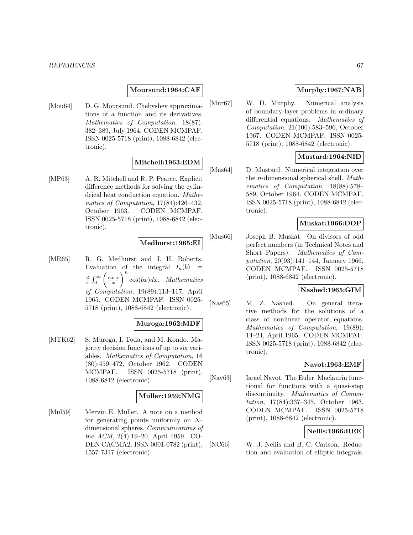#### **Moursund:1964:CAF**

[Mou64] D. G. Moursund. Chebyshev approximations of a function and its derivatives. Mathematics of Computation, 18(87): 382–389, July 1964. CODEN MCMPAF. ISSN 0025-5718 (print), 1088-6842 (electronic).

## **Mitchell:1963:EDM**

[MP63] A. R. Mitchell and R. P. Pearce. Explicit difference methods for solving the cylindrical heat conduction equation. Mathematics of Computation, 17(84):426–432, October 1963. CODEN MCMPAF. ISSN 0025-5718 (print), 1088-6842 (electronic).

## **Medhurst:1965:EI**

[MR65] R. G. Medhurst and J. H. Roberts. Evaluation of the integral  $I_n(b)$  $rac{2}{\pi}$   $\int_0^\infty$  $\sqrt{ }$  $\sin x$ x  $\setminus^n$  $cos(bx)dx$ . Mathematics of Computation, 19(89):113–117, April 1965. CODEN MCMPAF. ISSN 0025- 5718 (print), 1088-6842 (electronic).

### **Muroga:1962:MDF**

[MTK62] S. Muroga, I. Toda, and M. Kondo. Majority decision functions of up to six variables. Mathematics of Computation, 16 (80):459–472, October 1962. CODEN MCMPAF. ISSN 0025-5718 (print), 1088-6842 (electronic).

#### **Muller:1959:NMG**

[Mul59] Mervin E. Muller. A note on a method for generating points uniformly on Ndimensional spheres. Communications of the ACM, 2(4):19–20, April 1959. CO-DEN CACMA2. ISSN 0001-0782 (print), 1557-7317 (electronic).

## **Murphy:1967:NAB**

[Mur67] W. D. Murphy. Numerical analysis of boundary-layer problems in ordinary differential equations. Mathematics of Computation, 21(100):583–596, October 1967. CODEN MCMPAF. ISSN 0025- 5718 (print), 1088-6842 (electronic).

### **Mustard:1964:NID**

[Mus64] D. Mustard. Numerical integration over the n-dimensional spherical shell. Mathematics of Computation, 18(88):578– 589, October 1964. CODEN MCMPAF. ISSN 0025-5718 (print), 1088-6842 (electronic).

# **Muskat:1966:DOP**

[Mus66] Joseph B. Muskat. On divisors of odd perfect numbers (in Technical Notes and Short Papers). Mathematics of Computation, 20(93):141–144, January 1966. CODEN MCMPAF. ISSN 0025-5718 (print), 1088-6842 (electronic).

### **Nashed:1965:GIM**

[Nas65] M. Z. Nashed. On general iterative methods for the solutions of a class of nonlinear operator equations. Mathematics of Computation, 19(89): 14–24, April 1965. CODEN MCMPAF. ISSN 0025-5718 (print), 1088-6842 (electronic).

### **Navot:1963:EMF**

[Nav63] Israel Navot. The Euler–Maclaurin functional for functions with a quasi-step discontinuity. Mathematics of Computation, 17(84):337–345, October 1963. CODEN MCMPAF. ISSN 0025-5718 (print), 1088-6842 (electronic).

### **Nellis:1966:REE**

[NC66] W. J. Nellis and B. C. Carlson. Reduction and evaluation of elliptic integrals.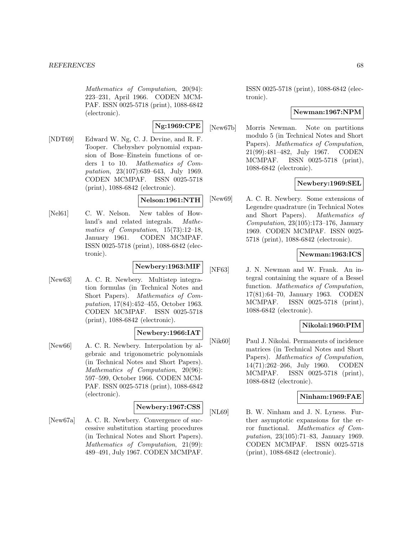Mathematics of Computation, 20(94): 223–231, April 1966. CODEN MCM-PAF. ISSN 0025-5718 (print), 1088-6842 (electronic).

**Ng:1969:CPE**

[NDT69] Edward W. Ng, C. J. Devine, and R. F. Tooper. Chebyshev polynomial expansion of Bose–Einstein functions of orders 1 to 10. Mathematics of Computation, 23(107):639–643, July 1969. CODEN MCMPAF. ISSN 0025-5718 (print), 1088-6842 (electronic).

**Nelson:1961:NTH**

[Nel61] C. W. Nelson. New tables of Howland's and related integrals. Mathematics of Computation, 15(73):12–18, January 1961. CODEN MCMPAF. ISSN 0025-5718 (print), 1088-6842 (electronic).

## **Newbery:1963:MIF**

[New63] A. C. R. Newbery. Multistep integration formulas (in Technical Notes and Short Papers). Mathematics of Computation, 17(84):452–455, October 1963. CODEN MCMPAF. ISSN 0025-5718 (print), 1088-6842 (electronic).

## **Newbery:1966:IAT**

[New66] A. C. R. Newbery. Interpolation by algebraic and trigonometric polynomials (in Technical Notes and Short Papers). Mathematics of Computation, 20(96): 597–599, October 1966. CODEN MCM-PAF. ISSN 0025-5718 (print), 1088-6842 (electronic).

### **Newbery:1967:CSS**

[New67a] A. C. R. Newbery. Convergence of successive substitution starting procedures (in Technical Notes and Short Papers). Mathematics of Computation, 21(99): 489–491, July 1967. CODEN MCMPAF. ISSN 0025-5718 (print), 1088-6842 (electronic).

### **Newman:1967:NPM**

[New67b] Morris Newman. Note on partitions modulo 5 (in Technical Notes and Short Papers). Mathematics of Computation, 21(99):481–482, July 1967. CODEN MCMPAF. ISSN 0025-5718 (print), 1088-6842 (electronic).

## **Newbery:1969:SEL**

[New69] A. C. R. Newbery. Some extensions of Legendre quadrature (in Technical Notes and Short Papers). Mathematics of Computation, 23(105):173–176, January 1969. CODEN MCMPAF. ISSN 0025- 5718 (print), 1088-6842 (electronic).

# **Newman:1963:ICS**

[NF63] J. N. Newman and W. Frank. An integral containing the square of a Bessel function. Mathematics of Computation, 17(81):64–70, January 1963. CODEN MCMPAF. ISSN 0025-5718 (print), 1088-6842 (electronic).

## **Nikolai:1960:PIM**

[Nik60] Paul J. Nikolai. Permanents of incidence matrices (in Technical Notes and Short Papers). Mathematics of Computation, 14(71):262–266, July 1960. CODEN MCMPAF. ISSN 0025-5718 (print), 1088-6842 (electronic).

## **Ninham:1969:FAE**

[NL69] B. W. Ninham and J. N. Lyness. Further asymptotic expansions for the error functional. Mathematics of Computation, 23(105):71–83, January 1969. CODEN MCMPAF. ISSN 0025-5718 (print), 1088-6842 (electronic).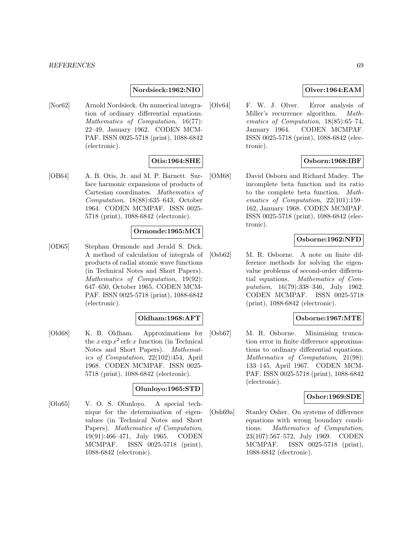### **Nordsieck:1962:NIO**

[Nor62] Arnold Nordsieck. On numerical integration of ordinary differential equations. Mathematics of Computation, 16(77): 22–49, January 1962. CODEN MCM-PAF. ISSN 0025-5718 (print), 1088-6842 (electronic).

### **Otis:1964:SHE**

[OB64] A. B. Otis, Jr. and M. P. Barnett. Surface harmonic expansions of products of Cartesian coordinates. Mathematics of Computation, 18(88):635–643, October 1964. CODEN MCMPAF. ISSN 0025- 5718 (print), 1088-6842 (electronic).

### **Ormonde:1965:MCI**

[OD65] Stephan Ormonde and Jerald S. Dick. A method of calculation of integrals of products of radial atomic wave functions (in Technical Notes and Short Papers). Mathematics of Computation, 19(92): 647–650, October 1965. CODEN MCM-PAF. ISSN 0025-5718 (print), 1088-6842 (electronic).

### **Oldham:1968:AFT**

[Old68] K. B. Oldham. Approximations for the  $x \exp x^2$  erfc x function (in Technical Notes and Short Papers). Mathematics of Computation, 22(102):454, April 1968. CODEN MCMPAF. ISSN 0025- 5718 (print), 1088-6842 (electronic).

#### **Olunloyo:1965:STD**

[Olu65] V. O. S. Olunloyo. A special technique for the determination of eigenvalues (in Technical Notes and Short Papers). Mathematics of Computation, 19(91):466–471, July 1965. CODEN MCMPAF. ISSN 0025-5718 (print), 1088-6842 (electronic).

### **Olver:1964:EAM**

[Olv64] F. W. J. Olver. Error analysis of Miller's recurrence algorithm. Mathematics of Computation, 18(85):65–74, January 1964. CODEN MCMPAF. ISSN 0025-5718 (print), 1088-6842 (electronic).

### **Osborn:1968:IBF**

[OM68] David Osborn and Richard Madey. The incomplete beta function and its ratio to the complete beta function. Mathematics of Computation, 22(101):159– 162, January 1968. CODEN MCMPAF. ISSN 0025-5718 (print), 1088-6842 (electronic).

### **Osborne:1962:NFD**

[Osb62] M. R. Osborne. A note on finite difference methods for solving the eigenvalue problems of second-order differential equations. Mathematics of Computation, 16(79):338–346, July 1962. CODEN MCMPAF. ISSN 0025-5718 (print), 1088-6842 (electronic).

### **Osborne:1967:MTE**

[Osb67] M. R. Osborne. Minimising truncation error in finite difference approximations to ordinary differential equations. Mathematics of Computation, 21(98): 133–145, April 1967. CODEN MCM-PAF. ISSN 0025-5718 (print), 1088-6842 (electronic).

## **Osher:1969:SDE**

[Osh69a] Stanley Osher. On systems of difference equations with wrong boundary conditions. Mathematics of Computation, 23(107):567–572, July 1969. CODEN MCMPAF. ISSN 0025-5718 (print), 1088-6842 (electronic).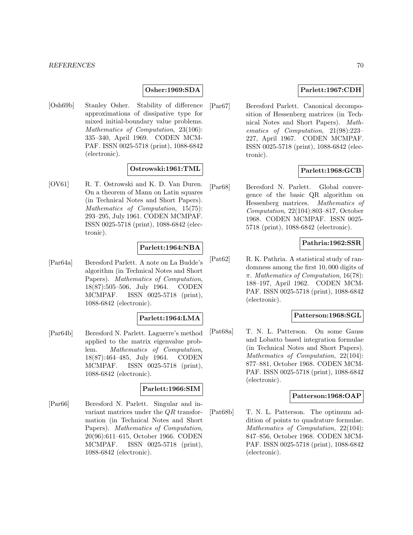#### **Osher:1969:SDA**

[Osh69b] Stanley Osher. Stability of difference approximations of dissipative type for mixed initial-boundary value problems. Mathematics of Computation, 23(106): 335–340, April 1969. CODEN MCM-PAF. ISSN 0025-5718 (print), 1088-6842 (electronic).

#### **Ostrowski:1961:TML**

[OV61] R. T. Ostrowski and K. D. Van Duren. On a theorem of Mann on Latin squares (in Technical Notes and Short Papers). Mathematics of Computation, 15(75): 293–295, July 1961. CODEN MCMPAF. ISSN 0025-5718 (print), 1088-6842 (electronic).

### **Parlett:1964:NBA**

[Par64a] Beresford Parlett. A note on La Budde's algorithm (in Technical Notes and Short Papers). Mathematics of Computation, 18(87):505–506, July 1964. CODEN MCMPAF. ISSN 0025-5718 (print), 1088-6842 (electronic).

### **Parlett:1964:LMA**

[Par64b] Beresford N. Parlett. Laguerre's method applied to the matrix eigenvalue problem. Mathematics of Computation, 18(87):464–485, July 1964. CODEN MCMPAF. ISSN 0025-5718 (print), 1088-6842 (electronic).

### **Parlett:1966:SIM**

[Par66] Beresford N. Parlett. Singular and invariant matrices under the QR transformation (in Technical Notes and Short Papers). Mathematics of Computation, 20(96):611–615, October 1966. CODEN MCMPAF. ISSN 0025-5718 (print), 1088-6842 (electronic).

### **Parlett:1967:CDH**

[Par67] Beresford Parlett. Canonical decomposition of Hessenberg matrices (in Technical Notes and Short Papers). Mathematics of Computation, 21(98):223– 227, April 1967. CODEN MCMPAF. ISSN 0025-5718 (print), 1088-6842 (electronic).

### **Parlett:1968:GCB**

[Par68] Beresford N. Parlett. Global convergence of the basic QR algorithm on Hessenberg matrices. Mathematics of Computation, 22(104):803–817, October 1968. CODEN MCMPAF. ISSN 0025- 5718 (print), 1088-6842 (electronic).

#### **Pathria:1962:SSR**

[Pat62] R. K. Pathria. A statistical study of randomness among the first 10, 000 digits of  $\pi$ . Mathematics of Computation, 16(78): 188–197, April 1962. CODEN MCM-PAF. ISSN 0025-5718 (print), 1088-6842 (electronic).

#### **Patterson:1968:SGL**

[Pat68a] T. N. L. Patterson. On some Gauss and Lobatto based integration formulae (in Technical Notes and Short Papers). Mathematics of Computation, 22(104): 877–881, October 1968. CODEN MCM-PAF. ISSN 0025-5718 (print), 1088-6842 (electronic).

### **Patterson:1968:OAP**

[Pat68b] T. N. L. Patterson. The optimum addition of points to quadrature formulae. Mathematics of Computation, 22(104): 847–856, October 1968. CODEN MCM-PAF. ISSN 0025-5718 (print), 1088-6842 (electronic).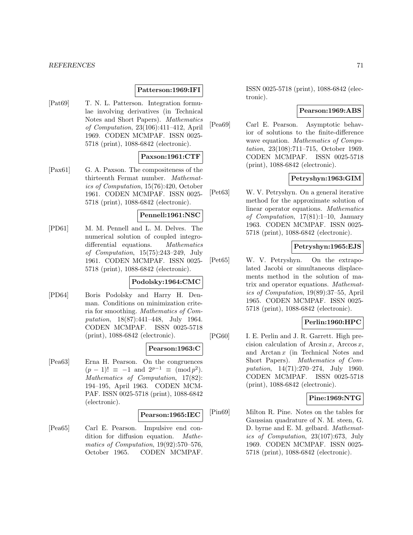#### **Patterson:1969:IFI**

[Pat69] T. N. L. Patterson. Integration formulae involving derivatives (in Technical Notes and Short Papers). Mathematics of Computation, 23(106):411–412, April 1969. CODEN MCMPAF. ISSN 0025- 5718 (print), 1088-6842 (electronic).

#### **Paxson:1961:CTF**

[Pax61] G. A. Paxson. The compositeness of the thirteenth Fermat number. Mathematics of Computation, 15(76):420, October 1961. CODEN MCMPAF. ISSN 0025- 5718 (print), 1088-6842 (electronic).

### **Pennell:1961:NSC**

[PD61] M. M. Pennell and L. M. Delves. The numerical solution of coupled integrodifferential equations. Mathematics of Computation, 15(75):243–249, July 1961. CODEN MCMPAF. ISSN 0025- 5718 (print), 1088-6842 (electronic).

### **Podolsky:1964:CMC**

[PD64] Boris Podolsky and Harry H. Denman. Conditions on minimization criteria for smoothing. Mathematics of Computation, 18(87):441–448, July 1964. CODEN MCMPAF. ISSN 0025-5718 (print), 1088-6842 (electronic).

#### **Pearson:1963:C**

[Pea63] Erna H. Pearson. On the congruences  $(p-1)! \equiv -1$  and  $2^{p-1} \equiv \pmod{p^2}$ . Mathematics of Computation, 17(82): 194–195, April 1963. CODEN MCM-PAF. ISSN 0025-5718 (print), 1088-6842 (electronic).

#### **Pearson:1965:IEC**

[Pea65] Carl E. Pearson. Impulsive end condition for diffusion equation. Mathematics of Computation, 19(92):570–576, October 1965. CODEN MCMPAF.

ISSN 0025-5718 (print), 1088-6842 (electronic).

# **Pearson:1969:ABS**

[Pea69] Carl E. Pearson. Asymptotic behavior of solutions to the finite-difference wave equation. Mathematics of Computation, 23(108):711–715, October 1969. CODEN MCMPAF. ISSN 0025-5718 (print), 1088-6842 (electronic).

# **Petryshyn:1963:GIM**

[Pet63] W. V. Petryshyn. On a general iterative method for the approximate solution of linear operator equations. Mathematics of Computation, 17(81):1–10, January 1963. CODEN MCMPAF. ISSN 0025- 5718 (print), 1088-6842 (electronic).

## **Petryshyn:1965:EJS**

[Pet65] W. V. Petryshyn. On the extrapolated Jacobi or simultaneous displacements method in the solution of matrix and operator equations. Mathematics of Computation, 19(89):37–55, April 1965. CODEN MCMPAF. ISSN 0025- 5718 (print), 1088-6842 (electronic).

### **Perlin:1960:HPC**

[PG60] I. E. Perlin and J. R. Garrett. High precision calculation of Arcsin x, Arccos x, and Arctan x (in Technical Notes and Short Papers). Mathematics of Computation, 14(71):270–274, July 1960. CODEN MCMPAF. ISSN 0025-5718 (print), 1088-6842 (electronic).

### **Pine:1969:NTG**

[Pin69] Milton R. Pine. Notes on the tables for Gaussian quadrature of N. M. steen, G. D. byrne and E. M. gelbard. Mathematics of Computation, 23(107):673, July 1969. CODEN MCMPAF. ISSN 0025- 5718 (print), 1088-6842 (electronic).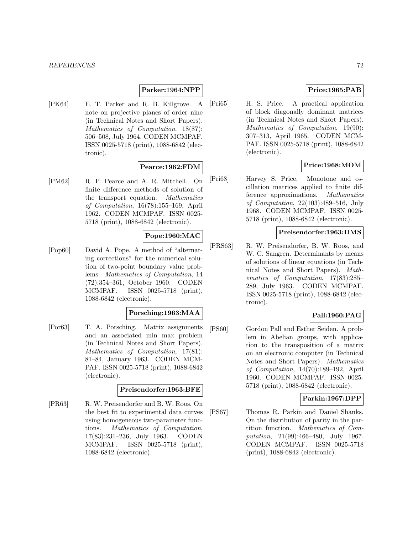#### **Parker:1964:NPP**

[PK64] E. T. Parker and R. B. Killgrove. A note on projective planes of order nine (in Technical Notes and Short Papers). Mathematics of Computation, 18(87): 506–508, July 1964. CODEN MCMPAF. ISSN 0025-5718 (print), 1088-6842 (electronic).

## **Pearce:1962:FDM**

[PM62] R. P. Pearce and A. R. Mitchell. On finite difference methods of solution of the transport equation. Mathematics of Computation, 16(78):155–169, April 1962. CODEN MCMPAF. ISSN 0025- 5718 (print), 1088-6842 (electronic).

## **Pope:1960:MAC**

[Pop60] David A. Pope. A method of "alternating corrections" for the numerical solution of two-point boundary value problems. Mathematics of Computation, 14 (72):354–361, October 1960. CODEN MCMPAF. ISSN 0025-5718 (print), 1088-6842 (electronic).

### **Porsching:1963:MAA**

[Por63] T. A. Porsching. Matrix assignments and an associated min max problem (in Technical Notes and Short Papers). Mathematics of Computation, 17(81): 81–84, January 1963. CODEN MCM-PAF. ISSN 0025-5718 (print), 1088-6842 (electronic).

### **Preisendorfer:1963:BFE**

[PR63] R. W. Preisendorfer and B. W. Roos. On the best fit to experimental data curves using homogeneous two-parameter functions. Mathematics of Computation, 17(83):231–236, July 1963. CODEN MCMPAF. ISSN 0025-5718 (print), 1088-6842 (electronic).

## **Price:1965:PAB**

[Pri65] H. S. Price. A practical application of block diagonally dominant matrices (in Technical Notes and Short Papers). Mathematics of Computation, 19(90): 307–313, April 1965. CODEN MCM-PAF. ISSN 0025-5718 (print), 1088-6842 (electronic).

### **Price:1968:MOM**

[Pri68] Harvey S. Price. Monotone and oscillation matrices applied to finite difference approximations. Mathematics of Computation, 22(103):489–516, July 1968. CODEN MCMPAF. ISSN 0025- 5718 (print), 1088-6842 (electronic).

### **Preisendorfer:1963:DMS**

[PRS63] R. W. Preisendorfer, B. W. Roos, and W. C. Sangren. Determinants by means of solutions of linear equations (in Technical Notes and Short Papers). Mathematics of Computation, 17(83):285– 289, July 1963. CODEN MCMPAF. ISSN 0025-5718 (print), 1088-6842 (electronic).

# **Pall:1960:PAG**

[PS60] Gordon Pall and Esther Seiden. A problem in Abelian groups, with application to the transposition of a matrix on an electronic computer (in Technical Notes and Short Papers). Mathematics of Computation, 14(70):189–192, April 1960. CODEN MCMPAF. ISSN 0025- 5718 (print), 1088-6842 (electronic).

### **Parkin:1967:DPP**

[PS67] Thomas R. Parkin and Daniel Shanks. On the distribution of parity in the partition function. Mathematics of Computation, 21(99):466–480, July 1967. CODEN MCMPAF. ISSN 0025-5718 (print), 1088-6842 (electronic).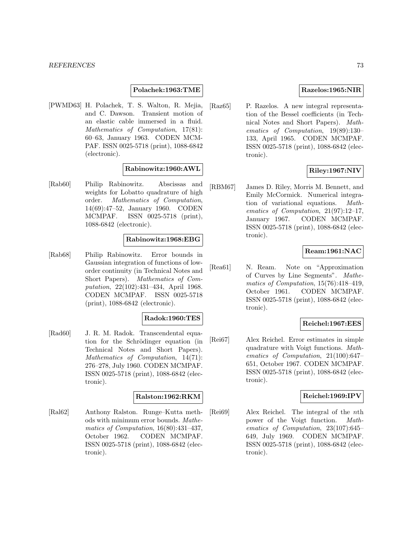#### **Polachek:1963:TME**

[PWMD63] H. Polachek, T. S. Walton, R. Mejia, and C. Dawson. Transient motion of an elastic cable immersed in a fluid. Mathematics of Computation, 17(81): 60–63, January 1963. CODEN MCM-PAF. ISSN 0025-5718 (print), 1088-6842 (electronic).

#### **Rabinowitz:1960:AWL**

[Rab60] Philip Rabinowitz. Abscissas and weights for Lobatto quadrature of high order. Mathematics of Computation, 14(69):47–52, January 1960. CODEN MCMPAF. ISSN 0025-5718 (print), 1088-6842 (electronic).

#### **Rabinowitz:1968:EBG**

[Rab68] Philip Rabinowitz. Error bounds in Gaussian integration of functions of loworder continuity (in Technical Notes and Short Papers). Mathematics of Computation, 22(102):431–434, April 1968. CODEN MCMPAF. ISSN 0025-5718 (print), 1088-6842 (electronic).

### **Radok:1960:TES**

[Rad60] J. R. M. Radok. Transcendental equation for the Schrödinger equation (in Technical Notes and Short Papers). Mathematics of Computation, 14(71): 276–278, July 1960. CODEN MCMPAF. ISSN 0025-5718 (print), 1088-6842 (electronic).

### **Ralston:1962:RKM**

[Ral62] Anthony Ralston. Runge–Kutta methods with minimum error bounds. Mathematics of Computation, 16(80):431–437, October 1962. CODEN MCMPAF. ISSN 0025-5718 (print), 1088-6842 (electronic).

#### **Razelos:1965:NIR**

[Raz65] P. Razelos. A new integral representation of the Bessel coefficients (in Technical Notes and Short Papers). Mathematics of Computation, 19(89):130– 133, April 1965. CODEN MCMPAF. ISSN 0025-5718 (print), 1088-6842 (electronic).

# **Riley:1967:NIV**

[RBM67] James D. Riley, Morris M. Bennett, and Emily McCormick. Numerical integration of variational equations. Mathematics of Computation, 21(97):12–17, January 1967. CODEN MCMPAF. ISSN 0025-5718 (print), 1088-6842 (electronic).

### **Ream:1961:NAC**

[Rea61] N. Ream. Note on "Approximation of Curves by Line Segments". Mathematics of Computation, 15(76):418–419, October 1961. CODEN MCMPAF. ISSN 0025-5718 (print), 1088-6842 (electronic).

# **Reichel:1967:EES**

[Rei67] Alex Reichel. Error estimates in simple quadrature with Voigt functions. Mathematics of Computation, 21(100):647– 651, October 1967. CODEN MCMPAF. ISSN 0025-5718 (print), 1088-6842 (electronic).

#### **Reichel:1969:IPV**

[Rei69] Alex Reichel. The integral of the nth power of the Voigt function. Mathematics of Computation, 23(107):645– 649, July 1969. CODEN MCMPAF. ISSN 0025-5718 (print), 1088-6842 (electronic).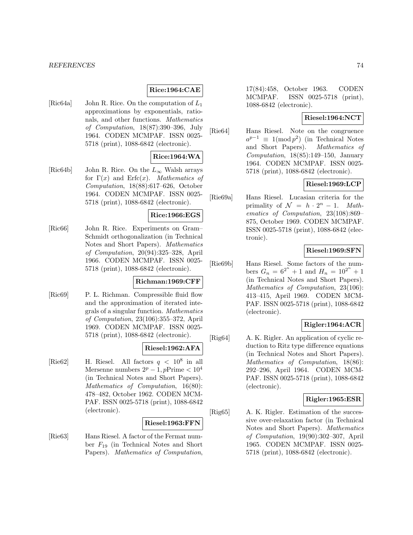### **Rice:1964:CAE**

[Ric64a] John R. Rice. On the computation of  $L_1$ approximations by exponentials, rationals, and other functions. Mathematics of Computation, 18(87):390–396, July 1964. CODEN MCMPAF. ISSN 0025- 5718 (print), 1088-6842 (electronic).

### **Rice:1964:WA**

[Ric64b] John R. Rice. On the  $L_{\infty}$  Walsh arrays for  $\Gamma(x)$  and  $\text{Erfc}(x)$ . *Mathematics of* Computation, 18(88):617–626, October 1964. CODEN MCMPAF. ISSN 0025- 5718 (print), 1088-6842 (electronic).

### **Rice:1966:EGS**

[Ric66] John R. Rice. Experiments on Gram– Schmidt orthogonalization (in Technical Notes and Short Papers). Mathematics of Computation, 20(94):325–328, April 1966. CODEN MCMPAF. ISSN 0025- 5718 (print), 1088-6842 (electronic).

### **Richman:1969:CFF**

[Ric69] P. L. Richman. Compressible fluid flow and the approximation of iterated integrals of a singular function. Mathematics of Computation, 23(106):355–372, April 1969. CODEN MCMPAF. ISSN 0025- 5718 (print), 1088-6842 (electronic).

#### **Riesel:1962:AFA**

[Rie62] H. Riesel. All factors  $q < 10^8$  in all Mersenne numbers  $2^p - 1$ , pPrime <  $10^4$ (in Technical Notes and Short Papers). Mathematics of Computation, 16(80): 478–482, October 1962. CODEN MCM-PAF. ISSN 0025-5718 (print), 1088-6842 (electronic).

#### **Riesel:1963:FFN**

[Rie63] Hans Riesel. A factor of the Fermat number  $F_{19}$  (in Technical Notes and Short Papers). Mathematics of Computation,

17(84):458, October 1963. CODEN MCMPAF. ISSN 0025-5718 (print), 1088-6842 (electronic).

# **Riesel:1964:NCT**

[Rie64] Hans Riesel. Note on the congruence  $a^{p-1} \equiv 1 \pmod{p^2}$  (in Technical Notes<br>and Short Papers). *Mathematics of* and Short Papers). Computation,  $18(85):149-150$ , January 1964. CODEN MCMPAF. ISSN 0025- 5718 (print), 1088-6842 (electronic).

# **Riesel:1969:LCP**

[Rie69a] Hans Riesel. Lucasian criteria for the primality of  $\mathcal{N} = h \cdot 2^n - 1$ . Mathematics of Computation, 23(108):869– 875, October 1969. CODEN MCMPAF. ISSN 0025-5718 (print), 1088-6842 (electronic).

# **Riesel:1969:SFN**

[Rie69b] Hans Riesel. Some factors of the numbers  $G_n = 6^{2^n} + 1$  and  $H_n = 10^{2^n} + 1$ (in Technical Notes and Short Papers). Mathematics of Computation, 23(106): 413–415, April 1969. CODEN MCM-PAF. ISSN 0025-5718 (print), 1088-6842 (electronic).

### **Rigler:1964:ACR**

[Rig64] A. K. Rigler. An application of cyclic reduction to Ritz type difference equations (in Technical Notes and Short Papers). Mathematics of Computation, 18(86): 292–296, April 1964. CODEN MCM-PAF. ISSN 0025-5718 (print), 1088-6842 (electronic).

#### **Rigler:1965:ESR**

[Rig65] A. K. Rigler. Estimation of the successive over-relaxation factor (in Technical Notes and Short Papers). Mathematics of Computation, 19(90):302–307, April 1965. CODEN MCMPAF. ISSN 0025- 5718 (print), 1088-6842 (electronic).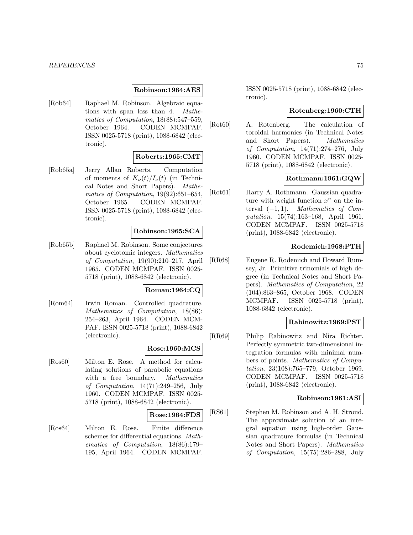#### **Robinson:1964:AES**

[Rob64] Raphael M. Robinson. Algebraic equations with span less than 4. Mathematics of Computation, 18(88):547–559, October 1964. CODEN MCMPAF. ISSN 0025-5718 (print), 1088-6842 (electronic).

### **Roberts:1965:CMT**

[Rob65a] Jerry Allan Roberts. Computation of moments of  $K_{\nu}(t)/I_{\nu}(t)$  (in Technical Notes and Short Papers). Mathematics of Computation, 19(92):651–654, October 1965. CODEN MCMPAF. ISSN 0025-5718 (print), 1088-6842 (electronic).

#### **Robinson:1965:SCA**

[Rob65b] Raphael M. Robinson. Some conjectures about cyclotomic integers. Mathematics of Computation, 19(90):210–217, April 1965. CODEN MCMPAF. ISSN 0025- 5718 (print), 1088-6842 (electronic).

#### **Roman:1964:CQ**

[Rom64] Irwin Roman. Controlled quadrature. Mathematics of Computation, 18(86): 254–263, April 1964. CODEN MCM-PAF. ISSN 0025-5718 (print), 1088-6842 (electronic).

### **Rose:1960:MCS**

[Ros60] Milton E. Rose. A method for calculating solutions of parabolic equations with a free boundary. Mathematics of Computation, 14(71):249–256, July 1960. CODEN MCMPAF. ISSN 0025- 5718 (print), 1088-6842 (electronic).

### **Rose:1964:FDS**

[Ros64] Milton E. Rose. Finite difference schemes for differential equations. Mathematics of Computation, 18(86):179– 195, April 1964. CODEN MCMPAF. ISSN 0025-5718 (print), 1088-6842 (electronic).

# **Rotenberg:1960:CTH**

[Rot60] A. Rotenberg. The calculation of toroidal harmonics (in Technical Notes and Short Papers). Mathematics of Computation, 14(71):274–276, July 1960. CODEN MCMPAF. ISSN 0025- 5718 (print), 1088-6842 (electronic).

# **Rothmann:1961:GQW**

[Rot61] Harry A. Rothmann. Gaussian quadrature with weight function  $x^n$  on the interval  $(-1, 1)$ . Mathematics of Computation, 15(74):163–168, April 1961. CODEN MCMPAF. ISSN 0025-5718 (print), 1088-6842 (electronic).

# **Rodemich:1968:PTH**

[RR68] Eugene R. Rodemich and Howard Rumsey, Jr. Primitive trinomials of high degree (in Technical Notes and Short Papers). Mathematics of Computation, 22 (104):863–865, October 1968. CODEN MCMPAF. ISSN 0025-5718 (print), 1088-6842 (electronic).

## **Rabinowitz:1969:PST**

[RR69] Philip Rabinowitz and Nira Richter. Perfectly symmetric two-dimensional integration formulas with minimal numbers of points. Mathematics of Computation, 23(108):765–779, October 1969. CODEN MCMPAF. ISSN 0025-5718 (print), 1088-6842 (electronic).

# **Robinson:1961:ASI**

[RS61] Stephen M. Robinson and A. H. Stroud. The approximate solution of an integral equation using high-order Gaussian quadrature formulas (in Technical Notes and Short Papers). Mathematics of Computation, 15(75):286–288, July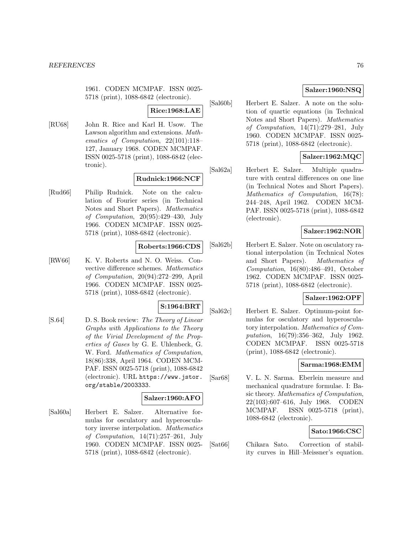1961. CODEN MCMPAF. ISSN 0025- 5718 (print), 1088-6842 (electronic).

#### **Rice:1968:LAE**

[RU68] John R. Rice and Karl H. Usow. The Lawson algorithm and extensions. Mathematics of Computation, 22(101):118– 127, January 1968. CODEN MCMPAF. ISSN 0025-5718 (print), 1088-6842 (electronic).

### **Rudnick:1966:NCF**

[Rud66] Philip Rudnick. Note on the calculation of Fourier series (in Technical Notes and Short Papers). Mathematics of Computation, 20(95):429–430, July 1966. CODEN MCMPAF. ISSN 0025- 5718 (print), 1088-6842 (electronic).

#### **Roberts:1966:CDS**

[RW66] K. V. Roberts and N. O. Weiss. Convective difference schemes. Mathematics of Computation, 20(94):272–299, April 1966. CODEN MCMPAF. ISSN 0025- 5718 (print), 1088-6842 (electronic).

# **S:1964:BRT**

[S.64] D. S. Book review: The Theory of Linear Graphs with Applications to the Theory of the Virial Development of the Properties of Gases by G. E. Uhlenbeck, G. W. Ford. Mathematics of Computation, 18(86):338, April 1964. CODEN MCM-PAF. ISSN 0025-5718 (print), 1088-6842 (electronic). URL https://www.jstor. org/stable/2003333.

### **Salzer:1960:AFO**

[Sal60a] Herbert E. Salzer. Alternative formulas for osculatory and hyperosculatory inverse interpolation. Mathematics of Computation, 14(71):257–261, July 1960. CODEN MCMPAF. ISSN 0025- 5718 (print), 1088-6842 (electronic).

# **Salzer:1960:NSQ**

[Sal60b] Herbert E. Salzer. A note on the solution of quartic equations (in Technical Notes and Short Papers). Mathematics of Computation, 14(71):279–281, July 1960. CODEN MCMPAF. ISSN 0025- 5718 (print), 1088-6842 (electronic).

### **Salzer:1962:MQC**

[Sal62a] Herbert E. Salzer. Multiple quadrature with central differences on one line (in Technical Notes and Short Papers). Mathematics of Computation, 16(78): 244–248, April 1962. CODEN MCM-PAF. ISSN 0025-5718 (print), 1088-6842 (electronic).

### **Salzer:1962:NOR**

[Sal62b] Herbert E. Salzer. Note on osculatory rational interpolation (in Technical Notes and Short Papers). Mathematics of Computation, 16(80):486–491, October 1962. CODEN MCMPAF. ISSN 0025- 5718 (print), 1088-6842 (electronic).

# **Salzer:1962:OPF**

[Sal62c] Herbert E. Salzer. Optimum-point formulas for osculatory and hyperosculatory interpolation. Mathematics of Computation, 16(79):356–362, July 1962. CODEN MCMPAF. ISSN 0025-5718 (print), 1088-6842 (electronic).

### **Sarma:1968:EMM**

[Sar68] V. L. N. Sarma. Eberlein measure and mechanical quadrature formulae. I: Basic theory. Mathematics of Computation, 22(103):607–616, July 1968. CODEN MCMPAF. ISSN 0025-5718 (print), 1088-6842 (electronic).

#### **Sato:1966:CSC**

[Sat66] Chikara Sato. Correction of stability curves in Hill–Meissner's equation.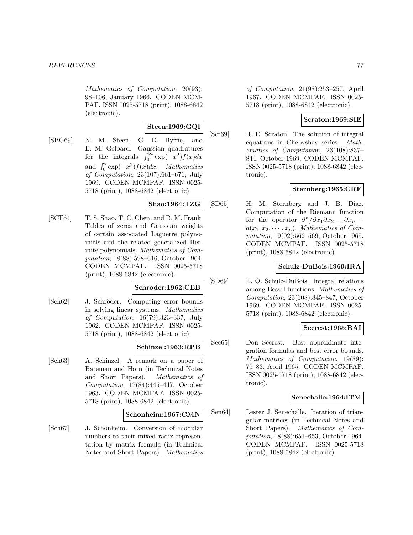Mathematics of Computation, 20(93): 98–106, January 1966. CODEN MCM-PAF. ISSN 0025-5718 (print), 1088-6842 (electronic).

# **Steen:1969:GQI**

[SBG69] N. M. Steen, G. D. Byrne, and E. M. Gelbard. Gaussian quadratures for the integrals  $\int_0^\infty \exp(-x^2)f(x)dx$ and  $\int_0^b \exp(-x^2)f(x)dx$ . Mathematics of Computation, 23(107):661–671, July 1969. CODEN MCMPAF. ISSN 0025- 5718 (print), 1088-6842 (electronic).

### **Shao:1964:TZG**

[SCF64] T. S. Shao, T. C. Chen, and R. M. Frank. Tables of zeros and Gaussian weights of certain associated Laguerre polynomials and the related generalized Hermite polynomials. Mathematics of Computation, 18(88):598–616, October 1964. CODEN MCMPAF. ISSN 0025-5718 (print), 1088-6842 (electronic).

# **Schroder:1962:CEB**

[Sch62] J. Schröder. Computing error bounds in solving linear systems. Mathematics of Computation, 16(79):323–337, July 1962. CODEN MCMPAF. ISSN 0025- 5718 (print), 1088-6842 (electronic).

### **Schinzel:1963:RPB**

[Sch63] A. Schinzel. A remark on a paper of Bateman and Horn (in Technical Notes and Short Papers). Mathematics of Computation, 17(84):445–447, October 1963. CODEN MCMPAF. ISSN 0025- 5718 (print), 1088-6842 (electronic).

### **Schonheim:1967:CMN**

[Sch67] J. Schonheim. Conversion of modular numbers to their mixed radix representation by matrix formula (in Technical Notes and Short Papers). Mathematics

of Computation, 21(98):253–257, April 1967. CODEN MCMPAF. ISSN 0025- 5718 (print), 1088-6842 (electronic).

# **Scraton:1969:SIE**

[Scr69] R. E. Scraton. The solution of integral equations in Chebyshev series. Mathematics of Computation, 23(108):837– 844, October 1969. CODEN MCMPAF. ISSN 0025-5718 (print), 1088-6842 (electronic).

# **Sternberg:1965:CRF**

[SD65] H. M. Sternberg and J. B. Diaz. Computation of the Riemann function for the operator  $\frac{\partial^n}{\partial x_1 \partial x_2 \cdots \partial x_n}$  +  $a(x_1, x_2, \dots, x_n)$ . Mathematics of Computation, 19(92):562–569, October 1965. CODEN MCMPAF. ISSN 0025-5718 (print), 1088-6842 (electronic).

# **Schulz-DuBois:1969:IRA**

[SD69] E. O. Schulz-DuBois. Integral relations among Bessel functions. Mathematics of Computation, 23(108):845–847, October 1969. CODEN MCMPAF. ISSN 0025- 5718 (print), 1088-6842 (electronic).

# **Secrest:1965:BAI**

[Sec65] Don Secrest. Best approximate integration formulas and best error bounds. Mathematics of Computation, 19(89): 79–83, April 1965. CODEN MCMPAF. ISSN 0025-5718 (print), 1088-6842 (electronic).

# **Senechalle:1964:ITM**

[Sen64] Lester J. Senechalle. Iteration of triangular matrices (in Technical Notes and Short Papers). Mathematics of Computation, 18(88):651–653, October 1964. CODEN MCMPAF. ISSN 0025-5718 (print), 1088-6842 (electronic).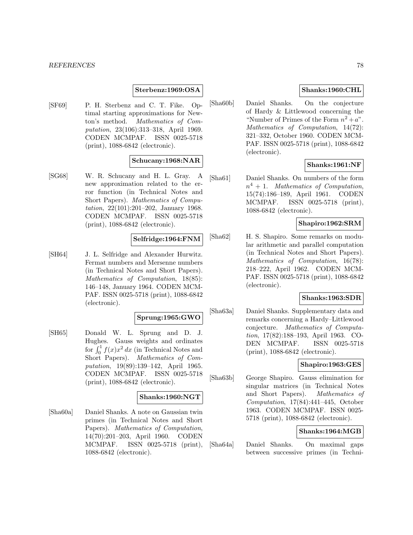#### **Sterbenz:1969:OSA**

[SF69] P. H. Sterbenz and C. T. Fike. Optimal starting approximations for Newton's method. Mathematics of Computation, 23(106):313–318, April 1969. CODEN MCMPAF. ISSN 0025-5718 (print), 1088-6842 (electronic).

#### **Schucany:1968:NAR**

[SG68] W. R. Schucany and H. L. Gray. A new approximation related to the error function (in Technical Notes and Short Papers). Mathematics of Computation, 22(101):201–202, January 1968. CODEN MCMPAF. ISSN 0025-5718 (print), 1088-6842 (electronic).

#### **Selfridge:1964:FNM**

[SH64] J. L. Selfridge and Alexander Hurwitz. Fermat numbers and Mersenne numbers (in Technical Notes and Short Papers). Mathematics of Computation, 18(85): 146–148, January 1964. CODEN MCM-PAF. ISSN 0025-5718 (print), 1088-6842 (electronic).

### **Sprung:1965:GWO**

[SH65] Donald W. L. Sprung and D. J. Hughes. Gauss weights and ordinates for  $\int_0^1 f(x)x^2 dx$  (in Technical Notes and Short Papers). Mathematics of Computation, 19(89):139–142, April 1965. CODEN MCMPAF. ISSN 0025-5718 (print), 1088-6842 (electronic).

#### **Shanks:1960:NGT**

[Sha60a] Daniel Shanks. A note on Gaussian twin primes (in Technical Notes and Short Papers). Mathematics of Computation, 14(70):201–203, April 1960. CODEN MCMPAF. ISSN 0025-5718 (print), 1088-6842 (electronic).

### **Shanks:1960:CHL**

[Sha60b] Daniel Shanks. On the conjecture of Hardy & Littlewood concerning the "Number of Primes of the Form  $n^2 + a$ ". Mathematics of Computation, 14(72): 321–332, October 1960. CODEN MCM-PAF. ISSN 0025-5718 (print), 1088-6842 (electronic).

### **Shanks:1961:NF**

[Sha61] Daniel Shanks. On numbers of the form  $n^4 + 1$ . Mathematics of Computation, 15(74):186–189, April 1961. CODEN MCMPAF. ISSN 0025-5718 (print), 1088-6842 (electronic).

# **Shapiro:1962:SRM**

[Sha62] H. S. Shapiro. Some remarks on modular arithmetic and parallel computation (in Technical Notes and Short Papers). Mathematics of Computation, 16(78): 218–222, April 1962. CODEN MCM-PAF. ISSN 0025-5718 (print), 1088-6842 (electronic).

# **Shanks:1963:SDR**

[Sha63a] Daniel Shanks. Supplementary data and remarks concerning a Hardy–Littlewood conjecture. Mathematics of Computation, 17(82):188–193, April 1963. CO-DEN MCMPAF. ISSN 0025-5718 (print), 1088-6842 (electronic).

### **Shapiro:1963:GES**

[Sha63b] George Shapiro. Gauss elimination for singular matrices (in Technical Notes and Short Papers). Mathematics of Computation, 17(84):441–445, October 1963. CODEN MCMPAF. ISSN 0025- 5718 (print), 1088-6842 (electronic).

# **Shanks:1964:MGB**

[Sha64a] Daniel Shanks. On maximal gaps between successive primes (in Techni-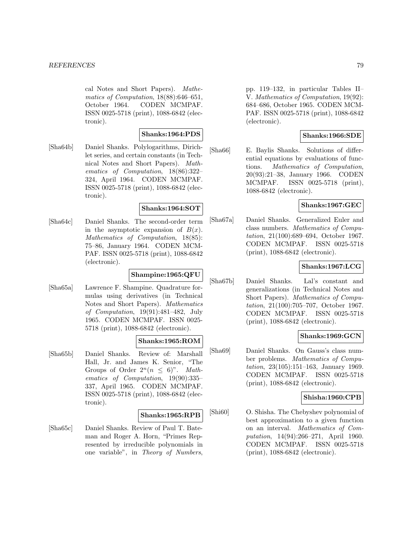cal Notes and Short Papers). Mathematics of Computation, 18(88):646–651, October 1964. CODEN MCMPAF. ISSN 0025-5718 (print), 1088-6842 (electronic).

### **Shanks:1964:PDS**

[Sha64b] Daniel Shanks. Polylogarithms, Dirichlet series, and certain constants (in Technical Notes and Short Papers). Mathematics of Computation, 18(86):322– 324, April 1964. CODEN MCMPAF. ISSN 0025-5718 (print), 1088-6842 (electronic).

#### **Shanks:1964:SOT**

[Sha64c] Daniel Shanks. The second-order term in the asymptotic expansion of  $B(x)$ . Mathematics of Computation, 18(85): 75–86, January 1964. CODEN MCM-PAF. ISSN 0025-5718 (print), 1088-6842 (electronic).

### **Shampine:1965:QFU**

[Sha65a] Lawrence F. Shampine. Quadrature formulas using derivatives (in Technical Notes and Short Papers). Mathematics of Computation, 19(91):481–482, July 1965. CODEN MCMPAF. ISSN 0025- 5718 (print), 1088-6842 (electronic).

# **Shanks:1965:ROM**

[Sha65b] Daniel Shanks. Review of: Marshall Hall, Jr. and James K. Senior, "The Groups of Order  $2^n (n \leq 6)$ ". Mathematics of Computation, 19(90):335– 337, April 1965. CODEN MCMPAF. ISSN 0025-5718 (print), 1088-6842 (electronic).

#### **Shanks:1965:RPB**

[Sha65c] Daniel Shanks. Review of Paul T. Bateman and Roger A. Horn, "Primes Represented by irreducible polynomials in one variable", in Theory of Numbers, pp. 119–132, in particular Tables II– V. Mathematics of Computation, 19(92): 684–686, October 1965. CODEN MCM-PAF. ISSN 0025-5718 (print), 1088-6842 (electronic).

### **Shanks:1966:SDE**

[Sha66] E. Baylis Shanks. Solutions of differential equations by evaluations of functions. Mathematics of Computation, 20(93):21–38, January 1966. CODEN MCMPAF. ISSN 0025-5718 (print), 1088-6842 (electronic).

### **Shanks:1967:GEC**

[Sha67a] Daniel Shanks. Generalized Euler and class numbers. Mathematics of Computation, 21(100):689–694, October 1967. CODEN MCMPAF. ISSN 0025-5718 (print), 1088-6842 (electronic).

# **Shanks:1967:LCG**

[Sha67b] Daniel Shanks. Lal's constant and generalizations (in Technical Notes and Short Papers). Mathematics of Computation, 21(100):705–707, October 1967. CODEN MCMPAF. ISSN 0025-5718 (print), 1088-6842 (electronic).

# **Shanks:1969:GCN**

[Sha69] Daniel Shanks. On Gauss's class number problems. Mathematics of Computation, 23(105):151–163, January 1969. CODEN MCMPAF. ISSN 0025-5718 (print), 1088-6842 (electronic).

### **Shisha:1960:CPB**

[Shi60] O. Shisha. The Chebyshev polynomial of best approximation to a given function on an interval. Mathematics of Computation, 14(94):266–271, April 1960. CODEN MCMPAF. ISSN 0025-5718 (print), 1088-6842 (electronic).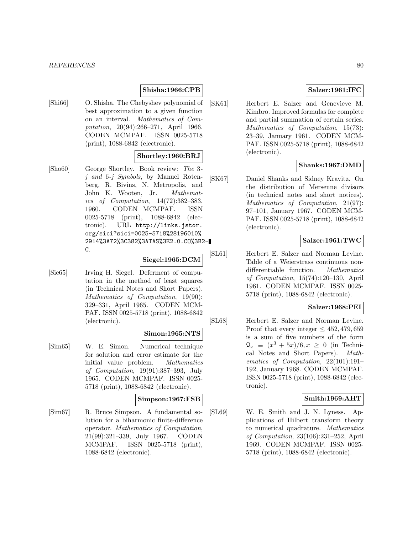### **Shisha:1966:CPB**

[Shi66] O. Shisha. The Chebyshev polynomial of best approximation to a given function on an interval. Mathematics of Computation, 20(94):266–271, April 1966. CODEN MCMPAF. ISSN 0025-5718 (print), 1088-6842 (electronic).

#### **Shortley:1960:BRJ**

[Sho60] George Shortley. Book review: The 3 j and 6-j Symbols, by Manuel Rotenberg, R. Bivins, N. Metropolis, and John K. Wooten, Jr. Mathematics of Computation, 14(72):382–383, 1960. CODEN MCMPAF. ISSN 0025-5718 (print), 1088-6842 (electronic). URL http://links.jstor. org/sici?sici=0025-5718%28196010% 2914%3A72%3C382%3ATAS%3E2.0.CO%3B2- C.

# **Siegel:1965:DCM**

[Sie65] Irving H. Siegel. Deferment of computation in the method of least squares (in Technical Notes and Short Papers). Mathematics of Computation, 19(90): 329–331, April 1965. CODEN MCM-PAF. ISSN 0025-5718 (print), 1088-6842 (electronic).

#### **Simon:1965:NTS**

[Sim65] W. E. Simon. Numerical technique for solution and error estimate for the initial value problem. Mathematics of Computation, 19(91):387–393, July 1965. CODEN MCMPAF. ISSN 0025- 5718 (print), 1088-6842 (electronic).

#### **Simpson:1967:FSB**

[Sim67] R. Bruce Simpson. A fundamental solution for a biharmonic finite-difference operator. Mathematics of Computation, 21(99):321–339, July 1967. CODEN MCMPAF. ISSN 0025-5718 (print), 1088-6842 (electronic).

### **Salzer:1961:IFC**

[SK61] Herbert E. Salzer and Genevieve M. Kimbro. Improved formulas for complete and partial summation of certain series. Mathematics of Computation, 15(73): 23–39, January 1961. CODEN MCM-PAF. ISSN 0025-5718 (print), 1088-6842 (electronic).

### **Shanks:1967:DMD**

[SK67] Daniel Shanks and Sidney Kravitz. On the distribution of Mersenne divisors (in technical notes and short notices). Mathematics of Computation, 21(97): 97–101, January 1967. CODEN MCM-PAF. ISSN 0025-5718 (print), 1088-6842 (electronic).

### **Salzer:1961:TWC**

[SL61] Herbert E. Salzer and Norman Levine. Table of a Weierstrass continuous nondifferentiable function. Mathematics of Computation, 15(74):120–130, April 1961. CODEN MCMPAF. ISSN 0025- 5718 (print), 1088-6842 (electronic).

#### **Salzer:1968:PEI**

[SL68] Herbert E. Salzer and Norman Levine. Proof that every integer  $\leq 452,479,659$ is a sum of five numbers of the form  $\mathcal{Q}_x \equiv (x^3 + 5x)/6, x \geq 0$  (in Technical Notes and Short Papers). *Math*cal Notes and Short Papers). ematics of Computation, 22(101):191– 192, January 1968. CODEN MCMPAF. ISSN 0025-5718 (print), 1088-6842 (electronic).

#### **Smith:1969:AHT**

[SL69] W. E. Smith and J. N. Lyness. Applications of Hilbert transform theory to numerical quadrature. Mathematics of Computation, 23(106):231–252, April 1969. CODEN MCMPAF. ISSN 0025- 5718 (print), 1088-6842 (electronic).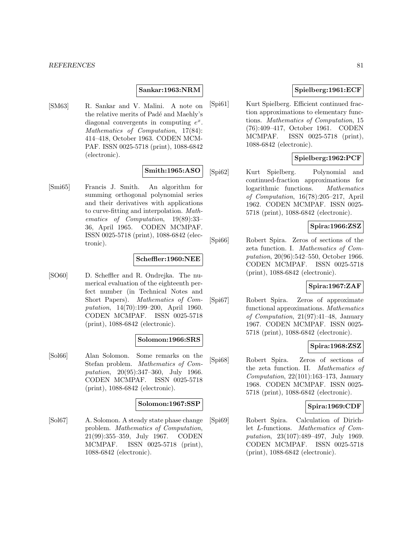#### **Sankar:1963:NRM**

[SM63] R. Sankar and V. Malini. A note on the relative merits of Padé and Maehly's diagonal convergents in computing  $e^x$ . Mathematics of Computation, 17(84): 414–418, October 1963. CODEN MCM-PAF. ISSN 0025-5718 (print), 1088-6842 (electronic).

# **Smith:1965:ASO**

[Smi65] Francis J. Smith. An algorithm for summing orthogonal polynomial series and their derivatives with applications to curve-fitting and interpolation. Mathematics of Computation, 19(89):33– 36, April 1965. CODEN MCMPAF. ISSN 0025-5718 (print), 1088-6842 (electronic).

#### **Scheffler:1960:NEE**

[SO60] D. Scheffler and R. Ondrejka. The numerical evaluation of the eighteenth perfect number (in Technical Notes and Short Papers). Mathematics of Computation, 14(70):199–200, April 1960. CODEN MCMPAF. ISSN 0025-5718 (print), 1088-6842 (electronic).

#### **Solomon:1966:SRS**

[Sol66] Alan Solomon. Some remarks on the Stefan problem. Mathematics of Computation, 20(95):347–360, July 1966. CODEN MCMPAF. ISSN 0025-5718 (print), 1088-6842 (electronic).

#### **Solomon:1967:SSP**

[Sol67] A. Solomon. A steady state phase change problem. Mathematics of Computation, 21(99):355–359, July 1967. CODEN MCMPAF. ISSN 0025-5718 (print), 1088-6842 (electronic).

# **Spielberg:1961:ECF**

[Spi61] Kurt Spielberg. Efficient continued fraction approximations to elementary functions. Mathematics of Computation, 15 (76):409–417, October 1961. CODEN MCMPAF. ISSN 0025-5718 (print), 1088-6842 (electronic).

### **Spielberg:1962:PCF**

[Spi62] Kurt Spielberg. Polynomial and continued-fraction approximations for logarithmic functions. Mathematics of Computation, 16(78):205–217, April 1962. CODEN MCMPAF. ISSN 0025- 5718 (print), 1088-6842 (electronic).

### **Spira:1966:ZSZ**

[Spi66] Robert Spira. Zeros of sections of the zeta function. I. Mathematics of Computation, 20(96):542–550, October 1966. CODEN MCMPAF. ISSN 0025-5718 (print), 1088-6842 (electronic).

# **Spira:1967:ZAF**

[Spi67] Robert Spira. Zeros of approximate functional approximations. Mathematics of Computation, 21(97):41–48, January 1967. CODEN MCMPAF. ISSN 0025- 5718 (print), 1088-6842 (electronic).

### **Spira:1968:ZSZ**

[Spi68] Robert Spira. Zeros of sections of the zeta function. II. Mathematics of Computation, 22(101):163–173, January 1968. CODEN MCMPAF. ISSN 0025- 5718 (print), 1088-6842 (electronic).

### **Spira:1969:CDF**

[Spi69] Robert Spira. Calculation of Dirichlet L-functions. Mathematics of Computation, 23(107):489–497, July 1969. CODEN MCMPAF. ISSN 0025-5718 (print), 1088-6842 (electronic).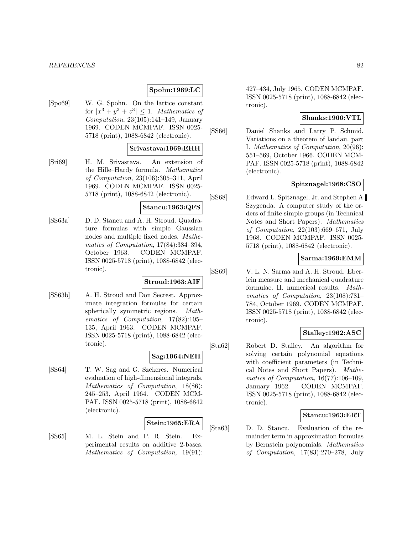### **Spohn:1969:LC**

[Spo69] W. G. Spohn. On the lattice constant for  $|x^3 + y^3 + z^3| \leq 1$ . Mathematics of Computation,  $23(105):141-149$ , January 1969. CODEN MCMPAF. ISSN 0025- 5718 (print), 1088-6842 (electronic).

### **Srivastava:1969:EHH**

[Sri69] H. M. Srivastava. An extension of the Hille–Hardy formula. Mathematics of Computation, 23(106):305–311, April 1969. CODEN MCMPAF. ISSN 0025- 5718 (print), 1088-6842 (electronic).

#### **Stancu:1963:QFS**

[SS63a] D. D. Stancu and A. H. Stroud. Quadrature formulas with simple Gaussian nodes and multiple fixed nodes. Mathematics of Computation, 17(84):384–394, October 1963. CODEN MCMPAF. ISSN 0025-5718 (print), 1088-6842 (electronic).

#### **Stroud:1963:AIF**

[SS63b] A. H. Stroud and Don Secrest. Approximate integration formulas for certain spherically symmetric regions. Mathematics of Computation, 17(82):105– 135, April 1963. CODEN MCMPAF. ISSN 0025-5718 (print), 1088-6842 (electronic).

### **Sag:1964:NEH**

[SS64] T. W. Sag and G. Szekeres. Numerical evaluation of high-dimensional integrals. Mathematics of Computation, 18(86): 245–253, April 1964. CODEN MCM-PAF. ISSN 0025-5718 (print), 1088-6842 (electronic).

# **Stein:1965:ERA**

[SS65] M. L. Stein and P. R. Stein. Experimental results on additive 2-bases. Mathematics of Computation, 19(91):

427–434, July 1965. CODEN MCMPAF. ISSN 0025-5718 (print), 1088-6842 (electronic).

#### **Shanks:1966:VTL**

[SS66] Daniel Shanks and Larry P. Schmid. Variations on a theorem of landau. part I. Mathematics of Computation, 20(96): 551–569, October 1966. CODEN MCM-PAF. ISSN 0025-5718 (print), 1088-6842 (electronic).

### **Spitznagel:1968:CSO**

[SS68] Edward L. Spitznagel, Jr. and Stephen A. Szygenda. A computer study of the orders of finite simple groups (in Technical Notes and Short Papers). Mathematics of Computation, 22(103):669–671, July 1968. CODEN MCMPAF. ISSN 0025- 5718 (print), 1088-6842 (electronic).

### **Sarma:1969:EMM**

[SS69] V. L. N. Sarma and A. H. Stroud. Eberlein measure and mechanical quadrature formulae. II. numerical results. Mathematics of Computation, 23(108):781– 784, October 1969. CODEN MCMPAF. ISSN 0025-5718 (print), 1088-6842 (electronic).

### **Stalley:1962:ASC**

[Sta62] Robert D. Stalley. An algorithm for solving certain polynomial equations with coefficient parameters (in Technical Notes and Short Papers). Mathematics of Computation, 16(77):106–109, January 1962. CODEN MCMPAF. ISSN 0025-5718 (print), 1088-6842 (electronic).

#### **Stancu:1963:ERT**

[Sta63] D. D. Stancu. Evaluation of the remainder term in approximation formulas by Bernstein polynomials. Mathematics of Computation, 17(83):270–278, July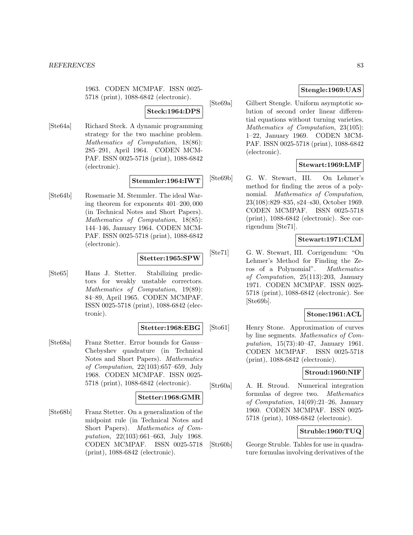1963. CODEN MCMPAF. ISSN 0025- 5718 (print), 1088-6842 (electronic).

#### **Steck:1964:DPS**

[Ste64a] Richard Steck. A dynamic programming strategy for the two machine problem. Mathematics of Computation, 18(86): 285–291, April 1964. CODEN MCM-PAF. ISSN 0025-5718 (print), 1088-6842 (electronic).

#### **Stemmler:1964:IWT**

[Ste64b] Rosemarie M. Stemmler. The ideal Waring theorem for exponents 401–200, 000 (in Technical Notes and Short Papers). Mathematics of Computation, 18(85): 144–146, January 1964. CODEN MCM-PAF. ISSN 0025-5718 (print), 1088-6842 (electronic).

### **Stetter:1965:SPW**

[Ste65] Hans J. Stetter. Stabilizing predictors for weakly unstable correctors. Mathematics of Computation, 19(89): 84–89, April 1965. CODEN MCMPAF. ISSN 0025-5718 (print), 1088-6842 (electronic).

#### **Stetter:1968:EBG**

[Ste68a] Franz Stetter. Error bounds for Gauss– Chebyshev quadrature (in Technical Notes and Short Papers). Mathematics of Computation, 22(103):657–659, July 1968. CODEN MCMPAF. ISSN 0025- 5718 (print), 1088-6842 (electronic).

#### **Stetter:1968:GMR**

[Ste68b] Franz Stetter. On a generalization of the midpoint rule (in Technical Notes and Short Papers). Mathematics of Computation, 22(103):661–663, July 1968. CODEN MCMPAF. ISSN 0025-5718 (print), 1088-6842 (electronic).

### **Stengle:1969:UAS**

[Ste69a] Gilbert Stengle. Uniform asymptotic solution of second order linear differential equations without turning varieties. Mathematics of Computation, 23(105): 1–22, January 1969. CODEN MCM-PAF. ISSN 0025-5718 (print), 1088-6842 (electronic).

### **Stewart:1969:LMF**

[Ste69b] G. W. Stewart, III. On Lehmer's method for finding the zeros of a polynomial. Mathematics of Computation, 23(108):829–835, s24–s30, October 1969. CODEN MCMPAF. ISSN 0025-5718 (print), 1088-6842 (electronic). See corrigendum [Ste71].

# **Stewart:1971:CLM**

[Ste71] G. W. Stewart, III. Corrigendum: "On Lehmer's Method for Finding the Zeros of a Polynomial". Mathematics of Computation, 25(113):203, January 1971. CODEN MCMPAF. ISSN 0025- 5718 (print), 1088-6842 (electronic). See [Ste69b].

# **Stone:1961:ACL**

[Sto61] Henry Stone. Approximation of curves by line segments. Mathematics of Computation, 15(73):40–47, January 1961. CODEN MCMPAF. ISSN 0025-5718 (print), 1088-6842 (electronic).

### **Stroud:1960:NIF**

[Str60a] A. H. Stroud. Numerical integration formulas of degree two. Mathematics of Computation, 14(69):21–26, January 1960. CODEN MCMPAF. ISSN 0025- 5718 (print), 1088-6842 (electronic).

# **Struble:1960:TUQ**

[Str60b] George Struble. Tables for use in quadrature formulas involving derivatives of the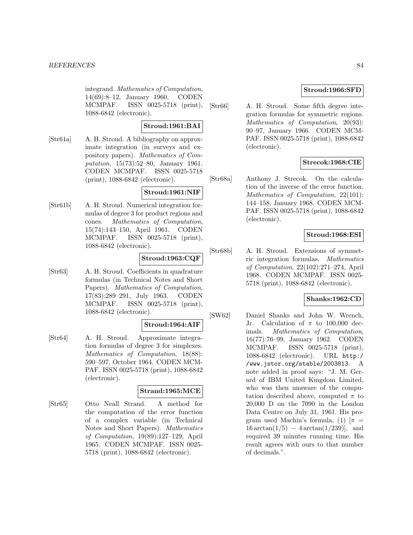integrand. Mathematics of Computation, 14(69):8–12, January 1960. CODEN MCMPAF. ISSN 0025-5718 (print), 1088-6842 (electronic).

# **Stroud:1961:BAI**

[Str61a] A. H. Stroud. A bibliography on approximate integration (in surveys and expository papers). Mathematics of Computation, 15(73):52–80, January 1961. CODEN MCMPAF. ISSN 0025-5718 (print), 1088-6842 (electronic).

### **Stroud:1961:NIF**

[Str61b] A. H. Stroud. Numerical integration formulas of degree 3 for product regions and cones. Mathematics of Computation, 15(74):143–150, April 1961. CODEN MCMPAF. ISSN 0025-5718 (print), 1088-6842 (electronic).

# **Stroud:1963:CQF**

[Str63] A. H. Stroud. Coefficients in quadrature formulas (in Technical Notes and Short Papers). Mathematics of Computation, 17(83):289–291, July 1963. CODEN MCMPAF. ISSN 0025-5718 (print), 1088-6842 (electronic).

### **Stroud:1964:AIF**

[Str64] A. H. Stroud. Approximate integration formulas of degree 3 for simplexes. Mathematics of Computation, 18(88): 590–597, October 1964. CODEN MCM-PAF. ISSN 0025-5718 (print), 1088-6842 (electronic).

# **Strand:1965:MCE**

[Str65] Otto Neall Strand. A method for the computation of the error function of a complex variable (in Technical Notes and Short Papers). Mathematics of Computation, 19(89):127–129, April 1965. CODEN MCMPAF. ISSN 0025- 5718 (print), 1088-6842 (electronic).

# **Stroud:1966:SFD**

[Str66] A. H. Stroud. Some fifth degree integration formulas for symmetric regions. Mathematics of Computation, 20(93): 90–97, January 1966. CODEN MCM-PAF. ISSN 0025-5718 (print), 1088-6842 (electronic).

# **Strecok:1968:CIE**

[Str68a] Anthony J. Strecok. On the calculation of the inverse of the error function. Mathematics of Computation, 22(101): 144–158, January 1968. CODEN MCM-PAF. ISSN 0025-5718 (print), 1088-6842 (electronic).

# **Stroud:1968:ESI**

[Str68b] A. H. Stroud. Extensions of symmetric integration formulas. Mathematics of Computation, 22(102):271–274, April 1968. CODEN MCMPAF. ISSN 0025- 5718 (print), 1088-6842 (electronic).

# **Shanks:1962:CD**

[SW62] Daniel Shanks and John W. Wrench, Jr. Calculation of  $\pi$  to 100,000 decimals. Mathematics of Computation, 16(77):76–99, January 1962. CODEN MCMPAF. ISSN 0025-5718 (print), 1088-6842 (electronic). URL http:/ /www.jstor.org/stable/2003813. A note added in proof says: "J. M. Gerard of IBM United Kingdom Limited, who was then unaware of the computation described above, computed  $\pi$  to 20,000 D on the 7090 in the London Data Centre on July 31, 1961. His program used Machin's formula, (1)  $[\pi =$  $16 \arctan(1/5) - 4 \arctan(1/239)$ , and required 39 minutes running time. His result agrees with ours to that number of decimals.".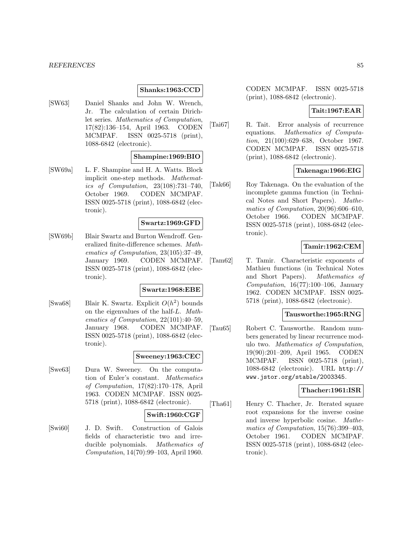#### **Shanks:1963:CCD**

[SW63] Daniel Shanks and John W. Wrench, Jr. The calculation of certain Dirichlet series. Mathematics of Computation, 17(82):136–154, April 1963. CODEN MCMPAF. ISSN 0025-5718 (print), 1088-6842 (electronic).

#### **Shampine:1969:BIO**

[SW69a] L. F. Shampine and H. A. Watts. Block implicit one-step methods. Mathematics of Computation, 23(108):731–740, October 1969. CODEN MCMPAF. ISSN 0025-5718 (print), 1088-6842 (electronic).

#### **Swartz:1969:GFD**

[SW69b] Blair Swartz and Burton Wendroff. Generalized finite-difference schemes. Mathematics of Computation, 23(105):37–49, January 1969. CODEN MCMPAF. ISSN 0025-5718 (print), 1088-6842 (electronic).

### **Swartz:1968:EBE**

[Swa68] Blair K. Swartz. Explicit  $O(h^2)$  bounds on the eigenvalues of the half-L. Mathematics of Computation, 22(101):40–59, January 1968. CODEN MCMPAF. ISSN 0025-5718 (print), 1088-6842 (electronic).

### **Sweeney:1963:CEC**

[Swe63] Dura W. Sweeney. On the computation of Euler's constant. Mathematics of Computation, 17(82):170–178, April 1963. CODEN MCMPAF. ISSN 0025- 5718 (print), 1088-6842 (electronic).

#### **Swift:1960:CGF**

[Swi60] J. D. Swift. Construction of Galois fields of characteristic two and irreducible polynomials. Mathematics of Computation, 14(70):99–103, April 1960.

CODEN MCMPAF. ISSN 0025-5718 (print), 1088-6842 (electronic).

# **Tait:1967:EAR**

[Tai67] R. Tait. Error analysis of recurrence equations. Mathematics of Computation, 21(100):629–638, October 1967. CODEN MCMPAF. ISSN 0025-5718 (print), 1088-6842 (electronic).

### **Takenaga:1966:EIG**

[Tak66] Roy Takenaga. On the evaluation of the incomplete gamma function (in Technical Notes and Short Papers). Mathematics of Computation, 20(96):606–610, October 1966. CODEN MCMPAF. ISSN 0025-5718 (print), 1088-6842 (electronic).

### **Tamir:1962:CEM**

[Tam62] T. Tamir. Characteristic exponents of Mathieu functions (in Technical Notes and Short Papers). Mathematics of Computation, 16(77):100–106, January 1962. CODEN MCMPAF. ISSN 0025- 5718 (print), 1088-6842 (electronic).

# **Tausworthe:1965:RNG**

[Tau65] Robert C. Tausworthe. Random numbers generated by linear recurrence modulo two. Mathematics of Computation, 19(90):201–209, April 1965. CODEN MCMPAF. ISSN 0025-5718 (print), 1088-6842 (electronic). URL http:// www.jstor.org/stable/2003345.

# **Thacher:1961:ISR**

[Tha61] Henry C. Thacher, Jr. Iterated square root expansions for the inverse cosine and inverse hyperbolic cosine. Mathematics of Computation, 15(76):399–403, October 1961. CODEN MCMPAF. ISSN 0025-5718 (print), 1088-6842 (electronic).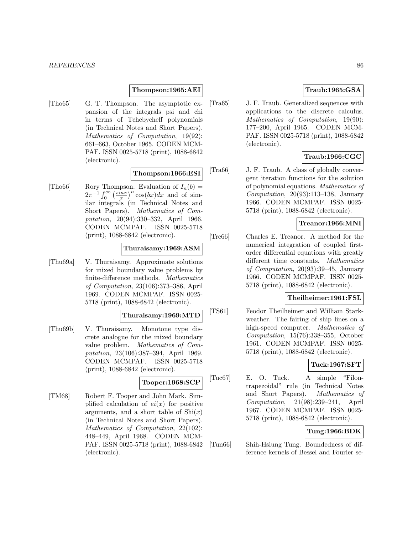#### **Thompson:1965:AEI**

[Tho65] G. T. Thompson. The asymptotic expansion of the integrals psi and chi in terms of Tchebycheff polynomials (in Technical Notes and Short Papers). Mathematics of Computation, 19(92): 661–663, October 1965. CODEN MCM-PAF. ISSN 0025-5718 (print), 1088-6842 (electronic).

#### **Thompson:1966:ESI**

[Tho66] Rory Thompson. Evaluation of  $I_n(b)$  =  $2\pi^{-1}\int_0^\infty \left(\frac{\sin x}{x}\right)^n \cos(bx)dx$  and of similar integrals (in Technical Notes and Short Papers). Mathematics of Computation, 20(94):330–332, April 1966. CODEN MCMPAF. ISSN 0025-5718 (print), 1088-6842 (electronic).

#### **Thuraisamy:1969:ASM**

[Thu69a] V. Thuraisamy. Approximate solutions for mixed boundary value problems by finite-difference methods. Mathematics of Computation, 23(106):373–386, April 1969. CODEN MCMPAF. ISSN 0025- 5718 (print), 1088-6842 (electronic).

#### **Thuraisamy:1969:MTD**

[Thu69b] V. Thuraisamy. Monotone type discrete analogue for the mixed boundary value problem. Mathematics of Computation, 23(106):387–394, April 1969. CODEN MCMPAF. ISSN 0025-5718 (print), 1088-6842 (electronic).

### **Tooper:1968:SCP**

[TM68] Robert F. Tooper and John Mark. Simplified calculation of  $ei(x)$  for positive arguments, and a short table of  $\mathrm{Shi}(x)$ (in Technical Notes and Short Papers). Mathematics of Computation, 22(102): 448–449, April 1968. CODEN MCM-PAF. ISSN 0025-5718 (print), 1088-6842 (electronic).

# **Traub:1965:GSA**

[Tra65] J. F. Traub. Generalized sequences with applications to the discrete calculus. Mathematics of Computation, 19(90): 177–200, April 1965. CODEN MCM-PAF. ISSN 0025-5718 (print), 1088-6842 (electronic).

# **Traub:1966:CGC**

[Tra66] J. F. Traub. A class of globally convergent iteration functions for the solution of polynomial equations. Mathematics of  $Computation$ ,  $20(93):113-138$ , January 1966. CODEN MCMPAF. ISSN 0025- 5718 (print), 1088-6842 (electronic).

# **Treanor:1966:MNI**

[Tre66] Charles E. Treanor. A method for the numerical integration of coupled firstorder differential equations with greatly different time constants. Mathematics of Computation, 20(93):39–45, January 1966. CODEN MCMPAF. ISSN 0025- 5718 (print), 1088-6842 (electronic).

### **Theilheimer:1961:FSL**

[TS61] Feodor Theilheimer and William Starkweather. The fairing of ship lines on a high-speed computer. Mathematics of Computation, 15(76):338–355, October 1961. CODEN MCMPAF. ISSN 0025- 5718 (print), 1088-6842 (electronic).

# **Tuck:1967:SFT**

[Tuc67] E. O. Tuck. A simple "Filontrapezoidal" rule (in Technical Notes and Short Papers). Mathematics of Computation, 21(98):239–241, April 1967. CODEN MCMPAF. ISSN 0025- 5718 (print), 1088-6842 (electronic).

# **Tung:1966:BDK**

[Tun66] Shih-Hsiung Tung. Boundedness of difference kernels of Bessel and Fourier se-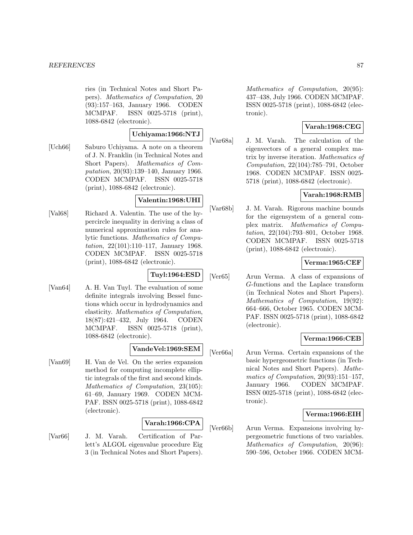ries (in Technical Notes and Short Papers). Mathematics of Computation, 20 (93):157–163, January 1966. CODEN MCMPAF. ISSN 0025-5718 (print), 1088-6842 (electronic).

# **Uchiyama:1966:NTJ**

[Uch66] Saburo Uchiyama. A note on a theorem of J. N. Franklin (in Technical Notes and Short Papers). Mathematics of Computation, 20(93):139–140, January 1966. CODEN MCMPAF. ISSN 0025-5718 (print), 1088-6842 (electronic).

# **Valentin:1968:UHI**

[Val68] Richard A. Valentin. The use of the hypercircle inequality in deriving a class of numerical approximation rules for analytic functions. Mathematics of Computation, 22(101):110–117, January 1968. CODEN MCMPAF. ISSN 0025-5718 (print), 1088-6842 (electronic).

# **Tuyl:1964:ESD**

[Van64] A. H. Van Tuyl. The evaluation of some definite integrals involving Bessel functions which occur in hydrodynamics and elasticity. Mathematics of Computation, 18(87):421–432, July 1964. CODEN MCMPAF. ISSN 0025-5718 (print), 1088-6842 (electronic).

### **VandeVel:1969:SEM**

[Van69] H. Van de Vel. On the series expansion method for computing incomplete elliptic integrals of the first and second kinds. Mathematics of Computation, 23(105): 61–69, January 1969. CODEN MCM-PAF. ISSN 0025-5718 (print), 1088-6842 (electronic).

# **Varah:1966:CPA**

[Var66] J. M. Varah. Certification of Parlett's ALGOL eigenvalue procedure Eig 3 (in Technical Notes and Short Papers).

Mathematics of Computation, 20(95): 437–438, July 1966. CODEN MCMPAF. ISSN 0025-5718 (print), 1088-6842 (electronic).

# **Varah:1968:CEG**

[Var68a] J. M. Varah. The calculation of the eigenvectors of a general complex matrix by inverse iteration. Mathematics of Computation, 22(104):785–791, October 1968. CODEN MCMPAF. ISSN 0025- 5718 (print), 1088-6842 (electronic).

# **Varah:1968:RMB**

[Var68b] J. M. Varah. Rigorous machine bounds for the eigensystem of a general complex matrix. Mathematics of Computation, 22(104):793–801, October 1968. CODEN MCMPAF. ISSN 0025-5718 (print), 1088-6842 (electronic).

# **Verma:1965:CEF**

[Ver65] Arun Verma. A class of expansions of G-functions and the Laplace transform (in Technical Notes and Short Papers). Mathematics of Computation, 19(92): 664–666, October 1965. CODEN MCM-PAF. ISSN 0025-5718 (print), 1088-6842 (electronic).

# **Verma:1966:CEB**

[Ver66a] Arun Verma. Certain expansions of the basic hypergeometric functions (in Technical Notes and Short Papers). Mathematics of Computation, 20(93):151–157, January 1966. CODEN MCMPAF. ISSN 0025-5718 (print), 1088-6842 (electronic).

# **Verma:1966:EIH**

[Ver66b] Arun Verma. Expansions involving hypergeometric functions of two variables. Mathematics of Computation, 20(96): 590–596, October 1966. CODEN MCM-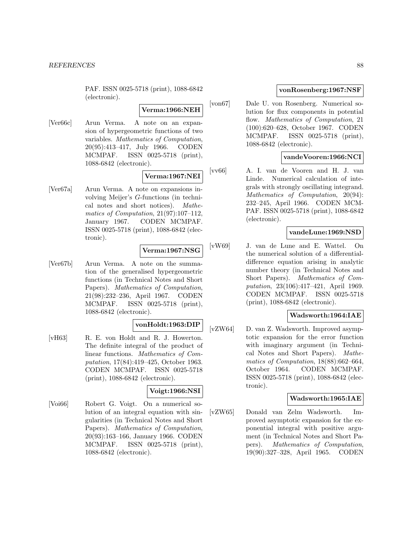PAF. ISSN 0025-5718 (print), 1088-6842 (electronic).

**Verma:1966:NEH**

[Ver66c] Arun Verma. A note on an expansion of hypergeometric functions of two variables. Mathematics of Computation, 20(95):413–417, July 1966. CODEN MCMPAF. ISSN 0025-5718 (print), 1088-6842 (electronic).

**Verma:1967:NEI**

[Ver67a] Arun Verma. A note on expansions involving Meijer's G-functions (in technical notes and short notices). Mathematics of Computation, 21(97):107–112, January 1967. CODEN MCMPAF. ISSN 0025-5718 (print), 1088-6842 (electronic).

# **Verma:1967:NSG**

[Ver67b] Arun Verma. A note on the summation of the generalised hypergeometric functions (in Technical Notes and Short Papers). Mathematics of Computation, 21(98):232–236, April 1967. CODEN MCMPAF. ISSN 0025-5718 (print), 1088-6842 (electronic).

# **vonHoldt:1963:DIP**

[vH63] R. E. von Holdt and R. J. Howerton. The definite integral of the product of linear functions. Mathematics of Computation, 17(84):419–425, October 1963. CODEN MCMPAF. ISSN 0025-5718 (print), 1088-6842 (electronic).

# **Voigt:1966:NSI**

[Voi66] Robert G. Voigt. On a numerical solution of an integral equation with singularities (in Technical Notes and Short Papers). Mathematics of Computation, 20(93):163–166, January 1966. CODEN MCMPAF. ISSN 0025-5718 (print), 1088-6842 (electronic).

# **vonRosenberg:1967:NSF**

[von67] Dale U. von Rosenberg. Numerical solution for flux components in potential flow. Mathematics of Computation, 21 (100):620–628, October 1967. CODEN MCMPAF. ISSN 0025-5718 (print), 1088-6842 (electronic).

### **vandeVooren:1966:NCI**

[vv66] A. I. van de Vooren and H. J. van Linde. Numerical calculation of integrals with strongly oscillating integrand. Mathematics of Computation, 20(94): 232–245, April 1966. CODEN MCM-PAF. ISSN 0025-5718 (print), 1088-6842 (electronic).

### **vandeLune:1969:NSD**

[vW69] J. van de Lune and E. Wattel. On the numerical solution of a differentialdifference equation arising in analytic number theory (in Technical Notes and Short Papers). Mathematics of Computation, 23(106):417–421, April 1969. CODEN MCMPAF. ISSN 0025-5718 (print), 1088-6842 (electronic).

# **Wadsworth:1964:IAE**

[vZW64] D. van Z. Wadsworth. Improved asymptotic expansion for the error function with imaginary argument (in Technical Notes and Short Papers). Mathematics of Computation, 18(88):662–664, October 1964. CODEN MCMPAF. ISSN 0025-5718 (print), 1088-6842 (electronic).

### **Wadsworth:1965:IAE**

[vZW65] Donald van Zelm Wadsworth. Improved asymptotic expansion for the exponential integral with positive argument (in Technical Notes and Short Papers). Mathematics of Computation, 19(90):327–328, April 1965. CODEN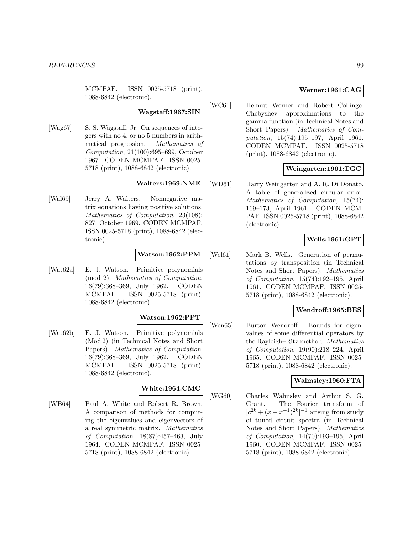MCMPAF. ISSN 0025-5718 (print), 1088-6842 (electronic).

### **Wagstaff:1967:SIN**

[Wag67] S. S. Wagstaff, Jr. On sequences of integers with no 4, or no 5 numbers in arithmetical progression. Mathematics of Computation, 21(100):695–699, October 1967. CODEN MCMPAF. ISSN 0025- 5718 (print), 1088-6842 (electronic).

### **Walters:1969:NME**

[Wal69] Jerry A. Walters. Nonnegative matrix equations having positive solutions. Mathematics of Computation, 23(108): 827, October 1969. CODEN MCMPAF. ISSN 0025-5718 (print), 1088-6842 (electronic).

### **Watson:1962:PPM**

[Wat62a] E. J. Watson. Primitive polynomials (mod 2). Mathematics of Computation, 16(79):368–369, July 1962. CODEN MCMPAF. ISSN 0025-5718 (print), 1088-6842 (electronic).

### **Watson:1962:PPT**

[Wat62b] E. J. Watson. Primitive polynomials (Mod 2) (in Technical Notes and Short Papers). Mathematics of Computation, 16(79):368–369, July 1962. CODEN MCMPAF. ISSN 0025-5718 (print), 1088-6842 (electronic).

### **White:1964:CMC**

[WB64] Paul A. White and Robert R. Brown. A comparison of methods for computing the eigenvalues and eigenvectors of a real symmetric matrix. Mathematics of Computation, 18(87):457–463, July 1964. CODEN MCMPAF. ISSN 0025- 5718 (print), 1088-6842 (electronic).

# **Werner:1961:CAG**

[WC61] Helmut Werner and Robert Collinge. Chebyshev approximations to the gamma function (in Technical Notes and Short Papers). Mathematics of Computation, 15(74):195–197, April 1961. CODEN MCMPAF. ISSN 0025-5718 (print), 1088-6842 (electronic).

### **Weingarten:1961:TGC**

[WD61] Harry Weingarten and A. R. Di Donato. A table of generalized circular error. Mathematics of Computation, 15(74): 169–173, April 1961. CODEN MCM-PAF. ISSN 0025-5718 (print), 1088-6842 (electronic).

# **Wells:1961:GPT**

[Wel61] Mark B. Wells. Generation of permutations by transposition (in Technical Notes and Short Papers). Mathematics of Computation, 15(74):192–195, April 1961. CODEN MCMPAF. ISSN 0025- 5718 (print), 1088-6842 (electronic).

### **Wendroff:1965:BES**

[Wen65] Burton Wendroff. Bounds for eigenvalues of some differential operators by the Rayleigh–Ritz method. Mathematics of Computation, 19(90):218–224, April 1965. CODEN MCMPAF. ISSN 0025- 5718 (print), 1088-6842 (electronic).

### **Walmsley:1960:FTA**

[WG60] Charles Walmsley and Arthur S. G. Grant. The Fourier transform of  $[c^{2k} + (x - x^{-1})^{2k}]^{-1}$  arising from study of tuned circuit spectra (in Technical Notes and Short Papers). Mathematics of Computation, 14(70):193–195, April 1960. CODEN MCMPAF. ISSN 0025- 5718 (print), 1088-6842 (electronic).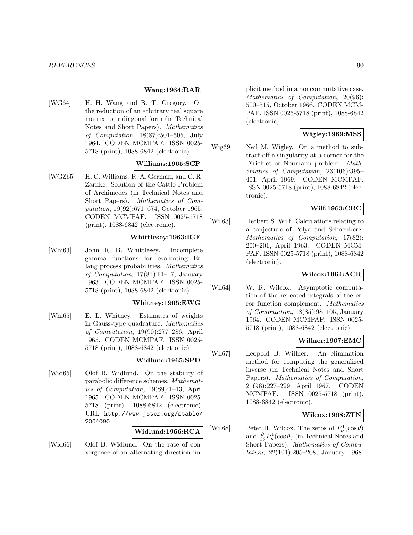### **Wang:1964:RAR**

[WG64] H. H. Wang and R. T. Gregory. On the reduction of an arbitrary real square matrix to tridiagonal form (in Technical Notes and Short Papers). Mathematics of Computation, 18(87):501–505, July 1964. CODEN MCMPAF. ISSN 0025- 5718 (print), 1088-6842 (electronic).

# **Williams:1965:SCP**

[WGZ65] H. C. Williams, R. A. German, and C. R. Zarnke. Solution of the Cattle Problem of Archimedes (in Technical Notes and Short Papers). Mathematics of Computation, 19(92):671–674, October 1965. CODEN MCMPAF. ISSN 0025-5718 (print), 1088-6842 (electronic).

#### **Whittlesey:1963:IGF**

[Whi63] John R. B. Whittlesey. Incomplete gamma functions for evaluating Erlang process probabilities. Mathematics of Computation, 17(81):11–17, January 1963. CODEN MCMPAF. ISSN 0025- 5718 (print), 1088-6842 (electronic).

#### **Whitney:1965:EWG**

[Whi65] E. L. Whitney. Estimates of weights in Gauss-type quadrature. Mathematics of Computation, 19(90):277–286, April 1965. CODEN MCMPAF. ISSN 0025- 5718 (print), 1088-6842 (electronic).

# **Widlund:1965:SPD**

[Wid65] Olof B. Widlund. On the stability of parabolic difference schemes. Mathematics of Computation, 19(89):1–13, April 1965. CODEN MCMPAF. ISSN 0025- 5718 (print), 1088-6842 (electronic). URL http://www.jstor.org/stable/ 2004090.

### **Widlund:1966:RCA**

[Wid66] Olof B. Widlund. On the rate of convergence of an alternating direction implicit method in a noncommutative case. Mathematics of Computation, 20(96): 500–515, October 1966. CODEN MCM-PAF. ISSN 0025-5718 (print), 1088-6842 (electronic).

# **Wigley:1969:MSS**

[Wig69] Neil M. Wigley. On a method to subtract off a singularity at a corner for the Dirichlet or Neumann problem. Mathematics of Computation, 23(106):395– 401, April 1969. CODEN MCMPAF. ISSN 0025-5718 (print), 1088-6842 (electronic).

# **Wilf:1963:CRC**

[Wil63] Herbert S. Wilf. Calculations relating to a conjecture of Polya and Schoenberg. Mathematics of Computation, 17(82): 200–201, April 1963. CODEN MCM-PAF. ISSN 0025-5718 (print), 1088-6842 (electronic).

### **Wilcox:1964:ACR**

[Wil64] W. R. Wilcox. Asymptotic computation of the repeated integrals of the error function complement. Mathematics of Computation, 18(85):98–105, January 1964. CODEN MCMPAF. ISSN 0025- 5718 (print), 1088-6842 (electronic).

### **Willner:1967:EMC**

[Wil67] Leopold B. Willner. An elimination method for computing the generalized inverse (in Technical Notes and Short Papers). Mathematics of Computation, 21(98):227–229, April 1967. CODEN MCMPAF. ISSN 0025-5718 (print), 1088-6842 (electronic).

### **Wilcox:1968:ZTN**

[Wil68] Peter H. Wilcox. The zeros of  $P^1_\nu(\cos\theta)$ and  $\frac{\partial}{\partial \theta} P^1_\mu(\cos \theta)$  (in Technical Notes and Short Papers). Mathematics of Computation, 22(101):205–208, January 1968.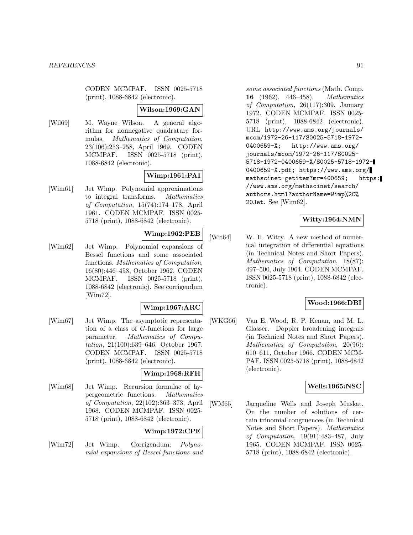CODEN MCMPAF. ISSN 0025-5718 (print), 1088-6842 (electronic).

### **Wilson:1969:GAN**

[Wil69] M. Wayne Wilson. A general algorithm for nonnegative quadrature formulas. Mathematics of Computation, 23(106):253–258, April 1969. CODEN MCMPAF. ISSN 0025-5718 (print), 1088-6842 (electronic).

# **Wimp:1961:PAI**

[Wim61] Jet Wimp. Polynomial approximations to integral transforms. Mathematics of Computation, 15(74):174–178, April 1961. CODEN MCMPAF. ISSN 0025- 5718 (print), 1088-6842 (electronic).

# **Wimp:1962:PEB**

[Wim62] Jet Wimp. Polynomial expansions of Bessel functions and some associated functions. Mathematics of Computation, 16(80):446–458, October 1962. CODEN MCMPAF. ISSN 0025-5718 (print), 1088-6842 (electronic). See corrigendum [Wim72].

### **Wimp:1967:ARC**

[Wim67] Jet Wimp. The asymptotic representation of a class of G-functions for large parameter. Mathematics of Computation, 21(100):639–646, October 1967. CODEN MCMPAF. ISSN 0025-5718 (print), 1088-6842 (electronic).

### **Wimp:1968:RFH**

[Wim68] Jet Wimp. Recursion formulae of hypergeometric functions. Mathematics of Computation, 22(102):363–373, April 1968. CODEN MCMPAF. ISSN 0025- 5718 (print), 1088-6842 (electronic).

# **Wimp:1972:CPE**

[Wim72] Jet Wimp. Corrigendum: Polynomial expansions of Bessel functions and

some associated functions (Math. Comp. **16** (1962), 446–458). Mathematics of Computation, 26(117):309, January 1972. CODEN MCMPAF. ISSN 0025- 5718 (print), 1088-6842 (electronic). URL http://www.ams.org/journals/ mcom/1972-26-117/S0025-5718-1972- 0400659-X; http://www.ams.org/ journals/mcom/1972-26-117/S0025- 5718-1972-0400659-X/S0025-5718-1972- 0400659-X.pdf; https://www.ams.org/ mathscinet-getitem?mr=400659; https: //www.ams.org/mathscinet/search/ authors.html?authorName=Wimp%2C% 20Jet. See [Wim62].

# **Witty:1964:NMN**

[Wit64] W. H. Witty. A new method of numerical integration of differential equations (in Technical Notes and Short Papers). Mathematics of Computation, 18(87): 497–500, July 1964. CODEN MCMPAF. ISSN 0025-5718 (print), 1088-6842 (electronic).

### **Wood:1966:DBI**

[WKG66] Van E. Wood, R. P. Kenan, and M. L. Glasser. Doppler broadening integrals (in Technical Notes and Short Papers). Mathematics of Computation, 20(96): 610–611, October 1966. CODEN MCM-PAF. ISSN 0025-5718 (print), 1088-6842 (electronic).

# **Wells:1965:NSC**

[WM65] Jacqueline Wells and Joseph Muskat. On the number of solutions of certain trinomial congruences (in Technical Notes and Short Papers). Mathematics of Computation, 19(91):483–487, July 1965. CODEN MCMPAF. ISSN 0025- 5718 (print), 1088-6842 (electronic).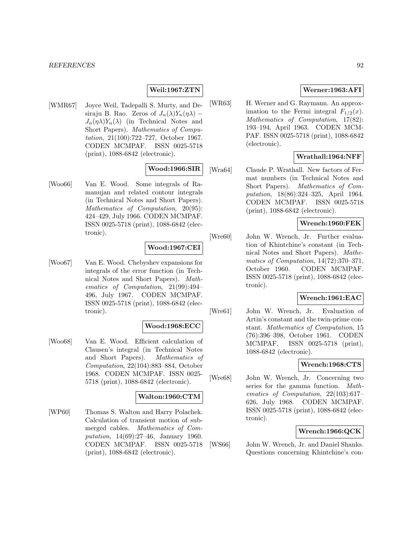# **Weil:1967:ZTN**

[WMR67] Joyce Weil, Tadepalli S. Murty, and Desiraju B. Rao. Zeros of  $J_n(\lambda)Y_n(\eta\lambda)$  –  $J_n(\eta \lambda)Y_n(\lambda)$  (in Technical Notes and Short Papers). Mathematics of Computation, 21(100):722–727, October 1967. CODEN MCMPAF. ISSN 0025-5718 (print), 1088-6842 (electronic).

### **Wood:1966:SIR**

[Woo66] Van E. Wood. Some integrals of Ramanujan and related contour integrals (in Technical Notes and Short Papers). Mathematics of Computation, 20(95): 424–429, July 1966. CODEN MCMPAF. ISSN 0025-5718 (print), 1088-6842 (electronic).

### **Wood:1967:CEI**

[Woo67] Van E. Wood. Chebyshev expansions for integrals of the error function (in Technical Notes and Short Papers). Mathematics of Computation, 21(99):494– 496, July 1967. CODEN MCMPAF. ISSN 0025-5718 (print), 1088-6842 (electronic).

#### **Wood:1968:ECC**

[Woo68] Van E. Wood. Efficient calculation of Clausen's integral (in Technical Notes and Short Papers). Mathematics of Computation, 22(104):883–884, October 1968. CODEN MCMPAF. ISSN 0025- 5718 (print), 1088-6842 (electronic).

#### **Walton:1960:CTM**

[WP60] Thomas S. Walton and Harry Polachek. Calculation of transient motion of submerged cables. Mathematics of Computation, 14(69):27–46, January 1960. CODEN MCMPAF. ISSN 0025-5718 (print), 1088-6842 (electronic).

### **Werner:1963:AFI**

[WR63] H. Werner and G. Raymann. An approximation to the Fermi integral  $F_{1/2}(x)$ . Mathematics of Computation, 17(82): 193–194, April 1963. CODEN MCM-PAF. ISSN 0025-5718 (print), 1088-6842 (electronic).

# **Wrathall:1964:NFF**

[Wra64] Claude P. Wrathall. New factors of Fermat numbers (in Technical Notes and Short Papers). Mathematics of Computation, 18(86):324–325, April 1964. CODEN MCMPAF. ISSN 0025-5718 (print), 1088-6842 (electronic).

# **Wrench:1960:FEK**

[Wre60] John W. Wrench, Jr. Further evaluation of Khintchine's constant (in Technical Notes and Short Papers). Mathematics of Computation, 14(72):370–371, October 1960. CODEN MCMPAF. ISSN 0025-5718 (print), 1088-6842 (electronic).

# **Wrench:1961:EAC**

[Wre61] John W. Wrench, Jr. Evaluation of Artin's constant and the twin-prime constant. Mathematics of Computation, 15 (76):396–398, October 1961. CODEN MCMPAF. ISSN 0025-5718 (print), 1088-6842 (electronic).

### **Wrench:1968:CTS**

[Wre68] John W. Wrench, Jr. Concerning two series for the gamma function. Mathematics of Computation, 22(103):617– 626, July 1968. CODEN MCMPAF. ISSN 0025-5718 (print), 1088-6842 (electronic).

### **Wrench:1966:QCK**

[WS66] John W. Wrench, Jr. and Daniel Shanks. Questions concerning Khintchine's con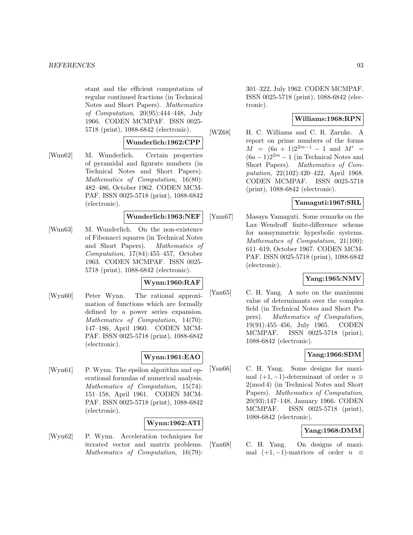stant and the efficient computation of regular continued fractions (in Technical Notes and Short Papers). Mathematics of Computation, 20(95):444–448, July 1966. CODEN MCMPAF. ISSN 0025- 5718 (print), 1088-6842 (electronic).

### **Wunderlich:1962:CPP**

[Wun62] M. Wunderlich. Certain properties of pyramidal and figurate numbers (in Technical Notes and Short Papers). Mathematics of Computation, 16(80): 482–486, October 1962. CODEN MCM-PAF. ISSN 0025-5718 (print), 1088-6842 (electronic).

#### **Wunderlich:1963:NEF**

[Wun63] M. Wunderlich. On the non-existence of Fibonacci squares (in Technical Notes and Short Papers). Mathematics of Computation, 17(84):455–457, October 1963. CODEN MCMPAF. ISSN 0025- 5718 (print), 1088-6842 (electronic).

# **Wynn:1960:RAF**

[Wyn60] Peter Wynn. The rational approximation of functions which are formally defined by a power series expansion. Mathematics of Computation, 14(70): 147–186, April 1960. CODEN MCM-PAF. ISSN 0025-5718 (print), 1088-6842 (electronic).

### **Wynn:1961:EAO**

[Wyn61] P. Wynn. The epsilon algorithm and operational formulas of numerical analysis. Mathematics of Computation, 15(74): 151–158, April 1961. CODEN MCM-PAF. ISSN 0025-5718 (print), 1088-6842 (electronic).

### **Wynn:1962:ATI**

[Wyn62] P. Wynn. Acceleration techniques for iterated vector and matrix problems. Mathematics of Computation, 16(79):

301–322, July 1962. CODEN MCMPAF. ISSN 0025-5718 (print), 1088-6842 (electronic).

### **Williams:1968:RPN**

[WZ68] H. C. Williams and C. R. Zarnke. A report on prime numbers of the forms  $M = (6a + 1)2^{2m-1} - 1$  and  $M' =$  $(6a - 1)2^{2m} - 1$  (in Technical Notes and Short Papers). Mathematics of Computation, 22(102):420–422, April 1968. CODEN MCMPAF. ISSN 0025-5718 (print), 1088-6842 (electronic).

### **Yamaguti:1967:SRL**

[Yam67] Masaya Yamaguti. Some remarks on the Lax–Wendroff finite-difference scheme for nonsymmetric hyperbolic systems. Mathematics of Computation, 21(100): 611–619, October 1967. CODEN MCM-PAF. ISSN 0025-5718 (print), 1088-6842 (electronic).

# **Yang:1965:NMV**

[Yan65] C. H. Yang. A note on the maximum value of determinants over the complex field (in Technical Notes and Short Papers). Mathematics of Computation, 19(91):455–456, July 1965. CODEN MCMPAF. ISSN 0025-5718 (print), 1088-6842 (electronic).

### **Yang:1966:SDM**

[Yan66] C. H. Yang. Some designs for maximal  $(+1, -1)$ -determinant of order  $n \equiv$ 2(mod 4) (in Technical Notes and Short Papers). Mathematics of Computation, 20(93):147–148, January 1966. CODEN MCMPAF. ISSN 0025-5718 (print), 1088-6842 (electronic).

### **Yang:1968:DMM**

[Yan68] C. H. Yang. On designs of maximal  $(+1, -1)$ -matrices of order  $n \equiv$